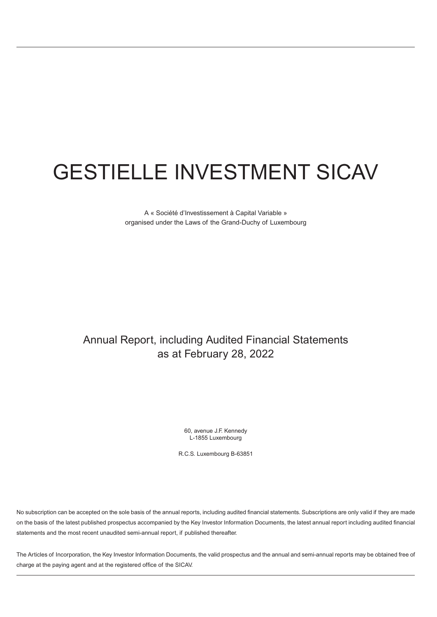A « Société d'Investissement à Capital Variable » organised under the Laws of the Grand-Duchy of Luxembourg

# Annual Report, including Audited Financial Statements as at February 28, 2022

60, avenue J.F. Kennedy L-1855 Luxembourg

R.C.S. Luxembourg B-63851

No subscription can be accepted on the sole basis of the annual reports, including audited financial statements. Subscriptions are only valid if they are made on the basis of the latest published prospectus accompanied by the Key Investor Information Documents, the latest annual report including audited financial statements and the most recent unaudited semi-annual report, if published thereafter.

The Articles of Incorporation, the Key Investor Information Documents, the valid prospectus and the annual and semi-annual reports may be obtained free of charge at the paying agent and at the registered office of the SICAV.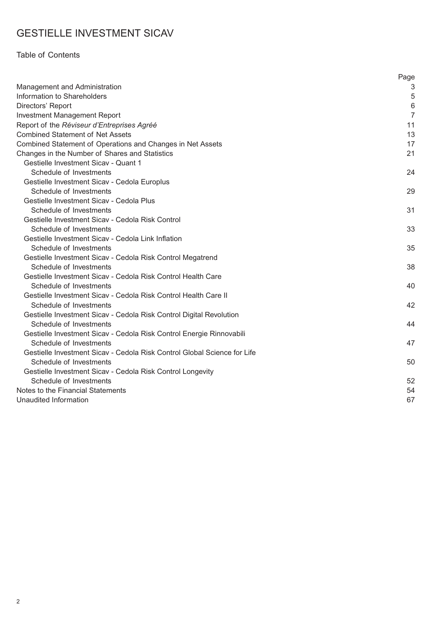### Table of Contents

|                                                                          | Page           |
|--------------------------------------------------------------------------|----------------|
| Management and Administration                                            | 3              |
| Information to Shareholders                                              | 5              |
| Directors' Report                                                        | 6              |
| <b>Investment Management Report</b>                                      | $\overline{7}$ |
| Report of the Réviseur d'Entreprises Agréé                               | 11             |
| <b>Combined Statement of Net Assets</b>                                  | 13             |
| Combined Statement of Operations and Changes in Net Assets               | 17             |
| Changes in the Number of Shares and Statistics                           | 21             |
| Gestielle Investment Sicav - Quant 1                                     |                |
| Schedule of Investments                                                  | 24             |
| Gestielle Investment Sicav - Cedola Europlus                             |                |
| Schedule of Investments                                                  | 29             |
| Gestielle Investment Sicav - Cedola Plus                                 |                |
| Schedule of Investments                                                  | 31             |
| Gestielle Investment Sicav - Cedola Risk Control                         |                |
| Schedule of Investments                                                  | 33             |
| Gestielle Investment Sicav - Cedola Link Inflation                       |                |
| Schedule of Investments                                                  | 35             |
| Gestielle Investment Sicav - Cedola Risk Control Megatrend               |                |
| Schedule of Investments                                                  | 38             |
| Gestielle Investment Sicav - Cedola Risk Control Health Care             |                |
| Schedule of Investments                                                  | 40             |
| Gestielle Investment Sicav - Cedola Risk Control Health Care II          |                |
| Schedule of Investments                                                  | 42             |
| Gestielle Investment Sicav - Cedola Risk Control Digital Revolution      |                |
| Schedule of Investments                                                  | 44             |
| Gestielle Investment Sicav - Cedola Risk Control Energie Rinnovabili     |                |
| Schedule of Investments                                                  | 47             |
| Gestielle Investment Sicav - Cedola Risk Control Global Science for Life |                |
| Schedule of Investments                                                  | 50             |
| Gestielle Investment Sicav - Cedola Risk Control Longevity               |                |
| Schedule of Investments                                                  | 52             |
| Notes to the Financial Statements                                        | 54             |
| Unaudited Information                                                    | 67             |
|                                                                          |                |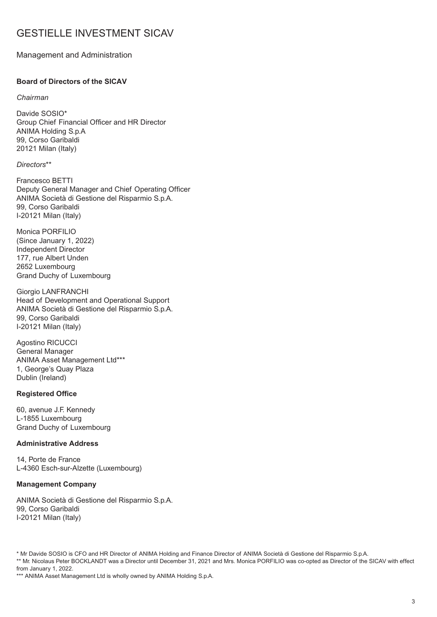#### <span id="page-2-0"></span>Management and Administration

#### **Board of Directors of the SICAV**

#### *Chairman*

Davide SOSIO\* Group Chief Financial Officer and HR Director ANIMA Holding S.p.A 99, Corso Garibaldi 20121 Milan (Italy)

#### *Directors*\*\*

Francesco BETTI Deputy General Manager and Chief Operating Officer ANIMA Società di Gestione del Risparmio S.p.A. 99, Corso Garibaldi I-20121 Milan (Italy)

Monica PORFILIO (Since January 1, 2022) Independent Director 177, rue Albert Unden 2652 Luxembourg Grand Duchy of Luxembourg

Giorgio LANFRANCHI Head of Development and Operational Support ANIMA Società di Gestione del Risparmio S.p.A. 99, Corso Garibaldi I-20121 Milan (Italy)

Agostino RICUCCI General Manager ANIMA Asset Management Ltd\*\*\* 1, George's Quay Plaza Dublin (Ireland)

#### **Registered Office**

60, avenue J.F. Kennedy L-1855 Luxembourg Grand Duchy of Luxembourg

#### **Administrative Address**

14, Porte de France L-4360 Esch-sur-Alzette (Luxembourg)

#### **Management Company**

ANIMA Società di Gestione del Risparmio S.p.A. 99, Corso Garibaldi I-20121 Milan (Italy)

\* Mr Davide SOSIO is CFO and HR Director of ANIMA Holding and Finance Director of ANIMA Società di Gestione del Risparmio S.p.A. \*\* Mr. Nicolaus Peter BOCKLANDT was a Director until December 31, 2021 and Mrs. Monica PORFILIO was co-opted as Director of the SICAV with effect from January 1, 2022.

\*\*\* ANIMA Asset Management Ltd is wholly owned by ANIMA Holding S.p.A.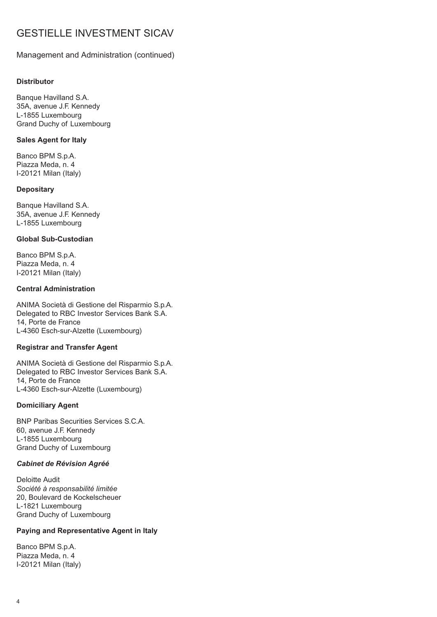#### Management and Administration (continued)

#### **Distributor**

Banque Havilland S.A. 35A, avenue J.F. Kennedy L-1855 Luxembourg Grand Duchy of Luxembourg

#### **Sales Agent for Italy**

Banco BPM S.p.A. Piazza Meda, n. 4 I-20121 Milan (Italy)

#### **Depositary**

Banque Havilland S.A. 35A, avenue J.F. Kennedy L-1855 Luxembourg

#### **Global Sub-Custodian**

Banco BPM S.p.A. Piazza Meda, n. 4 I-20121 Milan (Italy)

#### **Central Administration**

ANIMA Società di Gestione del Risparmio S.p.A. Delegated to RBC Investor Services Bank S.A. 14, Porte de France L-4360 Esch-sur-Alzette (Luxembourg)

#### **Registrar and Transfer Agent**

ANIMA Società di Gestione del Risparmio S.p.A. Delegated to RBC Investor Services Bank S.A. 14, Porte de France L-4360 Esch-sur-Alzette (Luxembourg)

#### **Domiciliary Agent**

BNP Paribas Securities Services S.C.A. 60, avenue J.F. Kennedy L-1855 Luxembourg Grand Duchy of Luxembourg

#### *Cabinet de Révision Agréé*

Deloitte Audit *Société à responsabilité limitée* 20, Boulevard de Kockelscheuer L-1821 Luxembourg Grand Duchy of Luxembourg

#### **Paying and Representative Agent in Italy**

Banco BPM S.p.A. Piazza Meda, n. 4 I-20121 Milan (Italy)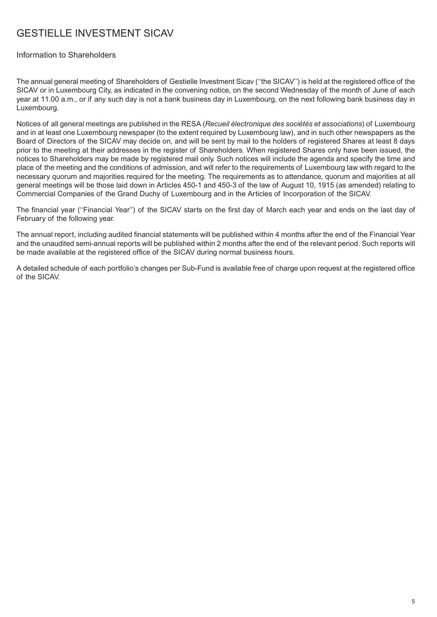#### <span id="page-4-0"></span>Information to Shareholders

The annual general meeting of Shareholders of Gestielle Investment Sicav (''the SICAV'') is held at the registered office of the SICAV or in Luxembourg City, as indicated in the convening notice, on the second Wednesday of the month of June of each year at 11.00 a.m., or if any such day is not a bank business day in Luxembourg, on the next following bank business day in Luxembourg.

Notices of all general meetings are published in the RESA (*Recueil électronique des sociétés et associations*) of Luxembourg and in at least one Luxembourg newspaper (to the extent required by Luxembourg law), and in such other newspapers as the Board of Directors of the SICAV may decide on, and will be sent by mail to the holders of registered Shares at least 8 days prior to the meeting at their addresses in the register of Shareholders. When registered Shares only have been issued, the notices to Shareholders may be made by registered mail only. Such notices will include the agenda and specify the time and place of the meeting and the conditions of admission, and will refer to the requirements of Luxembourg law with regard to the necessary quorum and majorities required for the meeting. The requirements as to attendance, quorum and majorities at all general meetings will be those laid down in Articles 450-1 and 450-3 of the law of August 10, 1915 (as amended) relating to Commercial Companies of the Grand Duchy of Luxembourg and in the Articles of Incorporation of the SICAV.

The financial year (''Financial Year'') of the SICAV starts on the first day of March each year and ends on the last day of February of the following year.

The annual report, including audited financial statements will be published within 4 months after the end of the Financial Year and the unaudited semi-annual reports will be published within 2 months after the end of the relevant period. Such reports will be made available at the registered office of the SICAV during normal business hours.

A detailed schedule of each portfolio's changes per Sub-Fund is available free of charge upon request at the registered office of the SICAV.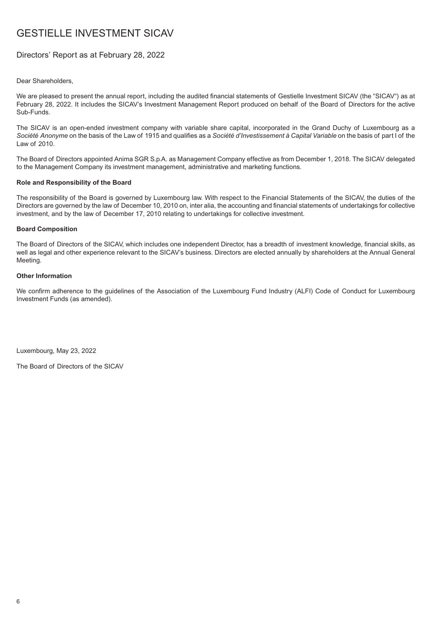#### <span id="page-5-0"></span>Directors' Report as at February 28, 2022

#### Dear Shareholders,

We are pleased to present the annual report, including the audited financial statements of Gestielle Investment SICAV (the ″SICAV″) as at February 28, 2022. It includes the SICAV's Investment Management Report produced on behalf of the Board of Directors for the active Sub-Funds.

The SICAV is an open-ended investment company with variable share capital, incorporated in the Grand Duchy of Luxembourg as a *Société Anonyme* on the basis of the Law of 1915 and qualifies as a *Société d'Investissement à Capital Variable* on the basis of part I of the Law of 2010.

The Board of Directors appointed Anima SGR S.p.A. as Management Company effective as from December 1, 2018. The SICAV delegated to the Management Company its investment management, administrative and marketing functions.

#### **Role and Responsibility of the Board**

The responsibility of the Board is governed by Luxembourg law. With respect to the Financial Statements of the SICAV, the duties of the Directors are governed by the law of December 10, 2010 on, inter alia, the accounting and financial statements of undertakings for collective investment, and by the law of December 17, 2010 relating to undertakings for collective investment.

#### **Board Composition**

The Board of Directors of the SICAV, which includes one independent Director, has a breadth of investment knowledge, financial skills, as well as legal and other experience relevant to the SICAV's business. Directors are elected annually by shareholders at the Annual General Meeting.

#### **Other Information**

We confirm adherence to the guidelines of the Association of the Luxembourg Fund Industry (ALFI) Code of Conduct for Luxembourg Investment Funds (as amended).

Luxembourg, May 23, 2022

The Board of Directors of the SICAV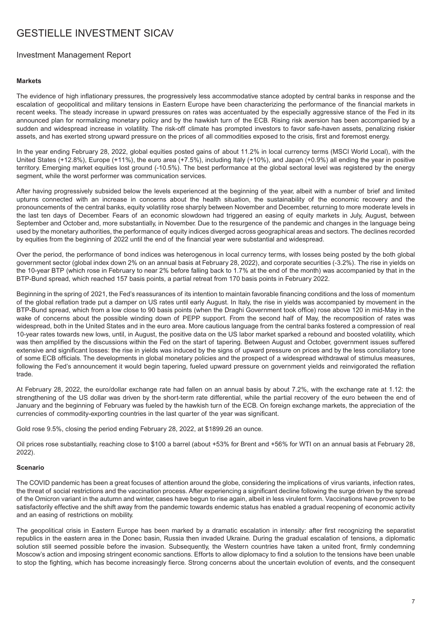#### <span id="page-6-0"></span>Investment Management Report

#### **Markets**

The evidence of high inflationary pressures, the progressively less accommodative stance adopted by central banks in response and the escalation of geopolitical and military tensions in Eastern Europe have been characterizing the performance of the financial markets in recent weeks. The steady increase in upward pressures on rates was accentuated by the especially aggressive stance of the Fed in its announced plan for normalizing monetary policy and by the hawkish turn of the ECB. Rising risk aversion has been accompanied by a sudden and widespread increase in volatility. The risk-off climate has prompted investors to favor safe-haven assets, penalizing riskier assets, and has exerted strong upward pressure on the prices of all commodities exposed to the crisis, first and foremost energy.

In the year ending February 28, 2022, global equities posted gains of about 11.2% in local currency terms (MSCI World Local), with the United States (+12.8%), Europe (+11%), the euro area (+7.5%), including Italy (+10%), and Japan (+0.9%) all ending the year in positive territory. Emerging market equities lost ground (-10.5%). The best performance at the global sectoral level was registered by the energy segment, while the worst performer was communication services.

After having progressively subsided below the levels experienced at the beginning of the year, albeit with a number of brief and limited upturns connected with an increase in concerns about the health situation, the sustainability of the economic recovery and the pronouncements of the central banks, equity volatility rose sharply between November and December, returning to more moderate levels in the last ten days of December. Fears of an economic slowdown had triggered an easing of equity markets in July, August, between September and October and, more substantially, in November. Due to the resurgence of the pandemic and changes in the language being used by the monetary authorities, the performance of equity indices diverged across geographical areas and sectors. The declines recorded by equities from the beginning of 2022 until the end of the financial year were substantial and widespread.

Over the period, the performance of bond indices was heterogenous in local currency terms, with losses being posted by the both global government sector (global index down 2% on an annual basis at February 28, 2022), and corporate securities (-3.2%). The rise in yields on the 10-year BTP (which rose in February to near 2% before falling back to 1.7% at the end of the month) was accompanied by that in the BTP-Bund spread, which reached 157 basis points, a partial retreat from 170 basis points in February 2022.

Beginning in the spring of 2021, the Fed's reassurances of its intention to maintain favorable financing conditions and the loss of momentum of the global reflation trade put a damper on US rates until early August. In Italy, the rise in yields was accompanied by movement in the BTP-Bund spread, which from a low close to 90 basis points (when the Draghi Government took office) rose above 120 in mid-May in the wake of concerns about the possible winding down of PEPP support. From the second half of May, the recomposition of rates was widespread, both in the United States and in the euro area. More cautious language from the central banks fostered a compression of real 10-year rates towards new lows, until, in August, the positive data on the US labor market sparked a rebound and boosted volatility, which was then amplified by the discussions within the Fed on the start of tapering. Between August and October, government issues suffered extensive and significant losses: the rise in yields was induced by the signs of upward pressure on prices and by the less conciliatory tone of some ECB officials. The developments in global monetary policies and the prospect of a widespread withdrawal of stimulus measures, following the Fed's announcement it would begin tapering, fueled upward pressure on government yields and reinvigorated the reflation trade.

At February 28, 2022, the euro/dollar exchange rate had fallen on an annual basis by about 7.2%, with the exchange rate at 1.12: the strengthening of the US dollar was driven by the short-term rate differential, while the partial recovery of the euro between the end of January and the beginning of February was fueled by the hawkish turn of the ECB. On foreign exchange markets, the appreciation of the currencies of commodity-exporting countries in the last quarter of the year was significant.

Gold rose 9.5%, closing the period ending February 28, 2022, at \$1899.26 an ounce.

Oil prices rose substantially, reaching close to \$100 a barrel (about +53% for Brent and +56% for WTI on an annual basis at February 28, 2022).

#### **Scenario**

The COVID pandemic has been a great focuses of attention around the globe, considering the implications of virus variants, infection rates, the threat of social restrictions and the vaccination process. After experiencing a significant decline following the surge driven by the spread of the Omicron variant in the autumn and winter, cases have begun to rise again, albeit in less virulent form. Vaccinations have proven to be satisfactorily effective and the shift away from the pandemic towards endemic status has enabled a gradual reopening of economic activity and an easing of restrictions on mobility.

The geopolitical crisis in Eastern Europe has been marked by a dramatic escalation in intensity: after first recognizing the separatist republics in the eastern area in the Donec basin, Russia then invaded Ukraine. During the gradual escalation of tensions, a diplomatic solution still seemed possible before the invasion. Subsequently, the Western countries have taken a united front, firmly condemning Moscow's action and imposing stringent economic sanctions. Efforts to allow diplomacy to find a solution to the tensions have been unable to stop the fighting, which has become increasingly fierce. Strong concerns about the uncertain evolution of events, and the consequent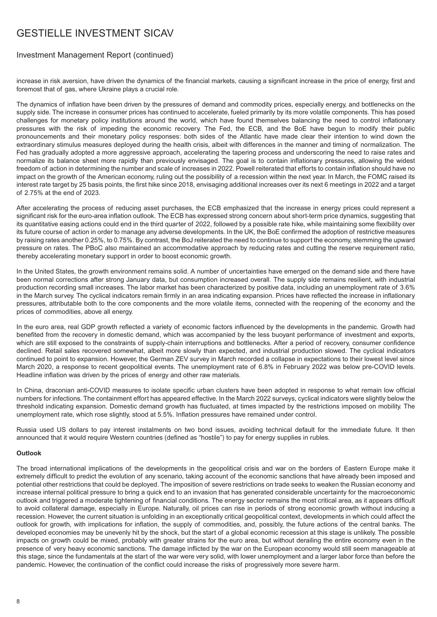#### Investment Management Report (continued)

increase in risk aversion, have driven the dynamics of the financial markets, causing a significant increase in the price of energy, first and foremost that of gas, where Ukraine plays a crucial role.

The dynamics of inflation have been driven by the pressures of demand and commodity prices, especially energy, and bottlenecks on the supply side. The increase in consumer prices has continued to accelerate, fueled primarily by its more volatile components. This has posed challenges for monetary policy institutions around the world, which have found themselves balancing the need to control inflationary pressures with the risk of impeding the economic recovery. The Fed, the ECB, and the BoE have begun to modify their public pronouncements and their monetary policy responses: both sides of the Atlantic have made clear their intention to wind down the extraordinary stimulus measures deployed during the health crisis, albeit with differences in the manner and timing of normalization. The Fed has gradually adopted a more aggressive approach, accelerating the tapering process and underscoring the need to raise rates and normalize its balance sheet more rapidly than previously envisaged. The goal is to contain inflationary pressures, allowing the widest freedom of action in determining the number and scale of increases in 2022. Powell reiterated that efforts to contain inflation should have no impact on the growth of the American economy, ruling out the possibility of a recession within the next year. In March, the FOMC raised its interest rate target by 25 basis points, the first hike since 2018, envisaging additional increases over its next 6 meetings in 2022 and a target of 2.75% at the end of 2023.

After accelerating the process of reducing asset purchases, the ECB emphasized that the increase in energy prices could represent a significant risk for the euro-area inflation outlook. The ECB has expressed strong concern about short-term price dynamics, suggesting that its quantitative easing actions could end in the third quarter of 2022, followed by a possible rate hike, while maintaining some flexibility over its future course of action in order to manage any adverse developments. In the UK, the BoE confirmed the adoption of restrictive measures by raising rates another 0.25%, to 0.75%. By contrast, the BoJ reiterated the need to continue to support the economy, stemming the upward pressure on rates. The PBoC also maintained an accommodative approach by reducing rates and cutting the reserve requirement ratio, thereby accelerating monetary support in order to boost economic growth.

In the United States, the growth environment remains solid. A number of uncertainties have emerged on the demand side and there have been normal corrections after strong January data, but consumption increased overall. The supply side remains resilient, with industrial production recording small increases. The labor market has been characterized by positive data, including an unemployment rate of 3.6% in the March survey. The cyclical indicators remain firmly in an area indicating expansion. Prices have reflected the increase in inflationary pressures, attributable both to the core components and the more volatile items, connected with the reopening of the economy and the prices of commodities, above all energy.

In the euro area, real GDP growth reflected a variety of economic factors influenced by the developments in the pandemic. Growth had benefited from the recovery in domestic demand, which was accompanied by the less buoyant performance of investment and exports, which are still exposed to the constraints of supply-chain interruptions and bottlenecks. After a period of recovery, consumer confidence declined. Retail sales recovered somewhat, albeit more slowly than expected, and industrial production slowed. The cyclical indicators continued to point to expansion. However, the German ZEV survey in March recorded a collapse in expectations to their lowest level since March 2020, a response to recent geopolitical events. The unemployment rate of 6.8% in February 2022 was below pre-COVID levels. Headline inflation was driven by the prices of energy and other raw materials.

In China, draconian anti-COVID measures to isolate specific urban clusters have been adopted in response to what remain low official numbers for infections. The containment effort has appeared effective. In the March 2022 surveys, cyclical indicators were slightly below the threshold indicating expansion. Domestic demand growth has fluctuated, at times impacted by the restrictions imposed on mobility. The unemployment rate, which rose slightly, stood at 5.5%. Inflation pressures have remained under control.

Russia used US dollars to pay interest instalments on two bond issues, avoiding technical default for the immediate future. It then announced that it would require Western countries (defined as "hostile") to pay for energy supplies in rubles.

#### **Outlook**

The broad international implications of the developments in the geopolitical crisis and war on the borders of Eastern Europe make it extremely difficult to predict the evolution of any scenario, taking account of the economic sanctions that have already been imposed and potential other restrictions that could be deployed. The imposition of severe restrictions on trade seeks to weaken the Russian economy and increase internal political pressure to bring a quick end to an invasion that has generated considerable uncertainty for the macroeconomic outlook and triggered a moderate tightening of financial conditions. The energy sector remains the most critical area, as it appears difficult to avoid collateral damage, especially in Europe. Naturally, oil prices can rise in periods of strong economic growth without inducing a recession. However, the current situation is unfolding in an exceptionally critical geopolitical context, developments in which could affect the outlook for growth, with implications for inflation, the supply of commodities, and, possibly, the future actions of the central banks. The developed economies may be unevenly hit by the shock, but the start of a global economic recession at this stage is unlikely. The possible impacts on growth could be mixed, probably with greater strains for the euro area, but without derailing the entire economy even in the presence of very heavy economic sanctions. The damage inflicted by the war on the European economy would still seem manageable at this stage, since the fundamentals at the start of the war were very solid, with lower unemployment and a larger labor force than before the pandemic. However, the continuation of the conflict could increase the risks of progressively more severe harm.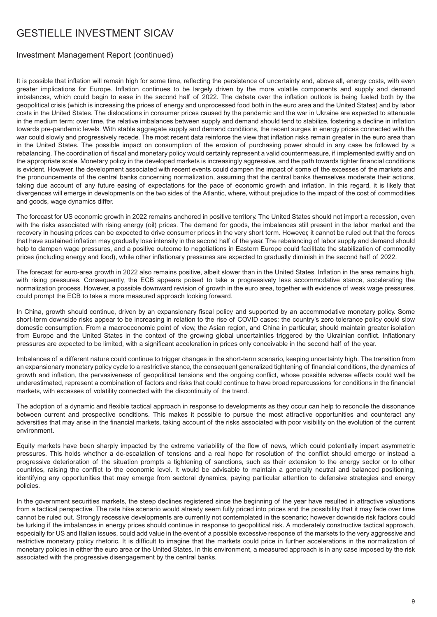#### Investment Management Report (continued)

It is possible that inflation will remain high for some time, reflecting the persistence of uncertainty and, above all, energy costs, with even greater implications for Europe. Inflation continues to be largely driven by the more volatile components and supply and demand imbalances, which could begin to ease in the second half of 2022. The debate over the inflation outlook is being fueled both by the geopolitical crisis (which is increasing the prices of energy and unprocessed food both in the euro area and the United States) and by labor costs in the United States. The dislocations in consumer prices caused by the pandemic and the war in Ukraine are expected to attenuate in the medium term: over time, the relative imbalances between supply and demand should tend to stabilize, fostering a decline in inflation towards pre-pandemic levels. With stable aggregate supply and demand conditions, the recent surges in energy prices connected with the war could slowly and progressively recede. The most recent data reinforce the view that inflation risks remain greater in the euro area than in the United States. The possible impact on consumption of the erosion of purchasing power should in any case be followed by a rebalancing. The coordination of fiscal and monetary policy would certainly represent a valid countermeasure, if implemented swiftly and on the appropriate scale. Monetary policy in the developed markets is increasingly aggressive, and the path towards tighter financial conditions is evident. However, the development associated with recent events could dampen the impact of some of the excesses of the markets and the pronouncements of the central banks concerning normalization, assuming that the central banks themselves moderate their actions, taking due account of any future easing of expectations for the pace of economic growth and inflation. In this regard, it is likely that divergences will emerge in developments on the two sides of the Atlantic, where, without prejudice to the impact of the cost of commodities and goods, wage dynamics differ.

The forecast for US economic growth in 2022 remains anchored in positive territory. The United States should not import a recession, even with the risks associated with rising energy (oil) prices. The demand for goods, the imbalances still present in the labor market and the recovery in housing prices can be expected to drive consumer prices in the very short term. However, it cannot be ruled out that the forces that have sustained inflation may gradually lose intensity in the second half of the year. The rebalancing of labor supply and demand should help to dampen wage pressures, and a positive outcome to negotiations in Eastern Europe could facilitate the stabilization of commodity prices (including energy and food), while other inflationary pressures are expected to gradually diminish in the second half of 2022.

The forecast for euro-area growth in 2022 also remains positive, albeit slower than in the United States. Inflation in the area remains high, with rising pressures. Consequently, the ECB appears poised to take a progressively less accommodative stance, accelerating the normalization process. However, a possible downward revision of growth in the euro area, together with evidence of weak wage pressures, could prompt the ECB to take a more measured approach looking forward.

In China, growth should continue, driven by an expansionary fiscal policy and supported by an accommodative monetary policy. Some short-term downside risks appear to be increasing in relation to the rise of COVID cases: the country's zero tolerance policy could slow domestic consumption. From a macroeconomic point of view, the Asian region, and China in particular, should maintain greater isolation from Europe and the United States in the context of the growing global uncertainties triggered by the Ukrainian conflict. Inflationary pressures are expected to be limited, with a significant acceleration in prices only conceivable in the second half of the year.

Imbalances of a different nature could continue to trigger changes in the short-term scenario, keeping uncertainty high. The transition from an expansionary monetary policy cycle to a restrictive stance, the consequent generalized tightening of financial conditions, the dynamics of growth and inflation, the pervasiveness of geopolitical tensions and the ongoing conflict, whose possible adverse effects could well be underestimated, represent a combination of factors and risks that could continue to have broad repercussions for conditions in the financial markets, with excesses of volatility connected with the discontinuity of the trend.

The adoption of a dynamic and flexible tactical approach in response to developments as they occur can help to reconcile the dissonance between current and prospective conditions. This makes it possible to pursue the most attractive opportunities and counteract any adversities that may arise in the financial markets, taking account of the risks associated with poor visibility on the evolution of the current environment.

Equity markets have been sharply impacted by the extreme variability of the flow of news, which could potentially impart asymmetric pressures. This holds whether a de-escalation of tensions and a real hope for resolution of the conflict should emerge or instead a progressive deterioration of the situation prompts a tightening of sanctions, such as their extension to the energy sector or to other countries, raising the conflict to the economic level. It would be advisable to maintain a generally neutral and balanced positioning, identifying any opportunities that may emerge from sectoral dynamics, paying particular attention to defensive strategies and energy policies.

In the government securities markets, the steep declines registered since the beginning of the year have resulted in attractive valuations from a tactical perspective. The rate hike scenario would already seem fully priced into prices and the possibility that it may fade over time cannot be ruled out. Strongly recessive developments are currently not contemplated in the scenario; however downside risk factors could be lurking if the imbalances in energy prices should continue in response to geopolitical risk. A moderately constructive tactical approach, especially for US and Italian issues, could add value in the event of a possible excessive response of the markets to the very aggressive and restrictive monetary policy rhetoric. It is difficult to imagine that the markets could price in further accelerations in the normalization of monetary policies in either the euro area or the United States. In this environment, a measured approach is in any case imposed by the risk associated with the progressive disengagement by the central banks.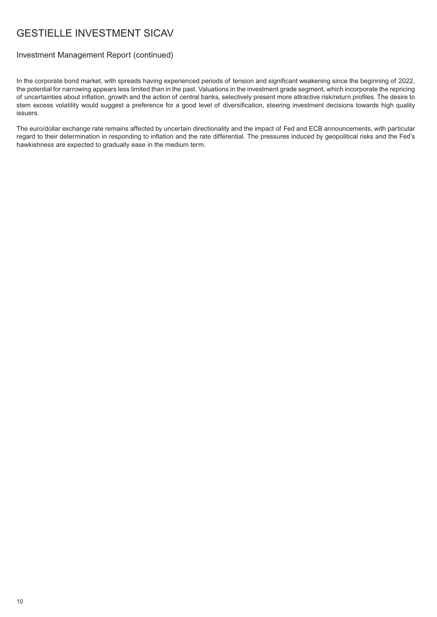#### Investment Management Report (continued)

In the corporate bond market, with spreads having experienced periods of tension and significant weakening since the beginning of 2022, the potential for narrowing appears less limited than in the past. Valuations in the investment grade segment, which incorporate the repricing of uncertainties about inflation, growth and the action of central banks, selectively present more attractive risk/return profiles. The desire to stem excess volatility would suggest a preference for a good level of diversification, steering investment decisions towards high quality issuers.

The euro/dollar exchange rate remains affected by uncertain directionality and the impact of Fed and ECB announcements, with particular regard to their determination in responding to inflation and the rate differential. The pressures induced by geopolitical risks and the Fed's hawkishness are expected to gradually ease in the medium term.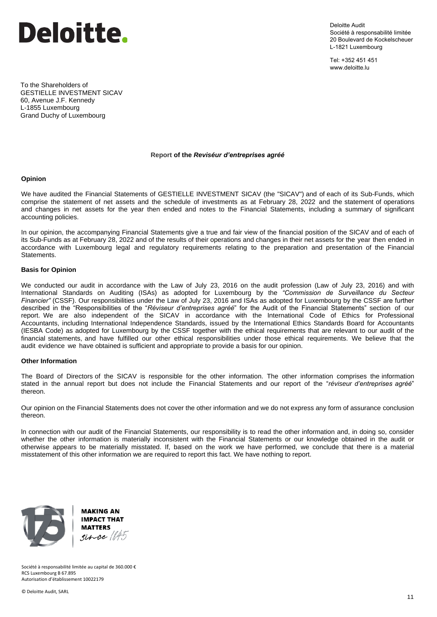

Deloitte Audit Société à responsabilité limitée 20 Boulevard de Kockelscheuer L-1821 Luxembourg

Tel: +352 451 451 www.deloitte.lu

To the Shareholders of GESTIELLE INVESTMENT SICAV 60, Avenue J.F. Kennedy L-1855 Luxembourg Grand Duchy of Luxembourg

#### **Report of the** *Reviséur d'entreprises agréé*

#### **Opinion**

We have audited the Financial Statements of GESTIELLE INVESTMENT SICAV (the "SICAV") and of each of its Sub-Funds, which comprise the statement of net assets and the schedule of investments as at February 28, 2022 and the statement of operations and changes in net assets for the year then ended and notes to the Financial Statements, including a summary of significant accounting policies.

In our opinion, the accompanying Financial Statements give a true and fair view of the financial position of the SICAV and of each of its Sub-Funds as at February 28, 2022 and of the results of their operations and changes in their net assets for the year then ended in accordance with Luxembourg legal and regulatory requirements relating to the preparation and presentation of the Financial Statements.

#### **Basis for Opinion**

We conducted our audit in accordance with the Law of July 23, 2016 on the audit profession (Law of July 23, 2016) and with International Standards on Auditing (ISAs) as adopted for Luxembourg by the *"Commission de Surveillance du Secteur Financier"* (CSSF). Our responsibilities under the Law of July 23, 2016 and ISAs as adopted for Luxembourg by the CSSF are further described in the "Responsibilities of the "*Réviseur d'entreprises agréé*" for the Audit of the Financial Statements" section of our report. We are also independent of the SICAV in accordance with the International Code of Ethics for Professional Accountants, including International Independence Standards, issued by the International Ethics Standards Board for Accountants (IESBA Code) as adopted for Luxembourg by the CSSF together with the ethical requirements that are relevant to our audit of the financial statements, and have fulfilled our other ethical responsibilities under those ethical requirements. We believe that the audit evidence we have obtained is sufficient and appropriate to provide a basis for our opinion.

#### **Other Information**

The Board of Directors of the SICAV is responsible for the other information. The other information comprises the information stated in the annual report but does not include the Financial Statements and our report of the "*réviseur d'entreprises agréé*" thereon.

Our opinion on the Financial Statements does not cover the other information and we do not express any form of assurance conclusion thereon.

ln connection with our audit of the Financial Statements, our responsibility is to read the other information and, in doing so, consider whether the other information is materially inconsistent with the Financial Statements or our knowledge obtained in the audit or otherwise appears to be materially misstated. If, based on the work we have performed, we conclude that there is a material misstatement of this other information we are required to report this fact. We have nothing to report.



**MAKING AN IMPACT THAT MATTERS**  $since 1845$ 

Société à responsabilité limitée au capital de 360.000 € RCS Luxembourg B 67.895 Autorisation d'établissement 10022179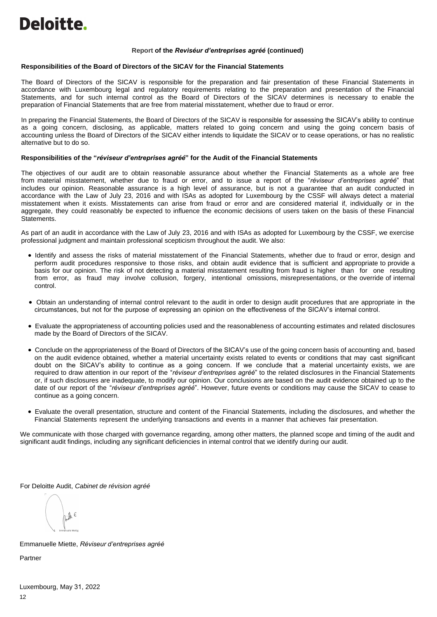#### **Report of the** *Reviséur d'entreprises agréé* **(continued)**

#### **Responsibilities of the Board of Directors of the SICAV for the Financial Statements**

The Board of Directors of the SICAV is responsible for the preparation and fair presentation of these Financial Statements in accordance with Luxembourg legal and regulatory requirements relating to the preparation and presentation of the Financial Statements, and for such internal control as the Board of Directors of the SICAV determines is necessary to enable the preparation of Financial Statements that are free from material misstatement, whether due to fraud or error.

In preparing the Financial Statements, the Board of Directors of the SICAV is responsible for assessing the SICAV's ability to continue as a going concern, disclosing, as applicable, matters related to going concern and using the going concern basis of accounting unless the Board of Directors of the SICAV either intends to liquidate the SICAV or to cease operations, or has no realistic alternative but to do so.

#### **Responsibilities of th***e* **"***réviseur d'entreprises agréé***" for the Audit of the Financial Statements**

The objectives of our audit are to obtain reasonable assurance about whether the Financial Statements as a whole are free from material misstatement, whether due to fraud or error, and to issue a report of the "*réviseur d'entreprises agréé*" that includes our opinion. Reasonable assurance is a high level of assurance, but is not a guarantee that an audit conducted in accordance with the Law of July 23, 2016 and with ISAs as adopted for Luxembourg by the CSSF will always detect a material misstatement when it exists. Misstatements can arise from fraud or error and are considered material if, individually or in the aggregate, they could reasonably be expected to influence the economic decisions of users taken on the basis of these Financial Statements.

As part of an audit in accordance with the Law of July 23, 2016 and with ISAs as adopted for Luxembourg by the CSSF, we exercise professional judgment and maintain professional scepticism throughout the audit. We also:

- Identify and assess the risks of material misstatement of the Financial Statements, whether due to fraud or error, design and perform audit procedures responsive to those risks, and obtain audit evidence that is sufficient and appropriate to provide a basis for our opinion. The risk of not detecting a material misstatement resulting from fraud is higher than for one resulting from error, as fraud may involve collusion, forgery, intentional omissions, misrepresentations, or the override of internal control.
- Obtain an understanding of internal control relevant to the audit in order to design audit procedures that are appropriate in the circumstances, but not for the purpose of expressing an opinion on the effectiveness of the SICAV's internal control.
- Evaluate the appropriateness of accounting policies used and the reasonableness of accounting estimates and related disclosures made by the Board of Directors of the SICAV.
- Conclude on the appropriateness of the Board of Directors of the SICAV's use of the going concern basis of accounting and, based on the audit evidence obtained, whether a material uncertainty exists related to events or conditions that may cast significant doubt on the SICAV's ability to continue as a going concern. If we conclude that a material uncertainty exists, we are required to draw attention in our report of the "*réviseur d'entreprises agréé*" to the related disclosures in the Financial Statements or, if such disclosures are inadequate, to modify our opinion. Our conclusions are based on the audit evidence obtained up to the date of our report of the "*réviseur d'entreprises agréé*". However, future events or conditions may cause the SICAV to cease to continue as a going concern.
- Evaluate the overall presentation, structure and content of the Financial Statements, including the disclosures, and whether the Financial Statements represent the underlying transactions and events in a manner that achieves fair presentation.

We communicate with those charged with governance regarding, among other matters, the planned scope and timing of the audit and significant audit findings, including any significant deficiencies in internal control that we identify during our audit.

For Deloitte Audit, *Cabinet de révision agréé* 

 $\cdot \mathbb{h} \in$ 

Emmanuelle Miette, *Réviseur d'entreprises agréé*

Partner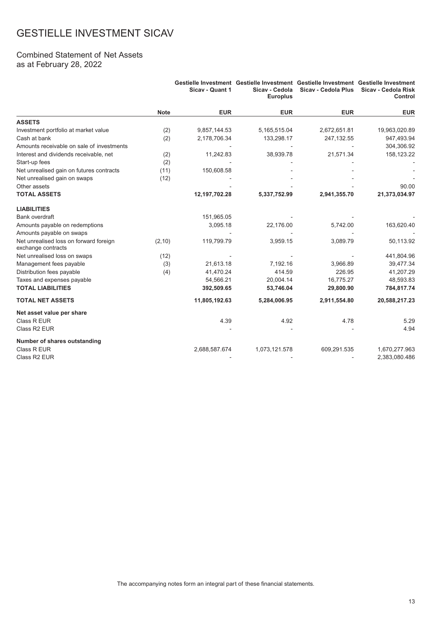#### Combined Statement of Net Assets as at February 28, 2022

|                                                              |             | Sicav - Quant 1 | Gestielle Investment Gestielle Investment Gestielle Investment Gestielle Investment<br>Sicav - Cedola<br><b>Europlus</b> | <b>Sicav - Cedola Plus</b> | <b>Sicav - Cedola Risk</b><br>Control |
|--------------------------------------------------------------|-------------|-----------------|--------------------------------------------------------------------------------------------------------------------------|----------------------------|---------------------------------------|
|                                                              | <b>Note</b> | <b>EUR</b>      | <b>EUR</b>                                                                                                               | <b>EUR</b>                 | <b>EUR</b>                            |
| <b>ASSETS</b>                                                |             |                 |                                                                                                                          |                            |                                       |
| Investment portfolio at market value                         | (2)         | 9,857,144.53    | 5,165,515.04                                                                                                             | 2,672,651.81               | 19,963,020.89                         |
| Cash at bank                                                 | (2)         | 2,178,706.34    | 133,298.17                                                                                                               | 247,132.55                 | 947,493.94                            |
| Amounts receivable on sale of investments                    |             |                 |                                                                                                                          |                            | 304,306.92                            |
| Interest and dividends receivable, net                       | (2)         | 11,242.83       | 38,939.78                                                                                                                | 21,571.34                  | 158,123.22                            |
| Start-up fees                                                | (2)         |                 |                                                                                                                          |                            |                                       |
| Net unrealised gain on futures contracts                     | (11)        | 150,608.58      |                                                                                                                          |                            |                                       |
| Net unrealised gain on swaps                                 | (12)        |                 |                                                                                                                          |                            |                                       |
| Other assets                                                 |             |                 |                                                                                                                          |                            | 90.00                                 |
| <b>TOTAL ASSETS</b>                                          |             | 12,197,702.28   | 5,337,752.99                                                                                                             | 2,941,355.70               | 21,373,034.97                         |
| <b>LIABILITIES</b>                                           |             |                 |                                                                                                                          |                            |                                       |
| <b>Bank overdraft</b>                                        |             | 151,965.05      |                                                                                                                          |                            |                                       |
| Amounts payable on redemptions                               |             | 3,095.18        | 22,176.00                                                                                                                | 5,742.00                   | 163,620.40                            |
| Amounts payable on swaps                                     |             |                 |                                                                                                                          |                            |                                       |
| Net unrealised loss on forward foreign<br>exchange contracts | (2,10)      | 119,799.79      | 3,959.15                                                                                                                 | 3,089.79                   | 50,113.92                             |
| Net unrealised loss on swaps                                 | (12)        |                 |                                                                                                                          |                            | 441,804.96                            |
| Management fees payable                                      | (3)         | 21,613.18       | 7,192.16                                                                                                                 | 3,966.89                   | 39,477.34                             |
| Distribution fees payable                                    | (4)         | 41,470.24       | 414.59                                                                                                                   | 226.95                     | 41,207.29                             |
| Taxes and expenses payable                                   |             | 54,566.21       | 20,004.14                                                                                                                | 16,775.27                  | 48,593.83                             |
| <b>TOTAL LIABILITIES</b>                                     |             | 392,509.65      | 53,746.04                                                                                                                | 29,800.90                  | 784,817.74                            |
| <b>TOTAL NET ASSETS</b>                                      |             | 11,805,192.63   | 5,284,006.95                                                                                                             | 2,911,554.80               | 20,588,217.23                         |
| Net asset value per share                                    |             |                 |                                                                                                                          |                            |                                       |
| Class R EUR                                                  |             | 4.39            | 4.92                                                                                                                     | 4.78                       | 5.29                                  |
| Class R2 EUR                                                 |             |                 |                                                                                                                          |                            | 4.94                                  |
| Number of shares outstanding                                 |             |                 |                                                                                                                          |                            |                                       |
| Class R EUR                                                  |             | 2,688,587.674   | 1,073,121.578                                                                                                            | 609,291.535                | 1,670,277.963                         |
| Class R2 EUR                                                 |             |                 |                                                                                                                          |                            | 2,383,080.486                         |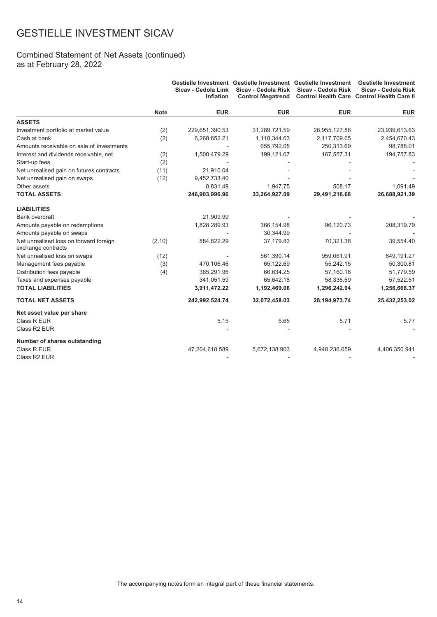#### Combined Statement of Net Assets (continued) as at February 28, 2022

|                                                              |             | Sicav - Cedola Link<br><b>Inflation</b> | Sicav - Cedola Risk<br><b>Control Megatrend</b> | Gestielle Investment Gestielle Investment Gestielle Investment<br>Sicav - Cedola Risk | <b>Gestielle Investment</b><br>Sicav - Cedola Risk<br>Control Health Care Control Health Care II |
|--------------------------------------------------------------|-------------|-----------------------------------------|-------------------------------------------------|---------------------------------------------------------------------------------------|--------------------------------------------------------------------------------------------------|
|                                                              | <b>Note</b> | <b>EUR</b>                              | <b>EUR</b>                                      | <b>EUR</b>                                                                            | <b>EUR</b>                                                                                       |
| <b>ASSETS</b>                                                |             |                                         |                                                 |                                                                                       |                                                                                                  |
| Investment portfolio at market value                         | (2)         | 229,651,390.53                          | 31,289,721.59                                   | 26,955,127.86                                                                         | 23,939,613.63                                                                                    |
| Cash at bank                                                 | (2)         | 6,268,652.21                            | 1,118,344.63                                    | 2,117,709.65                                                                          | 2,454,670.43                                                                                     |
| Amounts receivable on sale of investments                    |             |                                         | 655,792.05                                      | 250,313.69                                                                            | 98,788.01                                                                                        |
| Interest and dividends receivable, net                       | (2)         | 1,500,479.29                            | 199,121.07                                      | 167,557.31                                                                            | 194,757.83                                                                                       |
| Start-up fees                                                | (2)         |                                         |                                                 |                                                                                       |                                                                                                  |
| Net unrealised gain on futures contracts                     | (11)        | 21,910.04                               |                                                 |                                                                                       |                                                                                                  |
| Net unrealised gain on swaps                                 | (12)        | 9,452,733.40                            |                                                 |                                                                                       |                                                                                                  |
| Other assets                                                 |             | 8,831.49                                | 1,947.75                                        | 508.17                                                                                | 1,091.49                                                                                         |
| <b>TOTAL ASSETS</b>                                          |             | 246,903,996.96                          | 33,264,927.09                                   | 29,491,216.68                                                                         | 26,688,921.39                                                                                    |
| <b>LIABILITIES</b>                                           |             |                                         |                                                 |                                                                                       |                                                                                                  |
| Bank overdraft                                               |             | 21,909.99                               |                                                 |                                                                                       |                                                                                                  |
| Amounts payable on redemptions                               |             | 1,828,289.93                            | 366,154.98                                      | 96,120.73                                                                             | 208,319.79                                                                                       |
| Amounts payable on swaps                                     |             |                                         | 30,344.99                                       |                                                                                       |                                                                                                  |
| Net unrealised loss on forward foreign<br>exchange contracts | (2, 10)     | 884,822.29                              | 37,179.83                                       | 70,321.38                                                                             | 39,554.40                                                                                        |
| Net unrealised loss on swaps                                 | (12)        |                                         | 561,390.14                                      | 959,061.91                                                                            | 849,191.27                                                                                       |
| Management fees payable                                      | (3)         | 470,106.46                              | 65,122.69                                       | 55,242.15                                                                             | 50,300.81                                                                                        |
| Distribution fees payable                                    | (4)         | 365,291.96                              | 66,634.25                                       | 57,160.18                                                                             | 51,779.59                                                                                        |
| Taxes and expenses payable                                   |             | 341,051.59                              | 65,642.18                                       | 58,336.59                                                                             | 57,522.51                                                                                        |
| <b>TOTAL LIABILITIES</b>                                     |             | 3,911,472.22                            | 1,192,469.06                                    | 1,296,242.94                                                                          | 1,256,668.37                                                                                     |
| <b>TOTAL NET ASSETS</b>                                      |             | 242,992,524.74                          | 32,072,458.03                                   | 28, 194, 973. 74                                                                      | 25,432,253.02                                                                                    |
| Net asset value per share                                    |             |                                         |                                                 |                                                                                       |                                                                                                  |
| Class R EUR                                                  |             | 5.15                                    | 5.65                                            | 5.71                                                                                  | 5.77                                                                                             |
| Class R2 EUR                                                 |             |                                         |                                                 |                                                                                       |                                                                                                  |
| Number of shares outstanding                                 |             |                                         |                                                 |                                                                                       |                                                                                                  |
| Class R EUR                                                  |             | 47,204,618.589                          | 5,672,138.903                                   | 4,940,236.059                                                                         | 4,406,350.941                                                                                    |
| Class R <sub>2</sub> EUR                                     |             |                                         |                                                 |                                                                                       |                                                                                                  |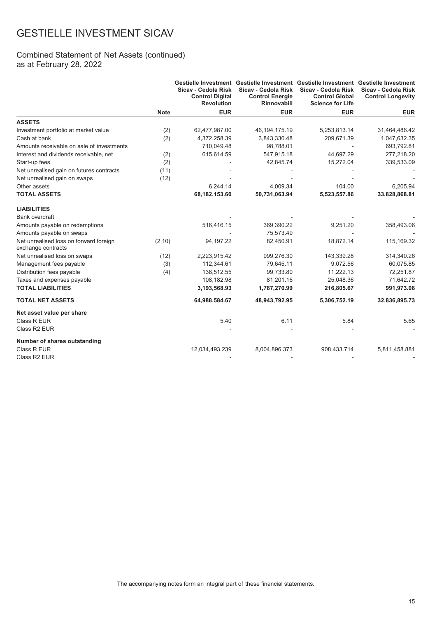#### Combined Statement of Net Assets (continued) as at February 28, 2022

|                                                              |             | Sicav - Cedola Risk<br><b>Control Digital</b><br><b>Revolution</b> | Gestielle Investment Gestielle Investment Gestielle Investment Gestielle Investment<br>Sicav - Cedola Risk<br><b>Control Energie</b><br><b>Rinnovabili</b> | Sicav - Cedola Risk<br><b>Control Global</b><br><b>Science for Life</b> | Sicav - Cedola Risk<br><b>Control Longevity</b> |
|--------------------------------------------------------------|-------------|--------------------------------------------------------------------|------------------------------------------------------------------------------------------------------------------------------------------------------------|-------------------------------------------------------------------------|-------------------------------------------------|
|                                                              | <b>Note</b> | <b>EUR</b>                                                         | <b>EUR</b>                                                                                                                                                 | <b>EUR</b>                                                              | <b>EUR</b>                                      |
| <b>ASSETS</b>                                                |             |                                                                    |                                                                                                                                                            |                                                                         |                                                 |
| Investment portfolio at market value                         | (2)         | 62,477,987.00                                                      | 46, 194, 175. 19                                                                                                                                           | 5,253,813.14                                                            | 31,464,486.42                                   |
| Cash at bank                                                 | (2)         | 4,372,258.39                                                       | 3,843,330.48                                                                                                                                               | 209,671.39                                                              | 1,047,632.35                                    |
| Amounts receivable on sale of investments                    |             | 710,049.48                                                         | 98,788.01                                                                                                                                                  |                                                                         | 693,792.81                                      |
| Interest and dividends receivable, net                       | (2)         | 615,614.59                                                         | 547,915.18                                                                                                                                                 | 44,697.29                                                               | 277,218.20                                      |
| Start-up fees                                                | (2)         |                                                                    | 42,845.74                                                                                                                                                  | 15,272.04                                                               | 339,533.09                                      |
| Net unrealised gain on futures contracts                     | (11)        |                                                                    |                                                                                                                                                            |                                                                         |                                                 |
| Net unrealised gain on swaps                                 | (12)        |                                                                    |                                                                                                                                                            |                                                                         |                                                 |
| Other assets                                                 |             | 6.244.14                                                           | 4,009.34                                                                                                                                                   | 104.00                                                                  | 6,205.94                                        |
| <b>TOTAL ASSETS</b>                                          |             | 68,182,153.60                                                      | 50,731,063.94                                                                                                                                              | 5,523,557.86                                                            | 33,828,868.81                                   |
| <b>LIABILITIES</b>                                           |             |                                                                    |                                                                                                                                                            |                                                                         |                                                 |
| <b>Bank overdraft</b>                                        |             |                                                                    |                                                                                                                                                            |                                                                         |                                                 |
| Amounts payable on redemptions                               |             | 516,416.15                                                         | 369,390.22                                                                                                                                                 | 9,251.20                                                                | 358,493.06                                      |
| Amounts payable on swaps                                     |             |                                                                    | 75,573.49                                                                                                                                                  |                                                                         |                                                 |
| Net unrealised loss on forward foreign<br>exchange contracts | (2,10)      | 94,197.22                                                          | 82,450.91                                                                                                                                                  | 18,872.14                                                               | 115,169.32                                      |
| Net unrealised loss on swaps                                 | (12)        | 2,223,915.42                                                       | 999,276.30                                                                                                                                                 | 143,339.28                                                              | 314,340.26                                      |
| Management fees payable                                      | (3)         | 112,344.61                                                         | 79,645.11                                                                                                                                                  | 9,072.56                                                                | 60,075.85                                       |
| Distribution fees payable                                    | (4)         | 138,512.55                                                         | 99,733.80                                                                                                                                                  | 11,222.13                                                               | 72,251.87                                       |
| Taxes and expenses payable                                   |             | 108,182.98                                                         | 81,201.16                                                                                                                                                  | 25,048.36                                                               | 71,642.72                                       |
| <b>TOTAL LIABILITIES</b>                                     |             | 3,193,568.93                                                       | 1,787,270.99                                                                                                                                               | 216,805.67                                                              | 991,973.08                                      |
| <b>TOTAL NET ASSETS</b>                                      |             | 64,988,584.67                                                      | 48,943,792.95                                                                                                                                              | 5,306,752.19                                                            | 32,836,895.73                                   |
| Net asset value per share                                    |             |                                                                    |                                                                                                                                                            |                                                                         |                                                 |
| Class R EUR                                                  |             | 5.40                                                               | 6.11                                                                                                                                                       | 5.84                                                                    | 5.65                                            |
| Class R2 EUR                                                 |             |                                                                    |                                                                                                                                                            |                                                                         |                                                 |
| Number of shares outstanding                                 |             |                                                                    |                                                                                                                                                            |                                                                         |                                                 |
| Class R EUR                                                  |             | 12,034,493.239                                                     | 8,004,896.373                                                                                                                                              | 908,433.714                                                             | 5,811,458.881                                   |
| Class R2 EUR                                                 |             |                                                                    |                                                                                                                                                            |                                                                         |                                                 |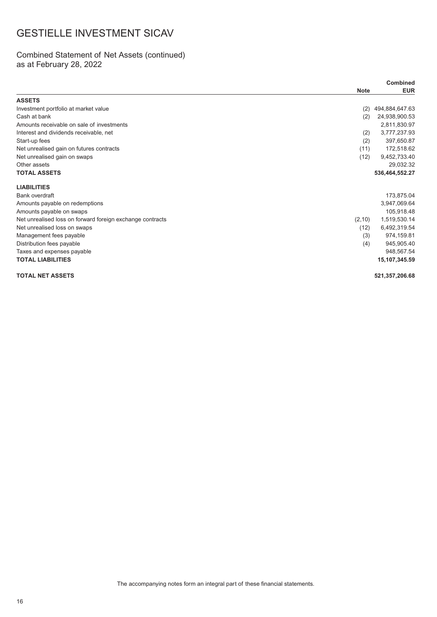#### Combined Statement of Net Assets (continued) as at February 28, 2022

|                                                           | <b>Combined</b> |                |
|-----------------------------------------------------------|-----------------|----------------|
|                                                           | <b>Note</b>     | <b>EUR</b>     |
| <b>ASSETS</b>                                             |                 |                |
| Investment portfolio at market value                      | (2)             | 494,884,647.63 |
| Cash at bank                                              | (2)             | 24,938,900.53  |
| Amounts receivable on sale of investments                 |                 | 2,811,830.97   |
| Interest and dividends receivable, net                    | (2)             | 3,777,237.93   |
| Start-up fees                                             | (2)             | 397,650.87     |
| Net unrealised gain on futures contracts                  | (11)            | 172,518.62     |
| Net unrealised gain on swaps                              | (12)            | 9,452,733.40   |
| Other assets                                              |                 | 29,032.32      |
| <b>TOTAL ASSETS</b>                                       |                 | 536,464,552.27 |
| <b>LIABILITIES</b>                                        |                 |                |
| Bank overdraft                                            |                 | 173,875.04     |
| Amounts payable on redemptions                            |                 | 3,947,069.64   |
| Amounts payable on swaps                                  |                 | 105,918.48     |
| Net unrealised loss on forward foreign exchange contracts | (2, 10)         | 1,519,530.14   |
| Net unrealised loss on swaps                              | (12)            | 6,492,319.54   |
| Management fees payable                                   | (3)             | 974,159.81     |
| Distribution fees payable                                 | (4)             | 945,905.40     |
| Taxes and expenses payable                                |                 | 948,567.54     |
| <b>TOTAL LIABILITIES</b>                                  |                 | 15,107,345.59  |
| <b>TOTAL NET ASSETS</b>                                   |                 | 521,357,206.68 |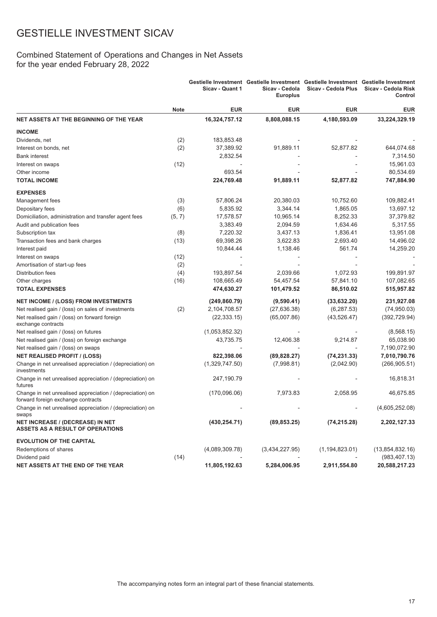### Combined Statement of Operations and Changes in Net Assets for the year ended February 28, 2022

|                                                                                                 |             | Sicav - Quant 1 | Gestielle Investment Gestielle Investment Gestielle Investment Gestielle Investment<br>Sicav - Cedola<br><b>Europlus</b> | Sicav - Cedola Plus | Sicav - Cedola Risk<br>Control |
|-------------------------------------------------------------------------------------------------|-------------|-----------------|--------------------------------------------------------------------------------------------------------------------------|---------------------|--------------------------------|
|                                                                                                 | <b>Note</b> | <b>EUR</b>      | <b>EUR</b>                                                                                                               | <b>EUR</b>          | <b>EUR</b>                     |
| NET ASSETS AT THE BEGINNING OF THE YEAR                                                         |             | 16,324,757.12   | 8,808,088.15                                                                                                             | 4,180,593.09        | 33,224,329.19                  |
| <b>INCOME</b>                                                                                   |             |                 |                                                                                                                          |                     |                                |
| Dividends, net                                                                                  | (2)         | 183,853.48      |                                                                                                                          |                     |                                |
| Interest on bonds, net                                                                          | (2)         | 37,389.92       | 91,889.11                                                                                                                | 52,877.82           | 644,074.68                     |
| <b>Bank interest</b>                                                                            |             | 2,832.54        |                                                                                                                          |                     | 7,314.50                       |
| Interest on swaps                                                                               | (12)        |                 |                                                                                                                          |                     | 15,961.03                      |
| Other income                                                                                    |             | 693.54          |                                                                                                                          |                     | 80,534.69                      |
| <b>TOTAL INCOME</b>                                                                             |             | 224,769.48      | 91,889.11                                                                                                                | 52,877.82           | 747,884.90                     |
| <b>EXPENSES</b>                                                                                 |             |                 |                                                                                                                          |                     |                                |
| Management fees                                                                                 | (3)         | 57,806.24       | 20,380.03                                                                                                                | 10,752.60           | 109,882.41                     |
| Depositary fees                                                                                 | (6)         | 5,835.92        | 3,344.14                                                                                                                 | 1,865.05            | 13,697.12                      |
| Domiciliation, administration and transfer agent fees                                           | (5, 7)      | 17,578.57       | 10,965.14                                                                                                                | 8,252.33            | 37,379.82                      |
| Audit and publication fees                                                                      |             | 3,383.49        | 2,094.59                                                                                                                 | 1,634.46            | 5,317.55                       |
| Subscription tax                                                                                | (8)         | 7,220.32        | 3,437.13                                                                                                                 | 1,836.41            | 13,951.08                      |
| Transaction fees and bank charges                                                               | (13)        | 69,398.26       | 3,622.83                                                                                                                 | 2,693.40            | 14,496.02                      |
| Interest paid                                                                                   |             | 10,844.44       | 1,138.46                                                                                                                 | 561.74              | 14,259.20                      |
| Interest on swaps                                                                               | (12)        |                 |                                                                                                                          |                     |                                |
| Amortisation of start-up fees                                                                   | (2)         |                 |                                                                                                                          |                     |                                |
| Distribution fees                                                                               | (4)         | 193,897.54      | 2,039.66                                                                                                                 | 1,072.93            | 199,891.97                     |
| Other charges                                                                                   | (16)        | 108,665.49      | 54,457.54                                                                                                                | 57,841.10           | 107,082.65                     |
| <b>TOTAL EXPENSES</b>                                                                           |             | 474,630.27      | 101,479.52                                                                                                               | 86,510.02           | 515,957.82                     |
| <b>NET INCOME / (LOSS) FROM INVESTMENTS</b>                                                     |             | (249, 860.79)   | (9,590.41)                                                                                                               | (33,632.20)         | 231,927.08                     |
| Net realised gain / (loss) on sales of investments                                              | (2)         | 2,104,708.57    | (27, 636.38)                                                                                                             | (6, 287.53)         | (74,950.03)                    |
| Net realised gain / (loss) on forward foreign<br>exchange contracts                             |             | (22, 333.15)    | (65,007.86)                                                                                                              | (43, 526.47)        | (392, 729.94)                  |
| Net realised gain / (loss) on futures                                                           |             | (1,053,852.32)  |                                                                                                                          |                     | (8, 568.15)                    |
| Net realised gain / (loss) on foreign exchange                                                  |             | 43,735.75       | 12,406.38                                                                                                                | 9,214.87            | 65,038.90                      |
| Net realised gain / (loss) on swaps                                                             |             |                 |                                                                                                                          |                     | 7,190,072.90                   |
| <b>NET REALISED PROFIT / (LOSS)</b>                                                             |             | 822,398.06      | (89, 828.27)                                                                                                             | (74, 231.33)        | 7,010,790.76                   |
| Change in net unrealised appreciation / (depreciation) on<br>investments                        |             | (1,329,747.50)  | (7,998.81)                                                                                                               | (2,042.90)          | (266, 905.51)                  |
| Change in net unrealised appreciation / (depreciation) on<br>futures                            |             | 247,190.79      |                                                                                                                          |                     | 16,818.31                      |
| Change in net unrealised appreciation / (depreciation) on<br>forward foreign exchange contracts |             | (170,096.06)    | 7,973.83                                                                                                                 | 2,058.95            | 46,675.85                      |
| Change in net unrealised appreciation / (depreciation) on<br>swaps                              |             |                 |                                                                                                                          |                     | (4,605,252.08)                 |
| NET INCREASE / (DECREASE) IN NET<br><b>ASSETS AS A RESULT OF OPERATIONS</b>                     |             | (430, 254.71)   | (89, 853.25)                                                                                                             | (74, 215.28)        | 2,202,127.33                   |
| <b>EVOLUTION OF THE CAPITAL</b>                                                                 |             |                 |                                                                                                                          |                     |                                |
| Redemptions of shares                                                                           |             | (4,089,309.78)  | (3,434,227.95)                                                                                                           | (1, 194, 823.01)    | (13,854,832.16)                |
| Dividend paid                                                                                   | (14)        |                 |                                                                                                                          |                     | (983, 407.13)                  |
| NET ASSETS AT THE END OF THE YEAR                                                               |             | 11,805,192.63   | 5,284,006.95                                                                                                             | 2,911,554.80        | 20,588,217.23                  |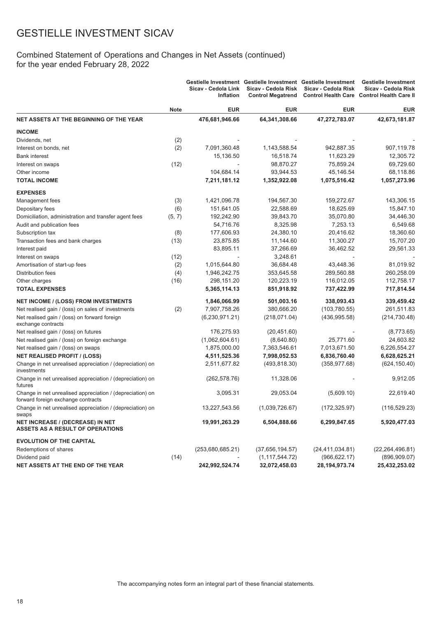### Combined Statement of Operations and Changes in Net Assets (continued) for the year ended February 28, 2022

|                                                                                                 |             | Sicav - Cedola Link<br>Inflation | Gestielle Investment Gestielle Investment Gestielle Investment<br>Sicav - Cedola Risk<br><b>Control Megatrend</b> | Sicav - Cedola Risk | <b>Gestielle Investment</b><br>Sicav - Cedola Risk<br>Control Health Care Control Health Care II |
|-------------------------------------------------------------------------------------------------|-------------|----------------------------------|-------------------------------------------------------------------------------------------------------------------|---------------------|--------------------------------------------------------------------------------------------------|
|                                                                                                 | <b>Note</b> | <b>EUR</b>                       | <b>EUR</b>                                                                                                        | <b>EUR</b>          | <b>EUR</b>                                                                                       |
| NET ASSETS AT THE BEGINNING OF THE YEAR                                                         |             | 476,681,946.66                   | 64,341,308.66                                                                                                     | 47,272,783.07       | 42,673,181.87                                                                                    |
| <b>INCOME</b>                                                                                   |             |                                  |                                                                                                                   |                     |                                                                                                  |
| Dividends, net                                                                                  | (2)         |                                  |                                                                                                                   |                     |                                                                                                  |
| Interest on bonds, net                                                                          | (2)         | 7,091,360.48                     | 1,143,588.54                                                                                                      | 942,887.35          | 907,119.78                                                                                       |
| <b>Bank interest</b>                                                                            |             | 15,136.50                        | 16,518.74                                                                                                         | 11,623.29           | 12,305.72                                                                                        |
| Interest on swaps                                                                               | (12)        |                                  | 98,870.27                                                                                                         | 75,859.24           | 69,729.60                                                                                        |
| Other income                                                                                    |             | 104,684.14                       | 93,944.53                                                                                                         | 45,146.54           | 68,118.86                                                                                        |
| <b>TOTAL INCOME</b>                                                                             |             | 7,211,181.12                     | 1,352,922.08                                                                                                      | 1,075,516.42        | 1,057,273.96                                                                                     |
| <b>EXPENSES</b>                                                                                 |             |                                  |                                                                                                                   |                     |                                                                                                  |
| Management fees                                                                                 | (3)         | 1,421,096.78                     | 194,567.30                                                                                                        | 159,272.67          | 143,306.15                                                                                       |
| Depositary fees                                                                                 | (6)         | 151,641.05                       | 22,588.69                                                                                                         | 18,625.69           | 15,847.10                                                                                        |
| Domiciliation, administration and transfer agent fees                                           | (5, 7)      | 192,242.90                       | 39,843.70                                                                                                         | 35,070.80           | 34,446.30                                                                                        |
| Audit and publication fees                                                                      |             | 54,716.76                        | 8,325.98                                                                                                          | 7,253.13            | 6,549.68                                                                                         |
| Subscription tax                                                                                | (8)         | 177,606.93                       | 24,380.10                                                                                                         | 20,416.62           | 18,360.60                                                                                        |
| Transaction fees and bank charges                                                               | (13)        | 23,875.85                        | 11,144.60                                                                                                         | 11,300.27           | 15,707.20                                                                                        |
| Interest paid                                                                                   |             | 83,895.11                        | 37,266.69                                                                                                         | 36,462.52           | 29,561.33                                                                                        |
| Interest on swaps                                                                               | (12)        |                                  | 3,248.61                                                                                                          |                     |                                                                                                  |
| Amortisation of start-up fees                                                                   | (2)         | 1,015,644.80                     | 36,684.48                                                                                                         | 43,448.36           | 81,019.92                                                                                        |
| Distribution fees                                                                               | (4)         | 1,946,242.75                     | 353,645.58                                                                                                        | 289,560.88          | 260,258.09                                                                                       |
| Other charges                                                                                   | (16)        | 298,151.20                       | 120,223.19                                                                                                        | 116,012.05          | 112,758.17                                                                                       |
| <b>TOTAL EXPENSES</b>                                                                           |             | 5,365,114.13                     | 851,918.92                                                                                                        | 737,422.99          | 717,814.54                                                                                       |
| <b>NET INCOME / (LOSS) FROM INVESTMENTS</b>                                                     |             | 1,846,066.99                     | 501,003.16                                                                                                        | 338,093.43          | 339,459.42                                                                                       |
| Net realised gain / (loss) on sales of investments                                              | (2)         | 7,907,758.26                     | 380,666.20                                                                                                        | (103, 780.55)       | 261,511.83                                                                                       |
| Net realised gain / (loss) on forward foreign<br>exchange contracts                             |             | (6,230,971.21)                   | (218, 071.04)                                                                                                     | (436, 995.58)       | (214, 730.48)                                                                                    |
| Net realised gain / (loss) on futures                                                           |             | 176,275.93                       | (20, 451.60)                                                                                                      |                     | (8,773.65)                                                                                       |
| Net realised gain / (loss) on foreign exchange                                                  |             | (1,062,604.61)                   | (8,640.80)                                                                                                        | 25,771.60           | 24,603.82                                                                                        |
| Net realised gain / (loss) on swaps                                                             |             | 1,875,000.00                     | 7,363,546.61                                                                                                      | 7,013,671.50        | 6,226,554.27                                                                                     |
| <b>NET REALISED PROFIT / (LOSS)</b>                                                             |             | 4,511,525.36                     | 7,998,052.53                                                                                                      | 6,836,760.40        | 6,628,625.21                                                                                     |
| Change in net unrealised appreciation / (depreciation) on<br>investments                        |             | 2,511,677.82                     | (493, 818.30)                                                                                                     | (358, 977.68)       | (624, 150.40)                                                                                    |
| Change in net unrealised appreciation / (depreciation) on<br>futures                            |             | (262, 578.76)                    | 11,328.06                                                                                                         |                     | 9,912.05                                                                                         |
| Change in net unrealised appreciation / (depreciation) on<br>forward foreign exchange contracts |             | 3,095.31                         | 29,053.04                                                                                                         | (5,609.10)          | 22,619.40                                                                                        |
| Change in net unrealised appreciation / (depreciation) on<br>swaps                              |             | 13,227,543.56                    | (1,039,726.67)                                                                                                    | (172, 325.97)       | (116, 529.23)                                                                                    |
| <b>NET INCREASE / (DECREASE) IN NET</b><br><b>ASSETS AS A RESULT OF OPERATIONS</b>              |             | 19,991,263.29                    | 6,504,888.66                                                                                                      | 6,299,847.65        | 5,920,477.03                                                                                     |
| <b>EVOLUTION OF THE CAPITAL</b>                                                                 |             |                                  |                                                                                                                   |                     |                                                                                                  |
| Redemptions of shares                                                                           |             | (253,680,685.21)                 | (37,656,194.57)                                                                                                   | (24, 411, 034.81)   | (22, 264, 496.81)                                                                                |
| Dividend paid                                                                                   | (14)        |                                  | (1, 117, 544.72)                                                                                                  | (966, 622.17)       | (896, 909.07)                                                                                    |
| NET ASSETS AT THE END OF THE YEAR                                                               |             | 242,992,524.74                   | 32,072,458.03                                                                                                     | 28, 194, 973. 74    | 25,432,253.02                                                                                    |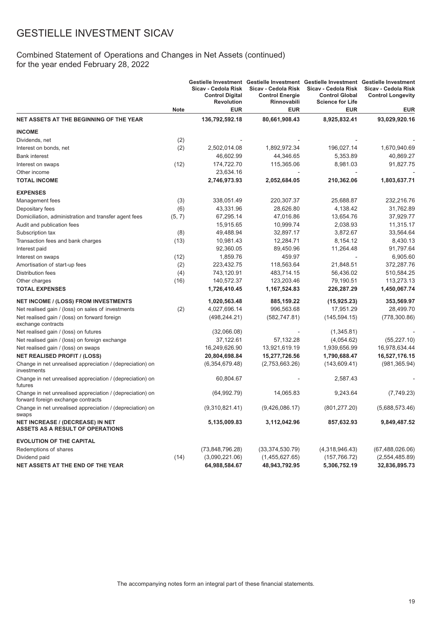### Combined Statement of Operations and Changes in Net Assets (continued) for the year ended February 28, 2022

|                                                                                                 |             | Sicav - Cedola Risk<br><b>Control Digital</b><br><b>Revolution</b> | Gestielle Investment Gestielle Investment Gestielle Investment Gestielle Investment<br>Sicav - Cedola Risk<br><b>Control Energie</b><br>Rinnovabili | Sicav - Cedola Risk<br><b>Control Global</b><br><b>Science for Life</b> | Sicav - Cedola Risk<br><b>Control Longevity</b> |
|-------------------------------------------------------------------------------------------------|-------------|--------------------------------------------------------------------|-----------------------------------------------------------------------------------------------------------------------------------------------------|-------------------------------------------------------------------------|-------------------------------------------------|
|                                                                                                 | <b>Note</b> | <b>EUR</b>                                                         | <b>EUR</b>                                                                                                                                          | <b>EUR</b>                                                              | <b>EUR</b>                                      |
| <b>NET ASSETS AT THE BEGINNING OF THE YEAR</b>                                                  |             | 136,792,592.18                                                     | 80,661,908.43                                                                                                                                       | 8,925,832.41                                                            | 93,029,920.16                                   |
| <b>INCOME</b>                                                                                   |             |                                                                    |                                                                                                                                                     |                                                                         |                                                 |
| Dividends, net                                                                                  | (2)         |                                                                    |                                                                                                                                                     |                                                                         |                                                 |
| Interest on bonds, net                                                                          | (2)         | 2,502,014.08                                                       | 1,892,972.34                                                                                                                                        | 196,027.14                                                              | 1,670,940.69                                    |
| <b>Bank interest</b>                                                                            |             | 46,602.99                                                          | 44,346.65                                                                                                                                           | 5,353.89                                                                | 40,869.27                                       |
| Interest on swaps                                                                               | (12)        | 174,722.70                                                         | 115,365.06                                                                                                                                          | 8,981.03                                                                | 91,827.75                                       |
| Other income                                                                                    |             | 23,634.16                                                          |                                                                                                                                                     |                                                                         |                                                 |
| <b>TOTAL INCOME</b>                                                                             |             | 2,746,973.93                                                       | 2,052,684.05                                                                                                                                        | 210,362.06                                                              | 1,803,637.71                                    |
| <b>EXPENSES</b>                                                                                 |             |                                                                    |                                                                                                                                                     |                                                                         |                                                 |
| Management fees                                                                                 | (3)         | 338,051.49                                                         | 220,307.37                                                                                                                                          | 25,688.87                                                               | 232,216.76                                      |
| Depositary fees                                                                                 | (6)         | 43,331.96                                                          | 28,626.80                                                                                                                                           | 4,138.42                                                                | 31,762.89                                       |
| Domiciliation, administration and transfer agent fees                                           | (5, 7)      | 67,295.14                                                          | 47,016.86                                                                                                                                           | 13,654.76                                                               | 37,929.77                                       |
| Audit and publication fees                                                                      |             | 15,915.65                                                          | 10,999.74                                                                                                                                           | 2,038.93                                                                | 11,315.17                                       |
| Subscription tax                                                                                | (8)         | 49,488.94                                                          | 32,897.17                                                                                                                                           | 3,872.67                                                                | 33,564.64                                       |
| Transaction fees and bank charges                                                               | (13)        | 10,981.43                                                          | 12,284.71                                                                                                                                           | 8,154.12                                                                | 8,430.13                                        |
| Interest paid                                                                                   |             | 92,360.05                                                          | 89,450.96                                                                                                                                           | 11,264.48                                                               | 91,797.64                                       |
| Interest on swaps                                                                               | (12)        | 1,859.76                                                           | 459.97                                                                                                                                              |                                                                         | 6,905.60                                        |
| Amortisation of start-up fees                                                                   | (2)         | 223,432.75                                                         | 118,563.64                                                                                                                                          | 21,848.51                                                               | 372,287.76                                      |
| Distribution fees                                                                               | (4)         | 743,120.91                                                         | 483,714.15                                                                                                                                          | 56,436.02                                                               | 510,584.25                                      |
| Other charges                                                                                   | (16)        | 140,572.37                                                         | 123,203.46                                                                                                                                          | 79,190.51                                                               | 113,273.13                                      |
| <b>TOTAL EXPENSES</b>                                                                           |             | 1,726,410.45                                                       | 1,167,524.83                                                                                                                                        | 226,287.29                                                              | 1,450,067.74                                    |
| <b>NET INCOME / (LOSS) FROM INVESTMENTS</b>                                                     |             | 1,020,563.48                                                       | 885,159.22                                                                                                                                          | (15, 925.23)                                                            | 353,569.97                                      |
| Net realised gain / (loss) on sales of investments                                              | (2)         | 4,027,696.14                                                       | 996,563.68                                                                                                                                          | 17,951.29                                                               | 28,499.70                                       |
| Net realised gain / (loss) on forward foreign<br>exchange contracts                             |             | (498, 244.21)                                                      | (582, 747.81)                                                                                                                                       | (145, 594.15)                                                           | (778, 300.86)                                   |
| Net realised gain / (loss) on futures                                                           |             | (32,066.08)                                                        |                                                                                                                                                     | (1,345.81)                                                              |                                                 |
| Net realised gain / (loss) on foreign exchange                                                  |             | 37,122.61                                                          | 57,132.28                                                                                                                                           | (4,054.62)                                                              | (55, 227.10)                                    |
| Net realised gain / (loss) on swaps                                                             |             | 16,249,626.90                                                      | 13,921,619.19                                                                                                                                       | 1,939,656.99                                                            | 16,978,634.44                                   |
| <b>NET REALISED PROFIT / (LOSS)</b>                                                             |             | 20,804,698.84                                                      | 15,277,726.56                                                                                                                                       | 1,790,688.47                                                            | 16,527,176.15                                   |
| Change in net unrealised appreciation / (depreciation) on<br>investments                        |             | (6,354,679.48)                                                     | (2,753,663.26)                                                                                                                                      | (143,609.41)                                                            | (981, 365.94)                                   |
| Change in net unrealised appreciation / (depreciation) on<br>futures                            |             | 60,804.67                                                          |                                                                                                                                                     | 2,587.43                                                                |                                                 |
| Change in net unrealised appreciation / (depreciation) on<br>forward foreign exchange contracts |             | (64, 992.79)                                                       | 14,065.83                                                                                                                                           | 9,243.64                                                                | (7,749.23)                                      |
| Change in net unrealised appreciation / (depreciation) on<br>swaps                              |             | (9,310,821.41)                                                     | (9,426,086.17)                                                                                                                                      | (801, 277.20)                                                           | (5,688,573.46)                                  |
| NET INCREASE / (DECREASE) IN NET<br><b>ASSETS AS A RESULT OF OPERATIONS</b>                     |             | 5,135,009.83                                                       | 3,112,042.96                                                                                                                                        | 857,632.93                                                              | 9,849,487.52                                    |
| <b>EVOLUTION OF THE CAPITAL</b>                                                                 |             |                                                                    |                                                                                                                                                     |                                                                         |                                                 |
| Redemptions of shares                                                                           |             | (73,848,796.28)                                                    | (33, 374, 530.79)                                                                                                                                   | (4,318,946.43)                                                          | (67, 488, 026.06)                               |
| Dividend paid                                                                                   | (14)        | (3,090,221.06)                                                     | (1,455,627.65)                                                                                                                                      | (157, 766.72)                                                           | (2,554,485.89)                                  |
| NET ASSETS AT THE END OF THE YEAR                                                               |             | 64,988,584.67                                                      | 48,943,792.95                                                                                                                                       | 5,306,752.19                                                            | 32,836,895.73                                   |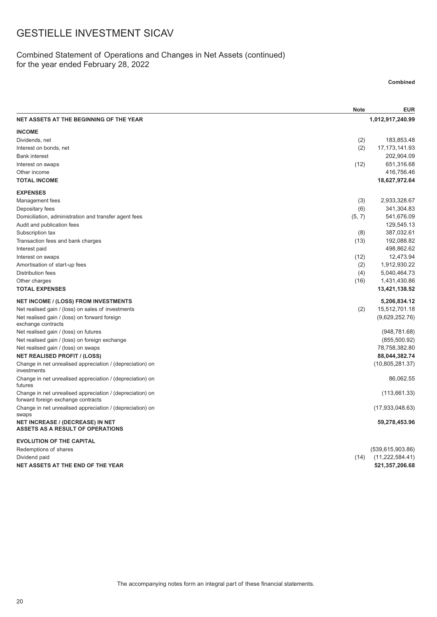### Combined Statement of Operations and Changes in Net Assets (continued) for the year ended February 28, 2022

#### **Combined**

|                                                                                                 | <b>Note</b> | <b>EUR</b>         |
|-------------------------------------------------------------------------------------------------|-------------|--------------------|
| NET ASSETS AT THE BEGINNING OF THE YEAR                                                         |             | 1,012,917,240.99   |
| <b>INCOME</b>                                                                                   |             |                    |
| Dividends, net                                                                                  | (2)         | 183,853.48         |
| Interest on bonds, net                                                                          | (2)         | 17, 173, 141. 93   |
| <b>Bank interest</b>                                                                            |             | 202,904.09         |
| Interest on swaps                                                                               | (12)        | 651,316.68         |
| Other income                                                                                    |             | 416,756.46         |
| <b>TOTAL INCOME</b>                                                                             |             | 18,627,972.64      |
| <b>EXPENSES</b>                                                                                 |             |                    |
| Management fees                                                                                 | (3)         | 2,933,328.67       |
| Depositary fees                                                                                 | (6)         | 341,304.83         |
| Domiciliation, administration and transfer agent fees                                           | (5, 7)      | 541,676.09         |
| Audit and publication fees                                                                      |             | 129,545.13         |
| Subscription tax                                                                                | (8)         | 387,032.61         |
| Transaction fees and bank charges                                                               | (13)        | 192,088.82         |
| Interest paid                                                                                   |             | 498,862.62         |
| Interest on swaps                                                                               | (12)        | 12,473.94          |
| Amortisation of start-up fees                                                                   | (2)         | 1,912,930.22       |
| <b>Distribution fees</b>                                                                        | (4)         | 5,040,464.73       |
| Other charges                                                                                   | (16)        | 1,431,430.86       |
| <b>TOTAL EXPENSES</b>                                                                           |             | 13,421,138.52      |
| <b>NET INCOME / (LOSS) FROM INVESTMENTS</b>                                                     |             | 5,206,834.12       |
| Net realised gain / (loss) on sales of investments                                              | (2)         | 15,512,701.18      |
| Net realised gain / (loss) on forward foreign<br>exchange contracts                             |             | (9,629,252.76)     |
| Net realised gain / (loss) on futures                                                           |             | (948, 781.68)      |
| Net realised gain / (loss) on foreign exchange                                                  |             | (855,500.92)       |
| Net realised gain / (loss) on swaps                                                             |             | 78,758,382.80      |
| <b>NET REALISED PROFIT / (LOSS)</b>                                                             |             | 88,044,382.74      |
| Change in net unrealised appreciation / (depreciation) on<br>investments                        |             | (10,805,281.37)    |
| Change in net unrealised appreciation / (depreciation) on<br>futures                            |             | 86,062.55          |
| Change in net unrealised appreciation / (depreciation) on<br>forward foreign exchange contracts |             | (113,661.33)       |
| Change in net unrealised appreciation / (depreciation) on<br>swaps                              |             | (17,933,048.63)    |
| <b>NET INCREASE / (DECREASE) IN NET</b><br><b>ASSETS AS A RESULT OF OPERATIONS</b>              |             | 59,278,453.96      |
| <b>EVOLUTION OF THE CAPITAL</b>                                                                 |             |                    |
| Redemptions of shares                                                                           |             | (539, 615, 903.86) |
| Dividend paid                                                                                   | (14)        | (11, 222, 584.41)  |
| NET ASSETS AT THE END OF THE YEAR                                                               |             | 521,357,206.68     |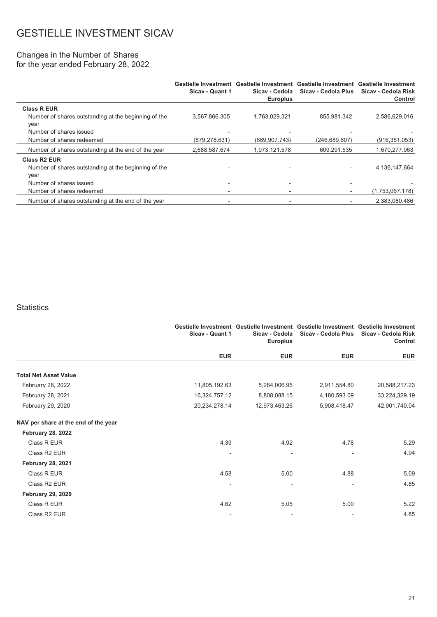#### Changes in the Number of Shares for the year ended February 28, 2022

|                                                      | Sicay - Quant 1 | Gestielle Investment Gestielle Investment Gestielle Investment Gestielle Investment<br>Sicav - Cedola<br><b>Europlus</b> | Sicav - Cedola Plus | Sicav - Cedola Risk<br>Control |
|------------------------------------------------------|-----------------|--------------------------------------------------------------------------------------------------------------------------|---------------------|--------------------------------|
| <b>Class R EUR</b>                                   |                 |                                                                                                                          |                     |                                |
| Number of shares outstanding at the beginning of the | 3,567,866.305   | 1.763.029.321                                                                                                            | 855.981.342         | 2,586,629.016                  |
| year                                                 |                 |                                                                                                                          |                     |                                |
| Number of shares issued                              |                 |                                                                                                                          |                     |                                |
| Number of shares redeemed                            | (879, 278.631)  | (689.907.743)                                                                                                            | (246, 689.807)      | (916, 351.053)                 |
| Number of shares outstanding at the end of the year  | 2,688,587.674   | 1,073,121.578                                                                                                            | 609.291.535         | 1,670,277.963                  |
| <b>Class R2 EUR</b>                                  |                 |                                                                                                                          |                     |                                |
| Number of shares outstanding at the beginning of the |                 |                                                                                                                          |                     | 4,136,147.664                  |
| year                                                 |                 |                                                                                                                          |                     |                                |
| Number of shares issued                              |                 |                                                                                                                          |                     |                                |
| Number of shares redeemed                            |                 |                                                                                                                          |                     | (1,753,067.178)                |
| Number of shares outstanding at the end of the year  |                 |                                                                                                                          |                     | 2.383.080.486                  |

#### **Statistics**

| Sicay - Quant 1              | <b>Europlus</b> | Sicav - Cedola Plus                                                                   | Sicav - Cedola Risk<br>Control                                                                                                                       |
|------------------------------|-----------------|---------------------------------------------------------------------------------------|------------------------------------------------------------------------------------------------------------------------------------------------------|
|                              |                 | <b>EUR</b>                                                                            | <b>EUR</b>                                                                                                                                           |
|                              |                 |                                                                                       |                                                                                                                                                      |
|                              | 5,284,006.95    | 2,911,554.80                                                                          | 20,588,217.23                                                                                                                                        |
|                              | 8,808,088.15    | 4,180,593.09                                                                          | 33,224,329.19                                                                                                                                        |
|                              |                 | 5,908,418.47                                                                          | 42,901,740.04                                                                                                                                        |
|                              |                 |                                                                                       |                                                                                                                                                      |
|                              |                 |                                                                                       |                                                                                                                                                      |
|                              |                 | 4.78                                                                                  | 5.29                                                                                                                                                 |
| $\qquad \qquad \blacksquare$ |                 |                                                                                       | 4.94                                                                                                                                                 |
|                              |                 |                                                                                       |                                                                                                                                                      |
|                              |                 | 4.88                                                                                  | 5.09                                                                                                                                                 |
|                              |                 |                                                                                       | 4.85                                                                                                                                                 |
|                              |                 |                                                                                       |                                                                                                                                                      |
|                              | 5.05            | 5.00                                                                                  | 5.22                                                                                                                                                 |
| $\overline{\phantom{a}}$     |                 |                                                                                       | 4.85                                                                                                                                                 |
|                              |                 | <b>EUR</b><br>11,805,192.63<br>16,324,757.12<br>20,234,278.14<br>4.39<br>4.58<br>4.62 | Gestielle Investment Gestielle Investment Gestielle Investment Gestielle Investment<br>Sicav - Cedola<br><b>EUR</b><br>12,973,463.26<br>4.92<br>5.00 |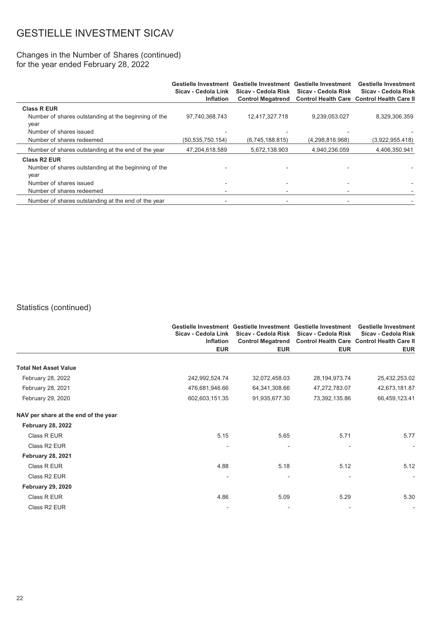#### Changes in the Number of Shares (continued) for the year ended February 28, 2022

|                                                      | Sicav - Cedola Link<br><b>Inflation</b> | Sicav - Cedola Risk<br><b>Control Megatrend</b> | Gestielle Investment Gestielle Investment Gestielle Investment<br>Sicav - Cedola Risk | <b>Gestielle Investment</b><br>Sicav - Cedola Risk<br><b>Control Health Care Control Health Care II</b> |
|------------------------------------------------------|-----------------------------------------|-------------------------------------------------|---------------------------------------------------------------------------------------|---------------------------------------------------------------------------------------------------------|
| <b>Class R EUR</b>                                   |                                         |                                                 |                                                                                       |                                                                                                         |
| Number of shares outstanding at the beginning of the | 97,740,368.743                          | 12,417,327.718                                  | 9,239,053.027                                                                         | 8,329,306.359                                                                                           |
| year                                                 |                                         |                                                 |                                                                                       |                                                                                                         |
| Number of shares issued                              |                                         |                                                 |                                                                                       |                                                                                                         |
| Number of shares redeemed                            | (50, 535, 750, 154)                     | (6,745,188.815)                                 | (4, 298, 816.968)                                                                     | (3,922,955.418)                                                                                         |
| Number of shares outstanding at the end of the year  | 47,204,618.589                          | 5,672,138.903                                   | 4,940,236.059                                                                         | 4,406,350.941                                                                                           |
| <b>Class R2 EUR</b>                                  |                                         |                                                 |                                                                                       |                                                                                                         |
| Number of shares outstanding at the beginning of the |                                         |                                                 |                                                                                       |                                                                                                         |
| year                                                 |                                         |                                                 |                                                                                       |                                                                                                         |
| Number of shares issued                              |                                         |                                                 |                                                                                       |                                                                                                         |
| Number of shares redeemed                            |                                         |                                                 |                                                                                       |                                                                                                         |
| Number of shares outstanding at the end of the year  |                                         |                                                 |                                                                                       |                                                                                                         |

### Statistics (continued)

|                                      | Sicav - Cedola Link<br><b>Inflation</b> | Gestielle Investment Gestielle Investment Gestielle Investment<br>Sicav - Cedola Risk | Sicav - Cedola Risk | <b>Gestielle Investment</b><br>Sicav - Cedola Risk<br>Control Megatrend Control Health Care Control Health Care II |
|--------------------------------------|-----------------------------------------|---------------------------------------------------------------------------------------|---------------------|--------------------------------------------------------------------------------------------------------------------|
|                                      | <b>EUR</b>                              | <b>EUR</b>                                                                            | <b>EUR</b>          | <b>EUR</b>                                                                                                         |
| <b>Total Net Asset Value</b>         |                                         |                                                                                       |                     |                                                                                                                    |
| February 28, 2022                    | 242,992,524.74                          | 32,072,458.03                                                                         | 28, 194, 973. 74    | 25,432,253.02                                                                                                      |
| February 28, 2021                    | 476,681,946.66                          | 64,341,308.66                                                                         | 47,272,783.07       | 42,673,181.87                                                                                                      |
| February 29, 2020                    | 602,603,151.35                          | 91,935,677.30                                                                         | 73,392,135.86       | 66,459,123.41                                                                                                      |
| NAV per share at the end of the year |                                         |                                                                                       |                     |                                                                                                                    |
| <b>February 28, 2022</b>             |                                         |                                                                                       |                     |                                                                                                                    |
| Class R EUR                          | 5.15                                    | 5.65                                                                                  | 5.71                | 5.77                                                                                                               |
| Class R2 EUR                         |                                         |                                                                                       |                     |                                                                                                                    |
| <b>February 28, 2021</b>             |                                         |                                                                                       |                     |                                                                                                                    |
| Class R EUR                          | 4.88                                    | 5.18                                                                                  | 5.12                | 5.12                                                                                                               |
| Class R <sub>2</sub> EUR             |                                         |                                                                                       |                     | $\overline{\phantom{a}}$                                                                                           |
| <b>February 29, 2020</b>             |                                         |                                                                                       |                     |                                                                                                                    |
| Class R EUR                          | 4.86                                    | 5.09                                                                                  | 5.29                | 5.30                                                                                                               |
| Class R2 EUR                         |                                         |                                                                                       |                     |                                                                                                                    |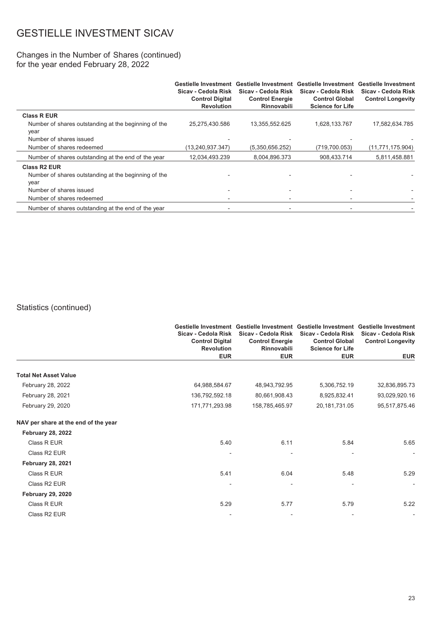#### Changes in the Number of Shares (continued) for the year ended February 28, 2022

|                                                              | Sicav - Cedola Risk<br><b>Control Digital</b><br><b>Revolution</b> | Gestielle Investment Gestielle Investment Gestielle Investment Gestielle Investment<br>Sicav - Cedola Risk<br><b>Control Energie</b><br><b>Rinnovabili</b> | Sicav - Cedola Risk<br><b>Control Global</b><br><b>Science for Life</b> | Sicav - Cedola Risk<br><b>Control Longevity</b> |
|--------------------------------------------------------------|--------------------------------------------------------------------|------------------------------------------------------------------------------------------------------------------------------------------------------------|-------------------------------------------------------------------------|-------------------------------------------------|
| <b>Class R EUR</b>                                           |                                                                    |                                                                                                                                                            |                                                                         |                                                 |
| Number of shares outstanding at the beginning of the<br>year | 25,275,430.586                                                     | 13,355,552.625                                                                                                                                             | 1,628,133.767                                                           | 17,582,634.785                                  |
| Number of shares issued                                      |                                                                    |                                                                                                                                                            |                                                                         |                                                 |
| Number of shares redeemed                                    | (13,240,937.347)                                                   | (5,350,656.252)                                                                                                                                            | (719,700.053)                                                           | (11, 771, 175.904)                              |
| Number of shares outstanding at the end of the year          | 12,034,493.239                                                     | 8,004,896.373                                                                                                                                              | 908,433.714                                                             | 5,811,458.881                                   |
| <b>Class R2 EUR</b>                                          |                                                                    |                                                                                                                                                            |                                                                         |                                                 |
| Number of shares outstanding at the beginning of the         |                                                                    |                                                                                                                                                            |                                                                         |                                                 |
| year                                                         |                                                                    |                                                                                                                                                            |                                                                         |                                                 |
| Number of shares issued                                      |                                                                    |                                                                                                                                                            |                                                                         |                                                 |
| Number of shares redeemed                                    |                                                                    |                                                                                                                                                            |                                                                         |                                                 |
| Number of shares outstanding at the end of the year          |                                                                    |                                                                                                                                                            |                                                                         |                                                 |

### Statistics (continued)

|                                      | Sicav - Cedola Risk<br><b>Control Digital</b><br><b>Revolution</b> | Gestielle Investment Gestielle Investment Gestielle Investment Gestielle Investment<br>Sicav - Cedola Risk<br><b>Control Energie</b><br>Rinnovabili | Sicav - Cedola Risk<br><b>Control Global</b><br><b>Science for Life</b> | Sicav - Cedola Risk<br><b>Control Longevity</b> |
|--------------------------------------|--------------------------------------------------------------------|-----------------------------------------------------------------------------------------------------------------------------------------------------|-------------------------------------------------------------------------|-------------------------------------------------|
|                                      | <b>EUR</b>                                                         | <b>EUR</b>                                                                                                                                          | <b>EUR</b>                                                              | <b>EUR</b>                                      |
| <b>Total Net Asset Value</b>         |                                                                    |                                                                                                                                                     |                                                                         |                                                 |
| February 28, 2022                    | 64,988,584.67                                                      | 48,943,792.95                                                                                                                                       | 5,306,752.19                                                            | 32,836,895.73                                   |
| February 28, 2021                    | 136,792,592.18                                                     | 80,661,908.43                                                                                                                                       | 8,925,832.41                                                            | 93,029,920.16                                   |
| February 29, 2020                    | 171,771,293.98                                                     | 158,785,465.97                                                                                                                                      | 20, 181, 731.05                                                         | 95,517,875.46                                   |
| NAV per share at the end of the year |                                                                    |                                                                                                                                                     |                                                                         |                                                 |
| <b>February 28, 2022</b>             |                                                                    |                                                                                                                                                     |                                                                         |                                                 |
| Class R EUR                          | 5.40                                                               | 6.11                                                                                                                                                | 5.84                                                                    | 5.65                                            |
| Class R2 EUR                         |                                                                    |                                                                                                                                                     |                                                                         | $\overline{\phantom{a}}$                        |
| <b>February 28, 2021</b>             |                                                                    |                                                                                                                                                     |                                                                         |                                                 |
| Class R EUR                          | 5.41                                                               | 6.04                                                                                                                                                | 5.48                                                                    | 5.29                                            |
| Class R2 EUR                         |                                                                    |                                                                                                                                                     |                                                                         |                                                 |
| <b>February 29, 2020</b>             |                                                                    |                                                                                                                                                     |                                                                         |                                                 |
| Class R EUR                          | 5.29                                                               | 5.77                                                                                                                                                | 5.79                                                                    | 5.22                                            |
| Class R2 EUR                         |                                                                    |                                                                                                                                                     |                                                                         |                                                 |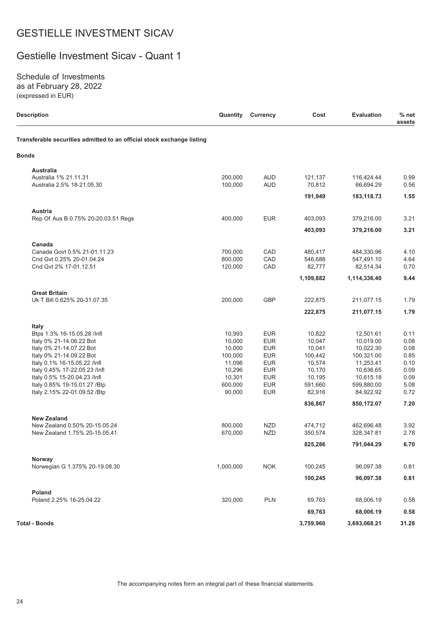### Gestielle Investment Sicav - Quant 1

Schedule of Investments as at February 28, 2022 (expressed in EUR)

| <b>Description</b>                                                     | Quantity  | <b>Currency</b> | Cost               | <b>Evaluation</b>        | $%$ net<br>assets |
|------------------------------------------------------------------------|-----------|-----------------|--------------------|--------------------------|-------------------|
| Transferable securities admitted to an official stock exchange listing |           |                 |                    |                          |                   |
| <b>Bonds</b>                                                           |           |                 |                    |                          |                   |
| <b>Australia</b>                                                       |           |                 |                    |                          |                   |
| Australia 1% 21.11.31                                                  | 200,000   | <b>AUD</b>      | 121,137            | 116,424.44               | 0.99              |
| Australia 2.5% 18-21.05.30                                             | 100,000   | <b>AUD</b>      | 70,812             | 66,694.29                | 0.56              |
|                                                                        |           |                 | 191,949            | 183,118.73               | 1.55              |
| Austria                                                                |           |                 |                    |                          |                   |
| Rep Of Aus B 0.75% 20-20.03.51 Regs                                    | 400.000   | <b>EUR</b>      | 403,093            | 379,216.00               | 3.21              |
|                                                                        |           |                 | 403,093            | 379,216.00               | 3.21              |
|                                                                        |           |                 |                    |                          |                   |
| Canada                                                                 | 700,000   |                 |                    |                          |                   |
| Canada Govt 0.5% 21-01.11.23<br>Cnd Gvt 0.25% 20-01.04.24              | 800,000   | CAD<br>CAD      | 480,417<br>546,688 | 484,330.96<br>547,491.10 | 4.10<br>4.64      |
| Cnd Gvt 2% 17-01.12.51                                                 | 120,000   | CAD             | 82,777             | 82,514.34                | 0.70              |
|                                                                        |           |                 | 1,109,882          |                          | 9.44              |
|                                                                        |           |                 |                    | 1,114,336.40             |                   |
| <b>Great Britain</b>                                                   |           |                 |                    |                          |                   |
| Uk T Bill 0.625% 20-31.07.35                                           | 200,000   | <b>GBP</b>      | 222,875            | 211,077.15               | 1.79              |
|                                                                        |           |                 | 222,875            | 211,077.15               | 1.79              |
| <b>Italy</b>                                                           |           |                 |                    |                          |                   |
| Btps 1.3% 16-15.05.28 /lnfl                                            | 10,993    | <b>EUR</b>      | 10,822             | 12,501.61                | 0.11              |
| Italy 0% 21-14.06.22 Bot                                               | 10,000    | <b>EUR</b>      | 10,047             | 10,019.00                | 0.08              |
| Italy 0% 21-14.07.22 Bot                                               | 10,000    | <b>EUR</b>      | 10,041             | 10,022.30                | 0.08              |
| Italy 0% 21-14.09.22 Bot                                               | 100,000   | <b>EUR</b>      | 100,442            | 100,321.00               | 0.85              |
| Italy 0.1% 16-15.05.22 /Infl                                           | 11,096    | <b>EUR</b>      | 10,574             | 11,253.41                | 0.10              |
| Italy 0.45% 17-22.05.23 /Infl                                          | 10,296    | <b>EUR</b>      | 10,170             | 10,636.65                | 0.09              |
| Italy 0.5% 15-20.04.23 /Infl                                           | 10,301    | <b>EUR</b>      | 10,195             | 10,615.18                | 0.09              |
| Italy 0.85% 19-15.01.27 / Btp                                          | 600,000   | <b>EUR</b>      | 591,660            | 599,880.00               | 5.08              |
| Italy 2.15% 22-01.09.52 / Btp                                          | 90,000    | <b>EUR</b>      | 82,916             | 84,922.92                | 0.72              |
|                                                                        |           |                 | 836,867            | 850,172.07               | 7.20              |
| <b>New Zealand</b>                                                     |           |                 |                    |                          |                   |
| New Zealand 0.50% 20-15.05.24                                          | 800,000   | <b>NZD</b>      | 474,712            | 462,696.48               | 3.92              |
| New Zealand 1.75% 20-15.05.41                                          | 670,000   | <b>NZD</b>      | 350,574            | 328,347.81               | 2.78              |
|                                                                        |           |                 | 825,286            | 791,044.29               | 6.70              |
|                                                                        |           |                 |                    |                          |                   |
| Norway<br>Norwegian G 1.375% 20-19.08.30                               | 1,000,000 | <b>NOK</b>      | 100,245            | 96,097.38                | 0.81              |
|                                                                        |           |                 |                    |                          |                   |
|                                                                        |           |                 | 100,245            | 96,097.38                | 0.81              |
| Poland                                                                 |           |                 |                    |                          |                   |
| Poland 2.25% 16-25.04.22                                               | 320,000   | <b>PLN</b>      | 69,763             | 68,006.19                | 0.58              |
|                                                                        |           |                 | 69,763             | 68,006.19                | 0.58              |
| <b>Total - Bonds</b>                                                   |           |                 | 3,759,960          | 3,693,068.21             | 31.28             |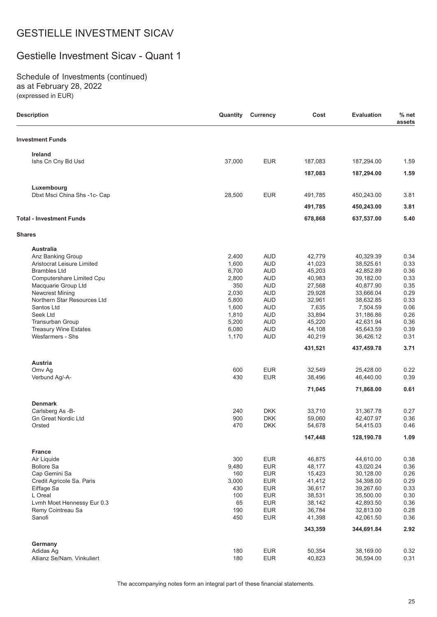### Gestielle Investment Sicav - Quant 1

Schedule of Investments (continued) as at February 28, 2022 (expressed in EUR)

| <b>Description</b>                    | Quantity   | <b>Currency</b>          | Cost             | <b>Evaluation</b>      | $%$ net<br>assets |
|---------------------------------------|------------|--------------------------|------------------|------------------------|-------------------|
| <b>Investment Funds</b>               |            |                          |                  |                        |                   |
| Ireland                               |            |                          |                  |                        |                   |
| Ishs Cn Cny Bd Usd                    | 37,000     | <b>EUR</b>               | 187,083          | 187,294.00             | 1.59              |
|                                       |            |                          | 187,083          | 187,294.00             | 1.59              |
| Luxembourg                            |            |                          |                  |                        |                   |
| Dbxt Msci China Shs -1c- Cap          | 28,500     | <b>EUR</b>               | 491,785          | 450,243.00             | 3.81              |
|                                       |            |                          | 491,785          | 450,243.00             | 3.81              |
| <b>Total - Investment Funds</b>       |            |                          | 678,868          | 637,537.00             | 5.40              |
| <b>Shares</b>                         |            |                          |                  |                        |                   |
| <b>Australia</b>                      |            |                          |                  |                        |                   |
| Anz Banking Group                     | 2,400      | <b>AUD</b>               | 42,779           | 40,329.39              | 0.34              |
| Aristocrat Leisure Limited            | 1,600      | <b>AUD</b>               | 41,023           | 38,525.61              | 0.33              |
| <b>Brambles Ltd</b>                   | 6,700      | <b>AUD</b>               | 45,203           | 42,852.89              | 0.36              |
| Computershare Limited Cpu             | 2,800      | <b>AUD</b>               | 40,983           | 39,182.00              | 0.33              |
| Macquarie Group Ltd                   | 350        | <b>AUD</b>               | 27,568           | 40,877.90              | 0.35              |
| <b>Newcrest Mining</b>                | 2,030      | <b>AUD</b>               | 29,928           | 33,666.04              | 0.29              |
| Northern Star Resources Ltd           | 5,800      | <b>AUD</b>               | 32,961           | 38,632.85              | 0.33              |
| Santos Ltd                            | 1,600      | <b>AUD</b>               | 7,635            | 7,504.59               | 0.06              |
| Seek Ltd                              | 1,810      | <b>AUD</b>               | 33,894           | 31,186.86              | 0.26              |
| Transurban Group                      | 5,200      | <b>AUD</b>               | 45,220           | 42,631.94              | 0.36              |
| <b>Treasury Wine Estates</b>          | 6,080      | <b>AUD</b>               | 44,108           | 45,643.59              | 0.39              |
| Wesfarmers - Shs                      | 1,170      | <b>AUD</b>               | 40,219           | 36,426.12              | 0.31              |
|                                       |            |                          | 431,521          | 437,459.78             | 3.71              |
| Austria                               |            |                          |                  |                        |                   |
| Omv Ag                                | 600        | <b>EUR</b>               | 32,549           | 25,428.00              | 0.22              |
| Verbund Ag/-A-                        | 430        | <b>EUR</b>               | 38,496           | 46,440.00              | 0.39              |
|                                       |            |                          | 71,045           | 71,868.00              | 0.61              |
| <b>Denmark</b>                        |            |                          |                  |                        |                   |
| Carlsberg As -B-                      | 240        | <b>DKK</b>               | 33,710           | 31,367.78              | 0.27              |
| <b>Gn Great Nordic Ltd</b>            | 900        | <b>DKK</b>               | 59.060           | 42,407.97              | 0.36              |
| Orsted                                | 470        | <b>DKK</b>               | 54,678           | 54,415.03              | 0.46              |
|                                       |            |                          | 147,448          | 128,190.78             | 1.09              |
| <b>France</b>                         |            |                          |                  |                        |                   |
| Air Liquide                           | 300        | <b>EUR</b>               | 46,875           | 44,610.00              | 0.38              |
| <b>Bollore Sa</b>                     | 9,480      | <b>EUR</b>               | 48,177           | 43,020.24              | 0.36              |
| Cap Gemini Sa                         | 160        | <b>EUR</b>               | 15,423           | 30,128.00              | 0.26              |
| Credit Agricole Sa. Paris             | 3,000      | <b>EUR</b>               | 41,412           | 34,398.00              | 0.29              |
| Eiffage Sa                            | 430        | <b>EUR</b>               | 36,617           | 39,267.60              | 0.33              |
| L Oreal<br>Lvmh Moet Hennessy Eur 0.3 | 100<br>65  | <b>EUR</b><br><b>EUR</b> | 38,531<br>38,142 | 35,500.00<br>42,893.50 | 0.30<br>0.36      |
|                                       |            |                          |                  |                        |                   |
| Remy Cointreau Sa<br>Sanofi           | 190<br>450 | <b>EUR</b><br><b>EUR</b> | 36,784<br>41,398 | 32,813.00<br>42,061.50 | 0.28<br>0.36      |
|                                       |            |                          | 343,359          | 344,691.84             | 2.92              |
|                                       |            |                          |                  |                        |                   |
| Germany<br>Adidas Ag                  | 180        | <b>EUR</b>               | 50,354           | 38,169.00              | 0.32              |
| Allianz Se/Nam. Vinkuliert            | 180        | <b>EUR</b>               | 40,823           | 36,594.00              | 0.31              |
|                                       |            |                          |                  |                        |                   |

The accompanying notes form an integral part of these financial statements.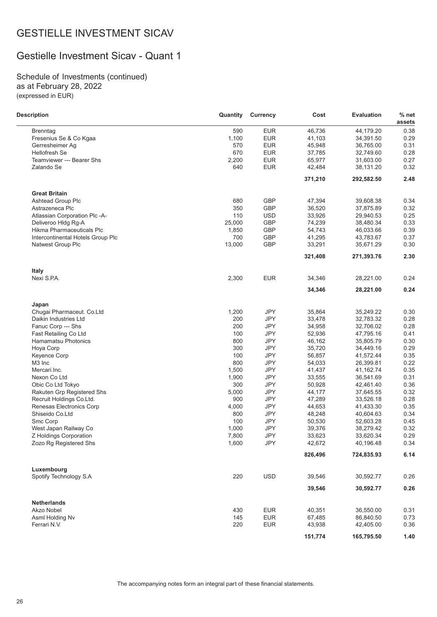### Gestielle Investment Sicav - Quant 1

Schedule of Investments (continued) as at February 28, 2022 (expressed in EUR)

| <b>Description</b>                | Quantity | Currency   | Cost    | <b>Evaluation</b> | % net<br>assets |
|-----------------------------------|----------|------------|---------|-------------------|-----------------|
| <b>Brenntag</b>                   | 590      | <b>EUR</b> | 46,736  | 44,179.20         | 0.38            |
| Fresenius Se & Co Kgaa            | 1,100    | <b>EUR</b> | 41,103  | 34,391.50         | 0.29            |
| Gerresheimer Ag                   | 570      | <b>EUR</b> | 45,948  | 36,765.00         | 0.31            |
| <b>Hellofresh Se</b>              | 670      | <b>EUR</b> | 37,785  | 32,749.60         | 0.28            |
| Teamviewer --- Bearer Shs         | 2,200    | <b>EUR</b> | 65,977  | 31,603.00         | 0.27            |
| Zalando Se                        | 640      | <b>EUR</b> | 42,484  | 38,131.20         | 0.32            |
|                                   |          |            | 371,210 | 292,582.50        | 2.48            |
| <b>Great Britain</b>              |          |            |         |                   |                 |
| <b>Ashtead Group Plc</b>          | 680      | <b>GBP</b> | 47,394  | 39,608.38         | 0.34            |
| Astrazeneca Plc                   | 350      | GBP        | 36,520  | 37,875.89         | 0.32            |
| Atlassian Corporation Plc -A-     | 110      | <b>USD</b> | 33,926  | 29,940.53         | 0.25            |
| Deliveroo HIdg Rg-A               | 25,000   | GBP        | 74,239  | 38,480.34         | 0.33            |
| Hikma Pharmaceuticals Plc         | 1,850    | GBP        | 54,743  | 46,033.66         | 0.39            |
| Intercontinental Hotels Group Plc | 700      | <b>GBP</b> | 41,295  | 43,783.67         | 0.37            |
| Natwest Group Plc                 | 13,000   | GBP        | 33,291  | 35,671.29         | 0.30            |
|                                   |          |            | 321,408 | 271,393.76        | 2.30            |
| <b>Italy</b>                      |          |            |         |                   |                 |
| Nexi S.P.A.                       | 2,300    | <b>EUR</b> | 34,346  | 28,221.00         | 0.24            |
|                                   |          |            | 34,346  | 28,221.00         | 0.24            |
| Japan                             |          |            |         |                   |                 |
| Chugai Pharmaceut. Co.Ltd         | 1,200    | <b>JPY</b> | 35,864  | 35,249.22         | 0.30            |
| Daikin Industries Ltd             | 200      | <b>JPY</b> | 33,478  | 32,783.32         | 0.28            |
| Fanuc Corp --- Shs                | 200      | <b>JPY</b> | 34,958  | 32,706.02         | 0.28            |
| Fast Retailing Co Ltd             | 100      | <b>JPY</b> | 52,936  | 47,795.16         | 0.41            |
| Hamamatsu Photonics               | 800      | <b>JPY</b> | 46,162  | 35,805.79         | 0.30            |
| Hoya Corp                         | 300      | <b>JPY</b> | 35,720  | 34,449.16         | 0.29            |
| <b>Keyence Corp</b>               | 100      | <b>JPY</b> | 56,857  | 41,572.44         | 0.35            |
| M3 Inc                            | 800      | JPY        | 54,033  | 26,399.81         | 0.22            |
| Mercari.Inc.                      | 1,500    | <b>JPY</b> | 41,437  | 41,162.74         | 0.35            |
| Nexon Co Ltd                      | 1,900    | <b>JPY</b> | 33,555  | 36,541.69         | 0.31            |
| Obic Co Ltd Tokyo                 | 300      | JPY        | 50,928  | 42,461.40         | 0.36            |
| Rakuten Grp Registered Shs        | 5,000    | <b>JPY</b> | 44,177  | 37,645.55         | 0.32            |
| Recruit Holdings Co.Ltd.          | 900      | <b>JPY</b> | 47,289  | 33,526.18         | 0.28            |
| Renesas Electronics Corp          | 4,000    | <b>JPY</b> | 44,653  | 41,433.30         | 0.35            |
| Shiseido Co.Ltd                   | 800      | JPY        | 48,248  | 40,604.63         | 0.34            |
| Smc Corp                          | 100      | <b>JPY</b> | 50,530  | 52,603.28         | 0.45            |
| West Japan Railway Co             | 1,000    | <b>JPY</b> | 39,376  | 38,279.42         | 0.32            |
| Z Holdings Corporation            | 7,800    | <b>JPY</b> | 33,623  | 33,620.34         | 0.29            |
| Zozo Rg Registered Shs            | 1,600    | JPY        | 42,672  | 40,196.48         | 0.34            |
|                                   |          |            | 826,496 | 724,835.93        | 6.14            |
| Luxembourg                        |          |            |         |                   |                 |
| Spotify Technology S.A            | 220      | <b>USD</b> | 39,546  | 30,592.77         | 0.26            |
|                                   |          |            | 39,546  | 30,592.77         | 0.26            |
| <b>Netherlands</b>                |          |            |         |                   |                 |
| Akzo Nobel                        | 430      | <b>EUR</b> | 40,351  | 36,550.00         | 0.31            |
| Asml Holding Nv                   | 145      | <b>EUR</b> | 67,485  | 86,840.50         | 0.73            |
| Ferrari N.V.                      | 220      | <b>EUR</b> | 43,938  | 42,405.00         | 0.36            |
|                                   |          |            | 151,774 | 165,795.50        | 1.40            |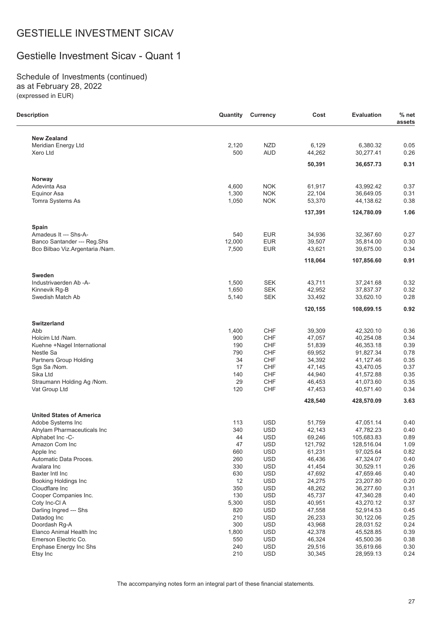### Gestielle Investment Sicav - Quant 1

Schedule of Investments (continued) as at February 28, 2022 (expressed in EUR)

 $\overline{\phantom{0}}$ 

| <b>Description</b>                      | Quantity       | <b>Currency</b>          | Cost             | <b>Evaluation</b>      | $%$ net<br>assets |
|-----------------------------------------|----------------|--------------------------|------------------|------------------------|-------------------|
| <b>New Zealand</b>                      |                |                          |                  |                        |                   |
| Meridian Energy Ltd                     | 2,120          | <b>NZD</b>               | 6,129            | 6,380.32               | 0.05              |
| Xero Ltd                                | 500            | <b>AUD</b>               | 44,262           | 30,277.41              | 0.26              |
|                                         |                |                          | 50,391           | 36,657.73              | 0.31              |
| Norway                                  |                |                          |                  |                        |                   |
| Adevinta Asa                            | 4,600          | <b>NOK</b>               | 61,917           | 43,992.42              | 0.37              |
| Equinor Asa                             | 1,300          | <b>NOK</b>               | 22,104           | 36,649.05              | 0.31              |
| Tomra Systems As                        | 1,050          | <b>NOK</b>               | 53,370           | 44,138.62              | 0.38              |
|                                         |                |                          | 137,391          | 124,780.09             | 1.06              |
| Spain                                   |                |                          |                  |                        |                   |
| Amadeus It --- Shs-A-                   | 540            | <b>EUR</b>               | 34,936           | 32,367.60              | 0.27              |
| Banco Santander --- Reg.Shs             | 12,000         | <b>EUR</b>               | 39,507           | 35,814.00              | 0.30              |
| Bco Bilbao Viz.Argentaria /Nam.         | 7,500          | <b>EUR</b>               | 43,621           | 39,675.00              | 0.34              |
|                                         |                |                          | 118,064          | 107,856.60             | 0.91              |
| <b>Sweden</b><br>Industrivaerden Ab -A- |                | <b>SEK</b>               |                  |                        |                   |
| Kinnevik Rg-B                           | 1,500<br>1,650 | <b>SEK</b>               | 43,711<br>42,952 | 37,241.68<br>37,837.37 | 0.32<br>0.32      |
| Swedish Match Ab                        | 5,140          | <b>SEK</b>               | 33,492           | 33,620.10              | 0.28              |
|                                         |                |                          | 120,155          | 108,699.15             | 0.92              |
| <b>Switzerland</b>                      |                |                          |                  |                        |                   |
| Abb                                     | 1,400          | <b>CHF</b>               | 39,309           | 42,320.10              | 0.36              |
| Holcim Ltd /Nam.                        | 900            | CHF                      | 47,057           | 40,254.08              | 0.34              |
| Kuehne +Nagel International             | 190            | CHF                      | 51,839           | 46,353.18              | 0.39              |
| Nestle Sa                               | 790            | CHF                      | 69,952           | 91,827.34              | 0.78              |
| Partners Group Holding                  | 34             | CHF                      | 34,392           | 41,127.46              | 0.35              |
| Sgs Sa /Nom.<br>Sika Ltd                | 17<br>140      | CHF<br>CHF               | 47,145<br>44,940 | 43,470.05<br>41,572.88 | 0.37<br>0.35      |
| Straumann Holding Ag /Nom.              | 29             | CHF                      | 46,453           | 41,073.60              | 0.35              |
| Vat Group Ltd                           | 120            | CHF                      | 47,453           | 40,571.40              | 0.34              |
|                                         |                |                          | 428,540          | 428,570.09             | 3.63              |
| <b>United States of America</b>         |                |                          |                  |                        |                   |
| Adobe Systems Inc                       | 113            | <b>USD</b>               | 51,759           | 47,051.14              | 0.40              |
| Alnylam Pharmaceuticals Inc             | 340            | <b>USD</b>               | 42,143           | 47,782.23              | 0.40              |
| Alphabet Inc-C-                         | 44             | <b>USD</b>               | 69,246           | 105,683.83             | 0.89              |
| Amazon Com Inc                          | 47             | <b>USD</b>               | 121,792          | 128,516.04             | 1.09              |
| Apple Inc                               | 660            | <b>USD</b>               | 61,231           | 97,025.64              | 0.82              |
| Automatic Data Proces.                  | 260            | <b>USD</b>               | 46,436           | 47,324.07              | 0.40              |
| Avalara Inc                             | 330            | <b>USD</b>               | 41,454           | 30,529.11              | 0.26              |
| Baxter Intl Inc                         | 630            | <b>USD</b>               | 47,692           | 47,659.46              | 0.40              |
| <b>Booking Holdings Inc</b>             | 12             | <b>USD</b>               | 24,275           | 23,207.80              | 0.20              |
| Cloudflare Inc                          | 350            | <b>USD</b>               | 48,262           | 36,277.60              | 0.31              |
| Cooper Companies Inc.                   | 130            | <b>USD</b>               | 45,737           | 47,340.28              | 0.40              |
| Coty Inc-CI A                           | 5,300          | <b>USD</b>               | 40,951           | 43,270.12              | 0.37              |
| Darling Ingred --- Shs<br>Datadog Inc   | 820<br>210     | <b>USD</b><br><b>USD</b> | 47,558<br>26,233 | 52,914.53<br>30,122.06 | 0.45<br>0.25      |
| Doordash Rg-A                           | 300            | <b>USD</b>               | 43,968           | 28,031.52              | 0.24              |
| Elanco Animal Health Inc                | 1,800          | <b>USD</b>               | 42,378           | 45,528.85              | 0.39              |
| Emerson Electric Co.                    | 550            | <b>USD</b>               | 46,324           | 45,500.36              | 0.38              |
| Enphase Energy Inc Shs                  | 240            | <b>USD</b>               | 29,516           | 35,619.66              | 0.30              |
| Etsy Inc                                | 210            | <b>USD</b>               | 30,345           | 28,959.13              | 0.24              |
|                                         |                |                          |                  |                        |                   |

The accompanying notes form an integral part of these financial statements.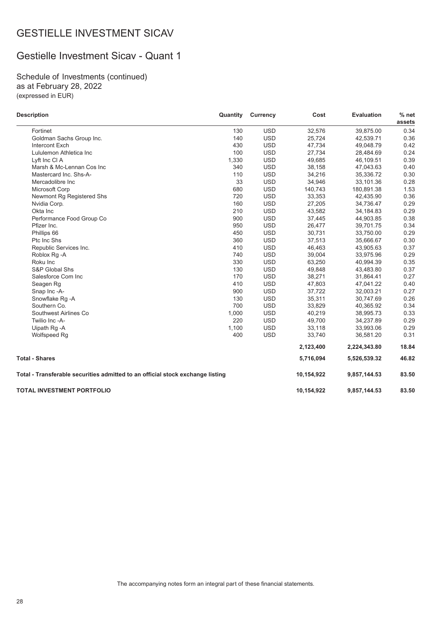### Gestielle Investment Sicav - Quant 1

Schedule of Investments (continued) as at February 28, 2022 (expressed in EUR)

| <b>Description</b>                                                             | Quantity | <b>Currency</b> | Cost       | <b>Evaluation</b> | % net<br>assets |
|--------------------------------------------------------------------------------|----------|-----------------|------------|-------------------|-----------------|
| Fortinet                                                                       | 130      | <b>USD</b>      | 32,576     | 39,875.00         | 0.34            |
| Goldman Sachs Group Inc.                                                       | 140      | <b>USD</b>      | 25,724     | 42,539.71         | 0.36            |
| Intercont Exch                                                                 | 430      | <b>USD</b>      | 47,734     | 49,048.79         | 0.42            |
| Lululemon Athletica Inc                                                        | 100      | <b>USD</b>      | 27,734     | 28,484.69         | 0.24            |
| Lyft Inc CI A                                                                  | 1,330    | <b>USD</b>      | 49,685     | 46,109.51         | 0.39            |
| Marsh & Mc-Lennan Cos Inc                                                      | 340      | <b>USD</b>      | 38,158     | 47,043.63         | 0.40            |
| Mastercard Inc. Shs-A-                                                         | 110      | <b>USD</b>      | 34,216     | 35,336.72         | 0.30            |
| Mercadolibre Inc                                                               | 33       | <b>USD</b>      | 34,946     | 33,101.36         | 0.28            |
| Microsoft Corp                                                                 | 680      | <b>USD</b>      | 140,743    | 180,891.38        | 1.53            |
| Newmont Rg Registered Shs                                                      | 720      | <b>USD</b>      | 33,353     | 42,435.90         | 0.36            |
| Nvidia Corp.                                                                   | 160      | <b>USD</b>      | 27,205     | 34,736.47         | 0.29            |
| Okta Inc                                                                       | 210      | <b>USD</b>      | 43,582     | 34,184.83         | 0.29            |
| Performance Food Group Co                                                      | 900      | <b>USD</b>      | 37,445     | 44,903.85         | 0.38            |
| Pfizer Inc.                                                                    | 950      | <b>USD</b>      | 26,477     | 39,701.75         | 0.34            |
| Phillips 66                                                                    | 450      | <b>USD</b>      | 30,731     | 33,750.00         | 0.29            |
| Ptc Inc Shs                                                                    | 360      | <b>USD</b>      | 37,513     | 35,666.67         | 0.30            |
| Republic Services Inc.                                                         | 410      | <b>USD</b>      | 46,463     | 43,905.63         | 0.37            |
| Roblox Rg -A                                                                   | 740      | <b>USD</b>      | 39,004     | 33,975.96         | 0.29            |
| Roku Inc                                                                       | 330      | <b>USD</b>      | 63,250     | 40,994.39         | 0.35            |
| S&P Global Shs                                                                 | 130      | <b>USD</b>      | 49,848     | 43,483.80         | 0.37            |
| Salesforce Com Inc                                                             | 170      | <b>USD</b>      | 38,271     | 31,864.41         | 0.27            |
| Seagen Rg                                                                      | 410      | <b>USD</b>      | 47,803     | 47,041.22         | 0.40            |
| Snap Inc -A-                                                                   | 900      | <b>USD</b>      | 37,722     | 32,003.21         | 0.27            |
| Snowflake Rg -A                                                                | 130      | <b>USD</b>      | 35,311     | 30,747.69         | 0.26            |
| Southern Co.                                                                   | 700      | <b>USD</b>      | 33,829     | 40,365.92         | 0.34            |
| Southwest Airlines Co                                                          | 1,000    | <b>USD</b>      | 40,219     | 38,995.73         | 0.33            |
| Twilio Inc -A-                                                                 | 220      | <b>USD</b>      | 49,700     | 34,237.89         | 0.29            |
| Uipath Rg -A                                                                   | 1,100    | <b>USD</b>      | 33,118     | 33,993.06         | 0.29            |
| Wolfspeed Rg                                                                   | 400      | <b>USD</b>      | 33,740     | 36,581.20         | 0.31            |
|                                                                                |          |                 | 2,123,400  | 2,224,343.80      | 18.84           |
| <b>Total - Shares</b>                                                          |          |                 | 5,716,094  | 5,526,539.32      | 46.82           |
| Total - Transferable securities admitted to an official stock exchange listing |          |                 | 10,154,922 | 9,857,144.53      | 83.50           |
| <b>TOTAL INVESTMENT PORTFOLIO</b>                                              |          |                 | 10,154,922 | 9,857,144.53      | 83.50           |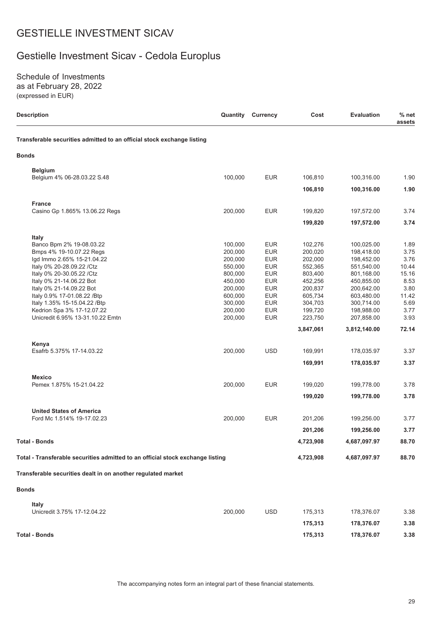# Gestielle Investment Sicav - Cedola Europlus

Schedule of Investments as at February 28, 2022 (expressed in EUR)

| <b>Description</b>                                                             |         | <b>Quantity Currency</b> | Cost      | <b>Evaluation</b> | % net<br>assets |
|--------------------------------------------------------------------------------|---------|--------------------------|-----------|-------------------|-----------------|
| Transferable securities admitted to an official stock exchange listing         |         |                          |           |                   |                 |
| Bonds                                                                          |         |                          |           |                   |                 |
| <b>Belgium</b>                                                                 |         |                          |           |                   |                 |
| Belgium 4% 06-28.03.22 S.48                                                    | 100,000 | <b>EUR</b>               | 106,810   | 100,316.00        | 1.90            |
|                                                                                |         |                          | 106,810   | 100,316.00        | 1.90            |
| <b>France</b>                                                                  |         |                          |           |                   |                 |
| Casino Gp 1.865% 13.06.22 Regs                                                 | 200,000 | <b>EUR</b>               | 199,820   | 197,572.00        | 3.74            |
|                                                                                |         |                          | 199,820   | 197,572.00        | 3.74            |
| Italy                                                                          |         |                          |           |                   |                 |
| Banco Bpm 2% 19-08.03.22                                                       | 100,000 | <b>EUR</b>               | 102,276   | 100,025.00        | 1.89            |
| Bmps 4% 19-10.07.22 Regs                                                       | 200,000 | <b>EUR</b>               | 200,020   | 198,418.00        | 3.75            |
| lgd Immo 2.65% 15-21.04.22                                                     | 200,000 | <b>EUR</b>               | 202,000   | 198,452.00        | 3.76            |
| Italy 0% 20-28.09.22 / Ctz                                                     | 550,000 | <b>EUR</b>               | 552,365   | 551,540.00        | 10.44           |
| Italy 0% 20-30.05.22 / Ctz                                                     | 800,000 | <b>EUR</b>               | 803,400   | 801,168.00        | 15.16           |
| Italy 0% 21-14.06.22 Bot                                                       | 450,000 | <b>EUR</b>               | 452,256   | 450,855.00        | 8.53            |
| Italy 0% 21-14.09.22 Bot                                                       | 200,000 | <b>EUR</b>               | 200,837   | 200,642.00        | 3.80            |
|                                                                                |         | <b>EUR</b>               |           |                   |                 |
| Italy 0.9% 17-01.08.22 / Btp<br>Italy 1.35% 15-15.04.22 / Btp                  | 600,000 |                          | 605,734   | 603,480.00        | 11.42           |
|                                                                                | 300,000 | <b>EUR</b>               | 304,703   | 300,714.00        | 5.69            |
| Kedrion Spa 3% 17-12.07.22                                                     | 200,000 | <b>EUR</b>               | 199,720   | 198,988.00        | 3.77            |
| Unicredit 6.95% 13-31.10.22 Emtn                                               | 200,000 | <b>EUR</b>               | 223,750   | 207,858.00        | 3.93            |
|                                                                                |         |                          | 3,847,061 | 3,812,140.00      | 72.14           |
| Kenya                                                                          |         |                          |           |                   |                 |
| Esafrb 5.375% 17-14.03.22                                                      | 200,000 | <b>USD</b>               | 169,991   | 178,035.97        | 3.37            |
|                                                                                |         |                          | 169,991   | 178,035.97        | 3.37            |
| <b>Mexico</b><br>Pemex 1.875% 15-21.04.22                                      | 200,000 | <b>EUR</b>               |           |                   |                 |
|                                                                                |         |                          | 199,020   | 199,778.00        | 3.78            |
|                                                                                |         |                          | 199,020   | 199,778.00        | 3.78            |
| <b>United States of America</b>                                                |         |                          |           |                   |                 |
| Ford Mc 1.514% 19-17.02.23                                                     | 200,000 | <b>EUR</b>               | 201,206   | 199,256.00        | 3.77            |
|                                                                                |         |                          | 201,206   | 199,256.00        | 3.77            |
| <b>Total - Bonds</b>                                                           |         |                          | 4,723,908 | 4,687,097.97      | 88.70           |
| Total - Transferable securities admitted to an official stock exchange listing |         |                          | 4,723,908 | 4,687,097.97      | 88.70           |
| Transferable securities dealt in on another regulated market                   |         |                          |           |                   |                 |
| <b>Bonds</b>                                                                   |         |                          |           |                   |                 |
| <b>Italy</b>                                                                   |         |                          |           |                   |                 |
| Unicredit 3.75% 17-12.04.22                                                    | 200.000 | <b>USD</b>               | 175,313   | 178,376.07        | 3.38            |
|                                                                                |         |                          | 175,313   | 178,376.07        | 3.38            |
| <b>Total - Bonds</b>                                                           |         |                          | 175,313   | 178,376.07        | 3.38            |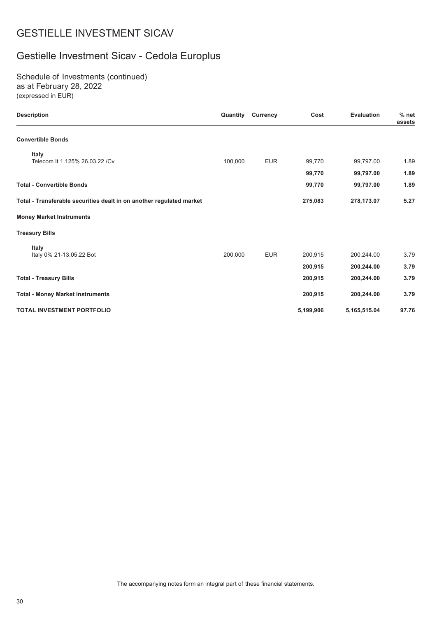# Gestielle Investment Sicav - Cedola Europlus

Schedule of Investments (continued) as at February 28, 2022 (expressed in EUR)

| <b>Description</b>                                                   | Quantity | <b>Currency</b> | Cost      | <b>Evaluation</b> | $%$ net<br>assets |
|----------------------------------------------------------------------|----------|-----------------|-----------|-------------------|-------------------|
| <b>Convertible Bonds</b>                                             |          |                 |           |                   |                   |
| <b>Italy</b>                                                         |          |                 |           |                   |                   |
| Telecom It 1.125% 26.03.22 / Cv                                      | 100,000  | <b>EUR</b>      | 99,770    | 99,797.00         | 1.89              |
|                                                                      |          |                 | 99,770    | 99,797.00         | 1.89              |
| <b>Total - Convertible Bonds</b>                                     |          |                 | 99,770    | 99,797.00         | 1.89              |
| Total - Transferable securities dealt in on another regulated market |          |                 | 275,083   | 278,173.07        | 5.27              |
| <b>Money Market Instruments</b>                                      |          |                 |           |                   |                   |
| <b>Treasury Bills</b>                                                |          |                 |           |                   |                   |
| Italy                                                                |          |                 |           |                   |                   |
| Italy 0% 21-13.05.22 Bot                                             | 200,000  | <b>EUR</b>      | 200,915   | 200,244.00        | 3.79              |
|                                                                      |          |                 | 200,915   | 200,244.00        | 3.79              |
| <b>Total - Treasury Bills</b>                                        |          |                 | 200,915   | 200,244.00        | 3.79              |
| <b>Total - Money Market Instruments</b>                              |          |                 | 200,915   | 200,244.00        | 3.79              |
| TOTAL INVESTMENT PORTFOLIO                                           |          |                 | 5,199,906 | 5,165,515.04      | 97.76             |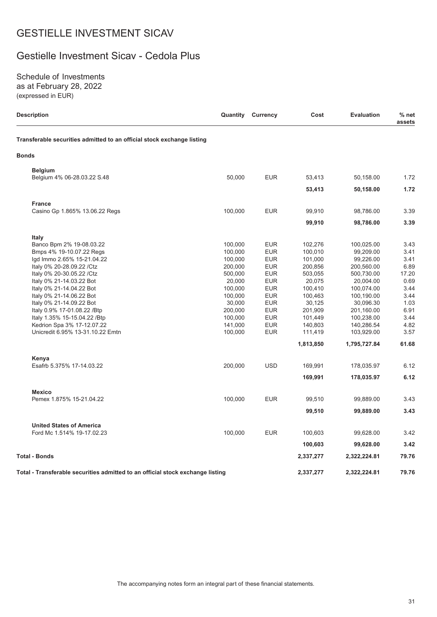### Gestielle Investment Sicav - Cedola Plus

Schedule of Investments as at February 28, 2022 (expressed in EUR)

| Description                                                                    | Quantity | Currency   | Cost      | <b>Evaluation</b> | % net<br>assets |
|--------------------------------------------------------------------------------|----------|------------|-----------|-------------------|-----------------|
| Transferable securities admitted to an official stock exchange listing         |          |            |           |                   |                 |
| <b>Bonds</b>                                                                   |          |            |           |                   |                 |
| <b>Belgium</b>                                                                 |          |            |           |                   |                 |
| Belgium 4% 06-28.03.22 S.48                                                    | 50,000   | <b>EUR</b> | 53,413    | 50,158.00         | 1.72            |
|                                                                                |          |            | 53,413    | 50,158.00         | 1.72            |
| <b>France</b>                                                                  |          |            |           |                   |                 |
| Casino Gp 1.865% 13.06.22 Regs                                                 | 100,000  | <b>EUR</b> | 99,910    | 98,786.00         | 3.39            |
|                                                                                |          |            | 99,910    | 98,786.00         | 3.39            |
|                                                                                |          |            |           |                   |                 |
| Italy<br>Banco Bpm 2% 19-08.03.22                                              | 100,000  | <b>EUR</b> | 102,276   | 100,025.00        | 3.43            |
| Bmps 4% 19-10.07.22 Regs                                                       | 100,000  | <b>EUR</b> | 100,010   | 99,209.00         | 3.41            |
| lgd Immo 2.65% 15-21.04.22                                                     | 100,000  | <b>EUR</b> | 101,000   | 99,226.00         | 3.41            |
| Italy 0% 20-28.09.22 / Ctz                                                     | 200,000  | <b>EUR</b> | 200,856   | 200,560.00        | 6.89            |
| Italy 0% 20-30.05.22 / Ctz                                                     | 500,000  | <b>EUR</b> | 503,055   | 500,730.00        | 17.20           |
| Italy 0% 21-14.03.22 Bot                                                       | 20,000   | <b>EUR</b> | 20,075    | 20,004.00         | 0.69            |
| Italy 0% 21-14.04.22 Bot                                                       | 100,000  | <b>EUR</b> | 100,410   | 100,074.00        | 3.44            |
| Italy 0% 21-14.06.22 Bot                                                       | 100,000  | <b>EUR</b> | 100,463   | 100,190.00        | 3.44            |
| Italy 0% 21-14.09.22 Bot                                                       | 30,000   | <b>EUR</b> | 30,125    | 30,096.30         | 1.03            |
| Italy 0.9% 17-01.08.22 / Btp                                                   | 200,000  | <b>EUR</b> | 201,909   | 201,160.00        | 6.91            |
|                                                                                | 100,000  | <b>EUR</b> |           |                   | 3.44            |
| Italy 1.35% 15-15.04.22 / Btp                                                  |          |            | 101,449   | 100,238.00        |                 |
| Kedrion Spa 3% 17-12.07.22                                                     | 141,000  | <b>EUR</b> | 140,803   | 140,286.54        | 4.82            |
| Unicredit 6.95% 13-31.10.22 Emtn                                               | 100,000  | <b>EUR</b> | 111,419   | 103,929.00        | 3.57            |
|                                                                                |          |            | 1,813,850 | 1,795,727.84      | 61.68           |
| Kenya                                                                          |          |            |           |                   |                 |
| Esafrb 5.375% 17-14.03.22                                                      | 200,000  | <b>USD</b> | 169,991   | 178,035.97        | 6.12            |
|                                                                                |          |            | 169,991   | 178,035.97        | 6.12            |
| <b>Mexico</b>                                                                  |          |            |           |                   |                 |
| Pemex 1.875% 15-21.04.22                                                       | 100,000  | <b>EUR</b> | 99,510    | 99,889.00         | 3.43            |
|                                                                                |          |            | 99,510    | 99,889.00         | 3.43            |
| <b>United States of America</b>                                                |          |            |           |                   |                 |
| Ford Mc 1.514% 19-17.02.23                                                     | 100,000  | <b>EUR</b> | 100,603   | 99,628.00         | 3.42            |
|                                                                                |          |            | 100,603   | 99,628.00         | 3.42            |
| Total - Bonds                                                                  |          |            | 2,337,277 | 2,322,224.81      | 79.76           |
|                                                                                |          |            |           |                   |                 |
| Total - Transferable securities admitted to an official stock exchange listing |          |            | 2,337,277 | 2,322,224.81      | 79.76           |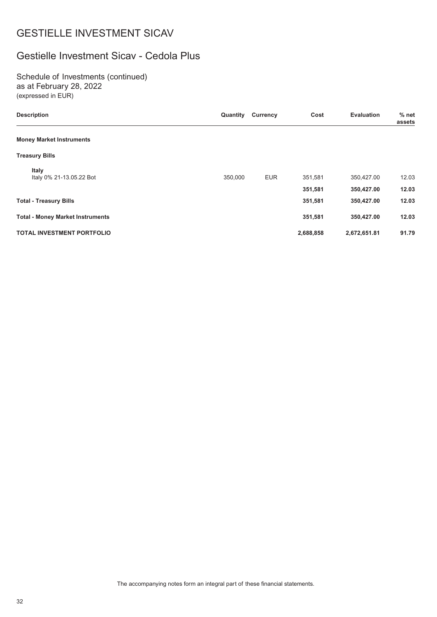### Gestielle Investment Sicav - Cedola Plus

Schedule of Investments (continued) as at February 28, 2022 (expressed in EUR)

| <b>Description</b>                      | Quantity | <b>Currency</b> | Cost      | <b>Evaluation</b> | $%$ net<br>assets |
|-----------------------------------------|----------|-----------------|-----------|-------------------|-------------------|
| <b>Money Market Instruments</b>         |          |                 |           |                   |                   |
| <b>Treasury Bills</b>                   |          |                 |           |                   |                   |
| Italy<br>Italy 0% 21-13.05.22 Bot       | 350,000  | <b>EUR</b>      | 351,581   | 350,427.00        | 12.03             |
|                                         |          |                 | 351,581   | 350,427.00        | 12.03             |
| <b>Total - Treasury Bills</b>           |          |                 | 351,581   | 350,427.00        | 12.03             |
| <b>Total - Money Market Instruments</b> |          |                 | 351,581   | 350,427.00        | 12.03             |
| <b>TOTAL INVESTMENT PORTFOLIO</b>       |          |                 | 2,688,858 | 2,672,651.81      | 91.79             |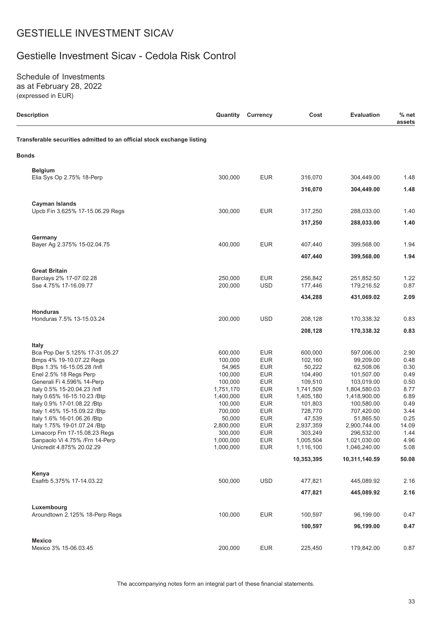### Gestielle Investment Sicav - Cedola Risk Control

Schedule of Investments as at February 28, 2022 (expressed in EUR)

| <b>Description</b>                                                     | Quantity             | <b>Currency</b>          | Cost                 | <b>Evaluation</b>          | $%$ net<br>assets |
|------------------------------------------------------------------------|----------------------|--------------------------|----------------------|----------------------------|-------------------|
| Transferable securities admitted to an official stock exchange listing |                      |                          |                      |                            |                   |
| <b>Bonds</b>                                                           |                      |                          |                      |                            |                   |
| <b>Belgium</b>                                                         |                      |                          |                      |                            |                   |
| Elia Sys Op 2.75% 18-Perp                                              | 300,000              | <b>EUR</b>               | 316,070              | 304,449.00                 | 1.48              |
|                                                                        |                      |                          | 316,070              | 304,449.00                 | 1.48              |
| <b>Cayman Islands</b><br>Upcb Fin 3.625% 17-15.06.29 Regs              | 300,000              | <b>EUR</b>               | 317,250              | 288,033.00                 | 1.40              |
|                                                                        |                      |                          |                      |                            |                   |
|                                                                        |                      |                          | 317,250              | 288,033.00                 | 1.40              |
| Germany                                                                |                      |                          |                      |                            |                   |
| Bayer Ag 2.375% 15-02.04.75                                            | 400,000              | <b>EUR</b>               | 407,440              | 399,568.00                 | 1.94<br>1.94      |
|                                                                        |                      |                          | 407,440              | 399,568.00                 |                   |
| <b>Great Britain</b>                                                   |                      |                          |                      |                            |                   |
| Barclays 2% 17-07.02.28<br>Sse 4.75% 17-16.09.77                       | 250,000<br>200,000   | <b>EUR</b><br><b>USD</b> | 256,842<br>177,446   | 251,852.50<br>179,216.52   | 1.22<br>0.87      |
|                                                                        |                      |                          | 434,288              | 431,069.02                 | 2.09              |
|                                                                        |                      |                          |                      |                            |                   |
| <b>Honduras</b><br>Honduras 7.5% 13-15.03.24                           | 200,000              | <b>USD</b>               | 208,128              | 170,338.32                 | 0.83              |
|                                                                        |                      |                          | 208,128              | 170,338.32                 | 0.83              |
|                                                                        |                      |                          |                      |                            |                   |
| Italy<br>Bca Pop Der 5.125% 17-31.05.27                                | 600,000              | <b>EUR</b>               | 600,000              | 597,006.00                 | 2.90              |
| Bmps 4% 19-10.07.22 Regs                                               | 100,000              | <b>EUR</b>               | 102,160              | 99,209.00                  | 0.48              |
| Btps 1.3% 16-15.05.28 /lnfl                                            | 54,965               | <b>EUR</b>               | 50,222               | 62,508.06                  | 0.30              |
| Enel 2.5% 18 Regs Perp                                                 | 100,000              | <b>EUR</b>               | 104,490              | 101,507.00                 | 0.49              |
| Generali Fi 4.596% 14-Perp                                             | 100,000              | <b>EUR</b>               | 109,510              | 103,019.00                 | 0.50              |
| Italy 0.5% 15-20.04.23 /Infl                                           | 1,751,170            | <b>EUR</b>               | 1,741,509            | 1,804,580.03               | 8.77              |
| Italy 0.65% 16-15.10.23 / Btp<br>Italy 0.9% 17-01.08.22 / Btp          | 1,400,000<br>100,000 | <b>EUR</b><br><b>EUR</b> | 1,405,180<br>101,803 | 1,418,900.00<br>100,580.00 | 6.89<br>0.49      |
| Italy 1.45% 15-15.09.22 / Btp                                          | 700,000              | <b>EUR</b>               | 728,770              | 707,420.00                 | 3.44              |
| Italy 1.6% 16-01.06.26 /Btp                                            | 50,000               | <b>EUR</b>               | 47,539               | 51,865.50                  | 0.25              |
| Italy 1.75% 19-01.07.24 / Btp                                          | 2,800,000            | <b>EUR</b>               | 2,937,359            | 2,900,744.00               | 14.09             |
| Limacorp Frn 17-15.08.23 Regs                                          | 300,000              | <b>EUR</b>               | 303,249              | 296,532.00                 | 1.44              |
| Sanpaolo Vi 4.75% / Frn 14-Perp                                        | 1,000,000            | <b>EUR</b>               | 1,005,504            | 1,021,030.00               | 4.96              |
| Unicredit 4.875% 20.02.29                                              | 1,000,000            | <b>EUR</b>               | 1,116,100            | 1,046,240.00               | 5.08              |
|                                                                        |                      |                          | 10,353,395           | 10,311,140.59              | 50.08             |
| Kenya                                                                  |                      |                          |                      |                            |                   |
| Esafrb 5.375% 17-14.03.22                                              | 500,000              | <b>USD</b>               | 477,821              | 445,089.92                 | 2.16              |
|                                                                        |                      |                          | 477,821              | 445,089.92                 | 2.16              |
| Luxembourg                                                             |                      |                          |                      |                            |                   |
| Aroundtown 2.125% 18-Perp Regs                                         | 100,000              | <b>EUR</b>               | 100,597              | 96,199.00                  | 0.47              |
|                                                                        |                      |                          | 100,597              | 96,199.00                  | 0.47              |
| <b>Mexico</b>                                                          |                      |                          |                      |                            |                   |
| Mexico 3% 15-06.03.45                                                  | 200,000              | <b>EUR</b>               | 225,450              | 179,842.00                 | 0.87              |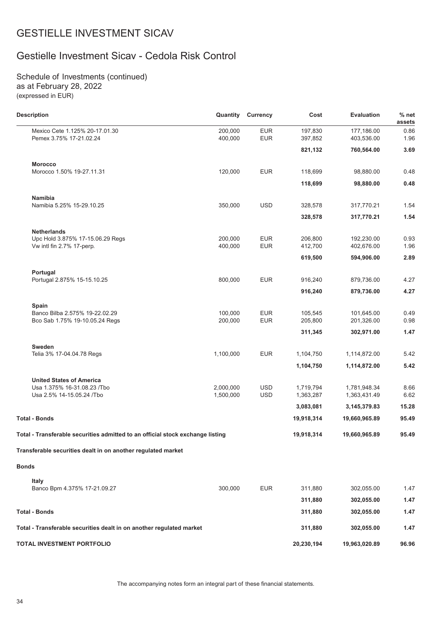### Gestielle Investment Sicav - Cedola Risk Control

Schedule of Investments (continued) as at February 28, 2022 (expressed in EUR)

| <b>Description</b>                                                             | Quantity               | <b>Currency</b>          | Cost                   | <b>Evaluation</b>            | $%$ net<br>assets |
|--------------------------------------------------------------------------------|------------------------|--------------------------|------------------------|------------------------------|-------------------|
| Mexico Cete 1.125% 20-17.01.30<br>Pemex 3.75% 17-21.02.24                      | 200,000<br>400,000     | <b>EUR</b><br><b>EUR</b> | 197,830<br>397,852     | 177,186.00<br>403,536.00     | 0.86<br>1.96      |
|                                                                                |                        |                          | 821,132                | 760,564.00                   | 3.69              |
| <b>Morocco</b>                                                                 |                        |                          |                        |                              |                   |
| Morocco 1.50% 19-27.11.31                                                      | 120,000                | <b>EUR</b>               | 118,699                | 98,880.00                    | 0.48              |
|                                                                                |                        |                          | 118,699                | 98,880.00                    | 0.48              |
| Namibia                                                                        |                        |                          |                        |                              |                   |
| Namibia 5.25% 15-29.10.25                                                      | 350,000                | <b>USD</b>               | 328,578                | 317,770.21                   | 1.54              |
|                                                                                |                        |                          | 328,578                | 317,770.21                   | 1.54              |
| <b>Netherlands</b>                                                             |                        |                          |                        |                              |                   |
| Upc Hold 3.875% 17-15.06.29 Regs<br>Vw intl fin 2.7% 17-perp.                  | 200,000<br>400,000     | <b>EUR</b><br><b>EUR</b> | 206,800<br>412,700     | 192,230.00<br>402,676.00     | 0.93<br>1.96      |
|                                                                                |                        |                          | 619,500                | 594,906.00                   | 2.89              |
| Portugal                                                                       |                        |                          |                        |                              |                   |
| Portugal 2.875% 15-15.10.25                                                    | 800,000                | <b>EUR</b>               | 916,240                | 879,736.00                   | 4.27              |
|                                                                                |                        |                          | 916,240                | 879,736.00                   | 4.27              |
| Spain                                                                          |                        |                          |                        |                              |                   |
| Banco Bilba 2.575% 19-22.02.29<br>Bco Sab 1.75% 19-10.05.24 Regs               | 100,000<br>200,000     | <b>EUR</b><br><b>EUR</b> | 105,545<br>205,800     | 101,645.00<br>201,326.00     | 0.49<br>0.98      |
|                                                                                |                        |                          | 311,345                | 302,971.00                   | 1.47              |
| Sweden                                                                         |                        |                          |                        |                              |                   |
| Telia 3% 17-04.04.78 Regs                                                      | 1,100,000              | <b>EUR</b>               | 1,104,750              | 1,114,872.00                 | 5.42              |
|                                                                                |                        |                          | 1,104,750              | 1,114,872.00                 | 5.42              |
| <b>United States of America</b>                                                |                        |                          |                        |                              |                   |
| Usa 1.375% 16-31.08.23 / Tbo<br>Usa 2.5% 14-15.05.24 /Tbo                      | 2,000,000<br>1,500,000 | <b>USD</b><br><b>USD</b> | 1,719,794<br>1,363,287 | 1,781,948.34<br>1,363,431.49 | 8.66<br>6.62      |
|                                                                                |                        |                          | 3,083,081              | 3,145,379.83                 | 15.28             |
| <b>Total - Bonds</b>                                                           |                        |                          | 19,918,314             | 19,660,965.89                | 95.49             |
| Total - Transferable securities admitted to an official stock exchange listing |                        |                          | 19,918,314             | 19,660,965.89                | 95.49             |
| Transferable securities dealt in on another regulated market                   |                        |                          |                        |                              |                   |
| <b>Bonds</b>                                                                   |                        |                          |                        |                              |                   |
|                                                                                |                        |                          |                        |                              |                   |
| <b>Italy</b><br>Banco Bpm 4.375% 17-21.09.27                                   | 300,000                | <b>EUR</b>               | 311,880                | 302,055.00                   | 1.47              |
|                                                                                |                        |                          | 311,880                | 302,055.00                   | 1.47              |
| <b>Total - Bonds</b>                                                           |                        |                          | 311,880                | 302,055.00                   | 1.47              |
| Total - Transferable securities dealt in on another regulated market           |                        |                          | 311,880                | 302,055.00                   | 1.47              |
| TOTAL INVESTMENT PORTFOLIO                                                     |                        |                          | 20,230,194             | 19,963,020.89                | 96.96             |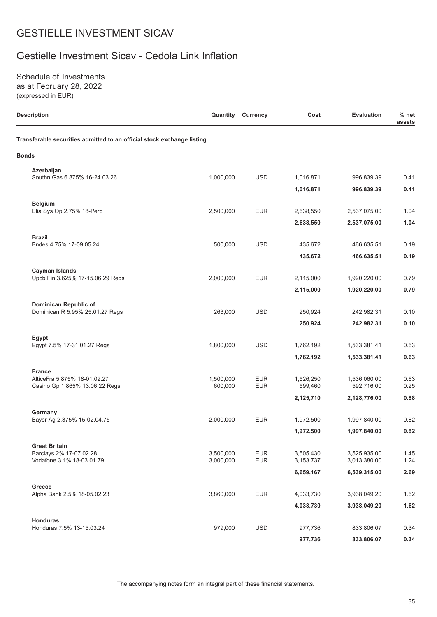### Gestielle Investment Sicav - Cedola Link Inflation

Schedule of Investments as at February 28, 2022 (expressed in EUR)

| <b>Description</b>                                                     | Quantity             | <b>Currency</b>          | Cost                 | <b>Evaluation</b>          | $%$ net<br>assets |
|------------------------------------------------------------------------|----------------------|--------------------------|----------------------|----------------------------|-------------------|
| Transferable securities admitted to an official stock exchange listing |                      |                          |                      |                            |                   |
| <b>Bonds</b>                                                           |                      |                          |                      |                            |                   |
| Azerbaijan<br>Southn Gas 6.875% 16-24.03.26                            | 1,000,000            | <b>USD</b>               | 1,016,871            | 996,839.39                 | 0.41              |
|                                                                        |                      |                          | 1,016,871            | 996,839.39                 | 0.41              |
| <b>Belgium</b><br>Elia Sys Op 2.75% 18-Perp                            | 2,500,000            | <b>EUR</b>               | 2,638,550            | 2,537,075.00               | 1.04              |
|                                                                        |                      |                          | 2,638,550            | 2,537,075.00               | 1.04              |
| <b>Brazil</b><br>Bndes 4.75% 17-09.05.24                               | 500,000              | <b>USD</b>               | 435,672              | 466,635.51                 | 0.19              |
|                                                                        |                      |                          | 435,672              | 466,635.51                 | 0.19              |
| <b>Cayman Islands</b><br>Upcb Fin 3.625% 17-15.06.29 Regs              | 2,000,000            | <b>EUR</b>               | 2,115,000            | 1,920,220.00               | 0.79              |
|                                                                        |                      |                          | 2,115,000            | 1,920,220.00               | 0.79              |
| Dominican Republic of                                                  |                      |                          |                      |                            |                   |
| Dominican R 5.95% 25.01.27 Regs                                        | 263,000              | <b>USD</b>               | 250,924              | 242,982.31                 | 0.10              |
|                                                                        |                      |                          | 250,924              | 242,982.31                 | 0.10              |
| Egypt<br>Egypt 7.5% 17-31.01.27 Regs                                   | 1,800,000            | <b>USD</b>               | 1,762,192            | 1,533,381.41               | 0.63              |
|                                                                        |                      |                          | 1,762,192            | 1,533,381.41               | 0.63              |
| <b>France</b>                                                          |                      |                          |                      |                            |                   |
| AlticeFra 5.875% 18-01.02.27<br>Casino Gp 1.865% 13.06.22 Regs         | 1,500,000<br>600,000 | <b>EUR</b><br><b>EUR</b> | 1,526,250<br>599,460 | 1,536,060.00<br>592,716.00 | 0.63<br>0.25      |
|                                                                        |                      |                          | 2,125,710            | 2,128,776.00               | 0.88              |
| Germany                                                                |                      |                          |                      |                            |                   |
| Bayer Ag 2.375% 15-02.04.75                                            | 2,000,000            | <b>EUR</b>               | 1,972,500            | 1,997,840.00               | 0.82              |
|                                                                        |                      |                          | 1,972,500            | 1,997,840.00               | 0.82              |
| <b>Great Britain</b><br>Barclays 2% 17-07.02.28                        | 3,500,000            | <b>EUR</b>               | 3,505,430            | 3,525,935.00               | 1.45              |
| Vodafone 3.1% 18-03.01.79                                              | 3,000,000            | <b>EUR</b>               | 3,153,737            | 3,013,380.00               | 1.24              |
|                                                                        |                      |                          | 6,659,167            | 6,539,315.00               | 2.69              |
| Greece                                                                 |                      |                          |                      |                            |                   |
| Alpha Bank 2.5% 18-05.02.23                                            | 3,860,000            | <b>EUR</b>               | 4,033,730            | 3,938,049.20               | 1.62              |
|                                                                        |                      |                          | 4,033,730            | 3,938,049.20               | 1.62              |
| Honduras<br>Honduras 7.5% 13-15.03.24                                  | 979,000              | <b>USD</b>               | 977,736              | 833,806.07                 | 0.34              |
|                                                                        |                      |                          | 977,736              | 833,806.07                 | 0.34              |

The accompanying notes form an integral part of these financial statements.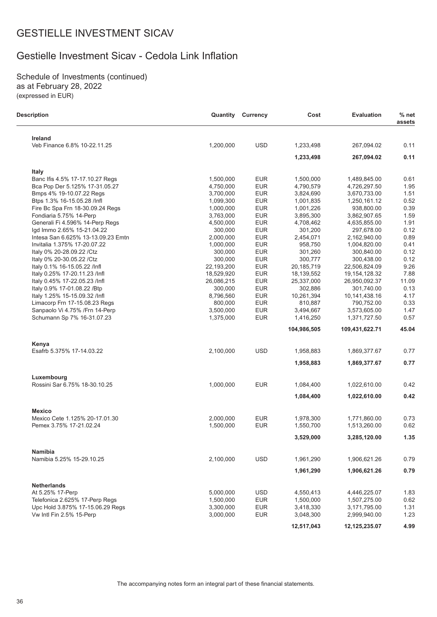### Gestielle Investment Sicav - Cedola Link Inflation

Schedule of Investments (continued) as at February 28, 2022 (expressed in EUR)

L.

| <b>Description</b>                     | Quantity   | <b>Currency</b> | Cost        | <b>Evaluation</b> | $%$ net<br>assets |
|----------------------------------------|------------|-----------------|-------------|-------------------|-------------------|
| Ireland                                |            |                 |             |                   |                   |
| Veb Finance 6.8% 10-22.11.25           | 1,200,000  | <b>USD</b>      | 1,233,498   | 267,094.02        | 0.11              |
|                                        |            |                 | 1,233,498   | 267,094.02        | 0.11              |
| <b>Italy</b>                           |            |                 |             |                   |                   |
| Banc Ifis 4.5% 17-17.10.27 Regs        | 1,500,000  | <b>EUR</b>      | 1,500,000   | 1,489,845.00      | 0.61              |
| Bca Pop Der 5.125% 17-31.05.27         | 4,750,000  | <b>EUR</b>      | 4,790,579   | 4,726,297.50      | 1.95              |
| Bmps 4% 19-10.07.22 Regs               | 3,700,000  | <b>EUR</b>      | 3,824,690   | 3,670,733.00      | 1.51              |
| Btps 1.3% 16-15.05.28 /Infl            | 1,099,300  | <b>EUR</b>      | 1,001,835   | 1,250,161.12      | 0.52              |
| Fire Bc Spa Frn 18-30.09.24 Regs       | 1,000,000  | <b>EUR</b>      | 1,001,226   | 938,800.00        | 0.39              |
| Fondiaria 5.75% 14-Perp                | 3,763,000  | <b>EUR</b>      | 3,895,300   | 3,862,907.65      | 1.59              |
| Generali Fi 4.596% 14-Perp Regs        | 4,500,000  | <b>EUR</b>      | 4,708,462   | 4,635,855.00      | 1.91              |
| lgd Immo 2.65% 15-21.04.22             | 300,000    | <b>EUR</b>      | 301,200     | 297,678.00        | 0.12              |
| Intesa San 6.625% 13-13.09.23 Emtn     | 2,000,000  | <b>EUR</b>      | 2,454,071   | 2,162,940.00      | 0.89              |
| Invitalia 1.375% 17-20.07.22           | 1,000,000  | <b>EUR</b>      | 958,750     | 1,004,820.00      | 0.41              |
| Italy 0% 20-28.09.22 / Ctz             | 300,000    | <b>EUR</b>      | 301,260     | 300,840.00        | 0.12              |
| Italy 0% 20-30.05.22 / Ctz             | 300,000    | <b>EUR</b>      | 300,777     | 300,438.00        | 0.12              |
| Italy 0.1% 16-15.05.22 /Infl           | 22,193,200 | <b>EUR</b>      | 20,185,719  | 22,506,824.09     | 9.26              |
| Italy 0.25% 17-20.11.23 /Infl          | 18,529,920 | <b>EUR</b>      | 18,139,552  | 19, 154, 128.32   | 7.88              |
| Italy 0.45% 17-22.05.23 /Infl          | 26,086,215 | <b>EUR</b>      | 25,337,000  | 26,950,092.37     | 11.09             |
| Italy 0.9% 17-01.08.22 / Btp           | 300,000    | <b>EUR</b>      | 302,886     | 301,740.00        | 0.13              |
| Italy 1.25% 15-15.09.32 /Infl          | 8,796,560  | <b>EUR</b>      | 10,261,394  | 10,141,438.16     | 4.17              |
| Limacorp Frn 17-15.08.23 Regs          | 800,000    | <b>EUR</b>      | 810,887     | 790,752.00        | 0.33              |
| Sanpaolo Vi 4.75% / Frn 14-Perp        | 3,500,000  | <b>EUR</b>      | 3,494,667   | 3,573,605.00      | 1.47              |
| Schumann Sp 7% 16-31.07.23             | 1,375,000  | <b>EUR</b>      | 1,416,250   | 1,371,727.50      | 0.57              |
|                                        |            |                 | 104,986,505 | 109,431,622.71    | 45.04             |
|                                        |            |                 |             |                   |                   |
| Kenya                                  |            |                 |             |                   |                   |
| Esafrb 5.375% 17-14.03.22              | 2,100,000  | <b>USD</b>      | 1,958,883   | 1,869,377.67      | 0.77              |
|                                        |            |                 | 1,958,883   | 1,869,377.67      | 0.77              |
| Luxembourg                             |            |                 |             |                   |                   |
| Rossini Sar 6.75% 18-30.10.25          | 1,000,000  | <b>EUR</b>      | 1,084,400   | 1,022,610.00      | 0.42              |
|                                        |            |                 | 1,084,400   | 1,022,610.00      | 0.42              |
| <b>Mexico</b>                          |            |                 |             |                   |                   |
| Mexico Cete 1.125% 20-17.01.30         | 2,000,000  | <b>EUR</b>      | 1,978,300   | 1,771,860.00      | 0.73              |
| Pemex 3.75% 17-21.02.24                | 1,500,000  | <b>EUR</b>      | 1,550,700   | 1,513,260.00      | 0.62              |
|                                        |            |                 | 3,529,000   | 3,285,120.00      | 1.35              |
| Namibia                                |            |                 |             |                   |                   |
| Namibia 5.25% 15-29.10.25              | 2,100,000  | <b>USD</b>      | 1,961,290   | 1,906,621.26      | 0.79              |
|                                        |            |                 | 1,961,290   | 1,906,621.26      | 0.79              |
|                                        |            |                 |             |                   |                   |
| <b>Netherlands</b><br>At 5.25% 17-Perp | 5,000,000  | <b>USD</b>      | 4,550,413   | 4,446,225.07      | 1.83              |
| Telefonica 2.625% 17-Perp Regs         | 1,500,000  | <b>EUR</b>      | 1,500,000   | 1,507,275.00      | 0.62              |
| Upc Hold 3.875% 17-15.06.29 Regs       | 3,300,000  | <b>EUR</b>      | 3,418,330   | 3,171,795.00      | 1.31              |
| Vw Intl Fin 2.5% 15-Perp               | 3,000,000  | <b>EUR</b>      | 3,048,300   | 2,999,940.00      | 1.23              |
|                                        |            |                 |             |                   |                   |
|                                        |            |                 | 12,517,043  | 12,125,235.07     | 4.99              |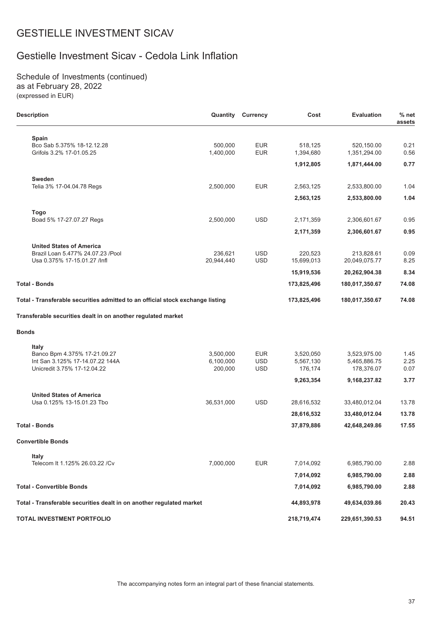# Gestielle Investment Sicav - Cedola Link Inflation

Schedule of Investments (continued) as at February 28, 2022 (expressed in EUR)

| <b>Description</b>                                                             | Quantity              | Currency                 | Cost                  | <b>Evaluation</b>           | $%$ net<br>assets |
|--------------------------------------------------------------------------------|-----------------------|--------------------------|-----------------------|-----------------------------|-------------------|
| Spain<br>Bco Sab 5.375% 18-12.12.28<br>Grifols 3.2% 17-01.05.25                | 500,000<br>1,400,000  | <b>EUR</b><br><b>EUR</b> | 518,125<br>1,394,680  | 520,150.00<br>1,351,294.00  | 0.21<br>0.56      |
|                                                                                |                       |                          | 1,912,805             | 1,871,444.00                | 0.77              |
| Sweden<br>Telia 3% 17-04.04.78 Regs                                            | 2,500,000             | <b>EUR</b>               | 2,563,125             | 2,533,800.00                | 1.04              |
|                                                                                |                       |                          | 2,563,125             | 2,533,800.00                | 1.04              |
| <b>Togo</b>                                                                    |                       |                          |                       |                             |                   |
| Boad 5% 17-27.07.27 Regs                                                       | 2,500,000             | <b>USD</b>               | 2,171,359             | 2,306,601.67                | 0.95              |
|                                                                                |                       |                          | 2,171,359             | 2,306,601.67                | 0.95              |
| <b>United States of America</b>                                                |                       |                          |                       |                             |                   |
| Brazil Loan 5.477% 24.07.23 /Pool<br>Usa 0.375% 17-15.01.27 /lnfl              | 236,621<br>20,944,440 | <b>USD</b><br><b>USD</b> | 220,523<br>15,699,013 | 213,828.61<br>20,049,075.77 | 0.09<br>8.25      |
|                                                                                |                       |                          | 15,919,536            | 20,262,904.38               | 8.34              |
| Total - Bonds                                                                  |                       |                          | 173,825,496           | 180,017,350.67              | 74.08             |
| Total - Transferable securities admitted to an official stock exchange listing |                       |                          | 173,825,496           | 180,017,350.67              | 74.08             |
| Transferable securities dealt in on another regulated market                   |                       |                          |                       |                             |                   |
| <b>Bonds</b>                                                                   |                       |                          |                       |                             |                   |
| <b>Italy</b>                                                                   |                       |                          |                       |                             |                   |
| Banco Bpm 4.375% 17-21.09.27                                                   | 3,500,000             | <b>EUR</b>               | 3,520,050             | 3,523,975.00                | 1.45              |
| Int San 3.125% 17-14.07.22 144A<br>Unicredit 3.75% 17-12.04.22                 | 6,100,000<br>200,000  | <b>USD</b><br><b>USD</b> | 5,567,130<br>176,174  | 5,465,886.75<br>178,376.07  | 2.25<br>0.07      |
|                                                                                |                       |                          | 9,263,354             | 9,168,237.82                | 3.77              |
| <b>United States of America</b>                                                |                       |                          |                       |                             |                   |
| Usa 0.125% 13-15.01.23 Tbo                                                     | 36,531,000            | <b>USD</b>               | 28,616,532            | 33,480,012.04               | 13.78             |
|                                                                                |                       |                          | 28,616,532            | 33,480,012.04               | 13.78             |
| <b>Total - Bonds</b>                                                           |                       |                          | 37,879,886            | 42,648,249.86               | 17.55             |
| <b>Convertible Bonds</b>                                                       |                       |                          |                       |                             |                   |
| Italy                                                                          |                       |                          |                       |                             |                   |
| Telecom It 1.125% 26.03.22 /Cv                                                 | 7,000,000             | <b>EUR</b>               | 7,014,092             | 6,985,790.00                | 2.88              |
|                                                                                |                       |                          | 7,014,092             | 6,985,790.00                | 2.88              |
| <b>Total - Convertible Bonds</b>                                               |                       |                          | 7,014,092             | 6,985,790.00                | 2.88              |
| Total - Transferable securities dealt in on another regulated market           |                       |                          | 44,893,978            | 49,634,039.86               | 20.43             |
| TOTAL INVESTMENT PORTFOLIO                                                     |                       |                          | 218,719,474           | 229,651,390.53              | 94.51             |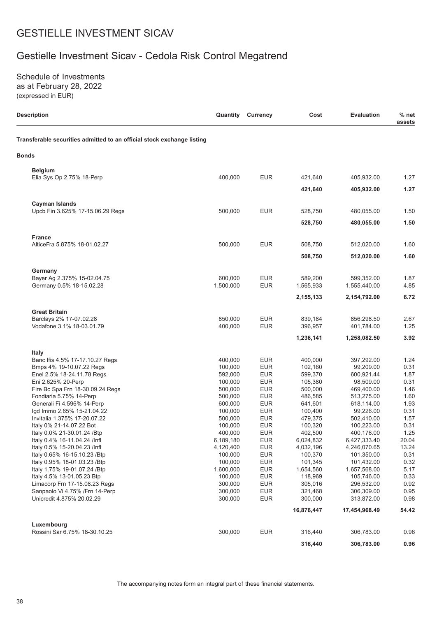# Gestielle Investment Sicav - Cedola Risk Control Megatrend

Schedule of Investments as at February 28, 2022 (expressed in EUR)

| <b>Description</b>                                                     | Quantity           | <b>Currency</b>          | Cost               | <b>Evaluation</b>       | $%$ net<br>assets |
|------------------------------------------------------------------------|--------------------|--------------------------|--------------------|-------------------------|-------------------|
| Transferable securities admitted to an official stock exchange listing |                    |                          |                    |                         |                   |
| <b>Bonds</b>                                                           |                    |                          |                    |                         |                   |
| <b>Belgium</b>                                                         |                    |                          |                    |                         |                   |
| Elia Sys Op 2.75% 18-Perp                                              | 400,000            | <b>EUR</b>               | 421,640            | 405,932.00              | 1.27              |
|                                                                        |                    |                          | 421,640            | 405,932.00              | 1.27              |
| Cayman Islands                                                         |                    |                          |                    |                         |                   |
| Upcb Fin 3.625% 17-15.06.29 Regs                                       | 500,000            | <b>EUR</b>               | 528,750            | 480,055.00              | 1.50              |
|                                                                        |                    |                          | 528,750            | 480,055.00              | 1.50              |
| <b>France</b>                                                          |                    |                          |                    |                         |                   |
| AlticeFra 5.875% 18-01.02.27                                           | 500,000            | <b>EUR</b>               | 508,750            | 512,020.00              | 1.60              |
|                                                                        |                    |                          | 508,750            | 512,020.00              | 1.60              |
| Germany                                                                |                    |                          |                    |                         |                   |
| Bayer Ag 2.375% 15-02.04.75                                            | 600,000            | <b>EUR</b>               | 589,200            | 599,352.00              | 1.87              |
| Germany 0.5% 18-15.02.28                                               | 1,500,000          | <b>EUR</b>               | 1,565,933          | 1,555,440.00            | 4.85              |
|                                                                        |                    |                          | 2,155,133          | 2,154,792.00            | 6.72              |
| <b>Great Britain</b>                                                   |                    |                          |                    |                         |                   |
| Barclays 2% 17-07.02.28                                                | 850,000            | <b>EUR</b>               | 839,184            | 856,298.50              | 2.67              |
| Vodafone 3.1% 18-03.01.79                                              | 400,000            | <b>EUR</b>               | 396,957            | 401,784.00              | 1.25              |
|                                                                        |                    |                          | 1,236,141          | 1,258,082.50            | 3.92              |
| <b>Italy</b>                                                           |                    |                          |                    |                         |                   |
| Banc Ifis 4.5% 17-17.10.27 Regs                                        | 400,000            | <b>EUR</b>               | 400,000            | 397,292.00              | 1.24              |
| Bmps 4% 19-10.07.22 Regs                                               | 100,000            | <b>EUR</b>               | 102,160            | 99,209.00               | 0.31              |
| Enel 2.5% 18-24.11.78 Regs                                             | 592,000            | <b>EUR</b>               | 599,370            | 600,921.44              | 1.87              |
| Eni 2.625% 20-Perp                                                     | 100,000<br>500,000 | <b>EUR</b><br><b>EUR</b> | 105,380<br>500,000 | 98,509.00<br>469,400.00 | 0.31<br>1.46      |
| Fire Bc Spa Frn 18-30.09.24 Regs<br>Fondiaria 5.75% 14-Perp            | 500,000            | <b>EUR</b>               | 486,585            | 513,275.00              | 1.60              |
| Generali Fi 4.596% 14-Perp                                             | 600,000            | <b>EUR</b>               | 641,601            | 618,114.00              | 1.93              |
| lgd Immo 2.65% 15-21.04.22                                             | 100,000            | <b>EUR</b>               | 100,400            | 99,226.00               | 0.31              |
| Invitalia 1.375% 17-20.07.22                                           | 500,000            | <b>EUR</b>               | 479,375            | 502,410.00              | 1.57              |
| Italy 0% 21-14.07.22 Bot                                               | 100,000            | <b>EUR</b>               | 100,320            | 100,223.00              | 0.31              |
| Italy 0.0% 21-30.01.24 /Btp                                            | 400,000            | <b>EUR</b>               | 402,500            | 400,176.00              | 1.25              |
| ltaly 0.4% 16-11.04.24 /Infl                                           | 6,189,180          | <b>EUR</b>               | 6,024,832          | 6,427,333.40            | 20.04             |
| Italy 0.5% 15-20.04.23 /Infl                                           | 4,120,400          | <b>EUR</b>               | 4,032,196          | 4,246,070.65            | 13.24             |
| Italy 0.65% 16-15.10.23 / Btp                                          | 100,000            | <b>EUR</b>               | 100,370            | 101,350.00              | 0.31              |
| Italy 0.95% 18-01.03.23 / Btp                                          | 100,000            | <b>EUR</b>               | 101,345            | 101,432.00              | 0.32              |
| Italy 1.75% 19-01.07.24 /Btp                                           | 1,600,000          | <b>EUR</b>               | 1,654,560          | 1,657,568.00            | 5.17              |
| Italy 4.5% 13-01.05.23 Btp                                             | 100.000            | <b>EUR</b>               | 118,969            | 105,746.00              | 0.33              |
| Limacorp Frn 17-15.08.23 Regs                                          | 300,000            | <b>EUR</b>               | 305,016            | 296,532.00              | 0.92              |
| Sanpaolo Vi 4.75% / Frn 14-Perp                                        | 300,000            | <b>EUR</b>               | 321,468            | 306,309.00              | 0.95              |
| Unicredit 4.875% 20.02.29                                              | 300,000            | <b>EUR</b>               | 300,000            | 313,872.00              | 0.98              |
|                                                                        |                    |                          | 16,876,447         | 17,454,968.49           | 54.42             |
| Luxembourg                                                             |                    |                          |                    |                         |                   |
| Rossini Sar 6.75% 18-30.10.25                                          | 300,000            | <b>EUR</b>               | 316,440            | 306,783.00              | 0.96              |
|                                                                        |                    |                          | 316,440            | 306,783.00              | 0.96              |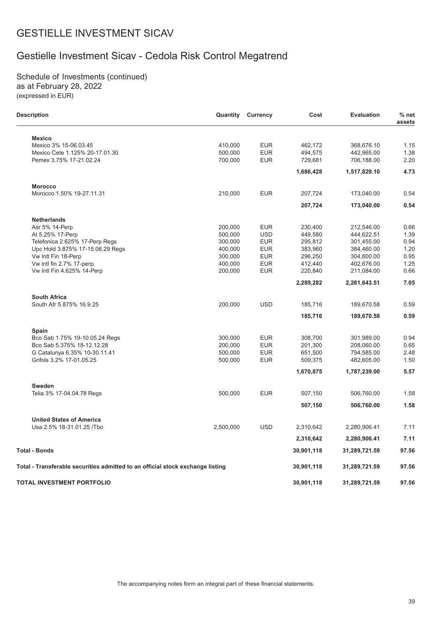# Gestielle Investment Sicav - Cedola Risk Control Megatrend

Schedule of Investments (continued) as at February 28, 2022 (expressed in EUR)

L.

| <b>Description</b>                                                             |           | <b>Quantity Currency</b> | Cost       | <b>Evaluation</b> | $%$ net<br>assets |
|--------------------------------------------------------------------------------|-----------|--------------------------|------------|-------------------|-------------------|
| <b>Mexico</b>                                                                  |           |                          |            |                   |                   |
| Mexico 3% 15-06.03.45                                                          | 410,000   | <b>EUR</b>               | 462,172    | 368,676.10        | 1.15              |
| Mexico Cete 1.125% 20-17.01.30                                                 | 500,000   | <b>EUR</b>               | 494,575    | 442,965.00        | 1.38              |
| Pemex 3.75% 17-21.02.24                                                        | 700,000   | <b>EUR</b>               | 729,681    | 706,188.00        | 2.20              |
|                                                                                |           |                          | 1,686,428  | 1,517,829.10      | 4.73              |
| <b>Morocco</b>                                                                 |           |                          |            |                   |                   |
| Morocco 1.50% 19-27.11.31                                                      | 210,000   | <b>EUR</b>               | 207,724    | 173,040.00        | 0.54              |
|                                                                                |           |                          | 207,724    | 173,040.00        | 0.54              |
| <b>Netherlands</b>                                                             |           |                          |            |                   |                   |
| Asr 5% 14-Perp                                                                 | 200,000   | <b>EUR</b>               | 230,400    | 212,546.00        | 0.66              |
| At 5.25% 17-Perp                                                               | 500,000   | <b>USD</b>               | 449,580    | 444,622.51        | 1.39              |
| Telefonica 2.625% 17-Perp Regs                                                 | 300,000   | <b>EUR</b>               | 295,812    | 301,455.00        | 0.94              |
| Upc Hold 3.875% 17-15.06.29 Regs                                               | 400,000   | <b>EUR</b>               | 383,960    | 384,460.00        | 1.20              |
| Vw Intl Fin 18-Perp                                                            | 300,000   | <b>EUR</b>               | 296,250    | 304,800.00        | 0.95              |
| Vw intl fin 2.7% 17-perp.                                                      | 400,000   | <b>EUR</b>               | 412,440    | 402,676.00        | 1.25              |
| Vw Intl Fin 4.625% 14-Perp                                                     | 200,000   | <b>EUR</b>               | 220,840    | 211,084.00        | 0.66              |
|                                                                                |           |                          | 2,289,282  | 2,261,643.51      | 7.05              |
| <b>South Africa</b>                                                            |           |                          |            |                   |                   |
| South Afr 5.875% 16.9.25                                                       | 200,000   | <b>USD</b>               | 185,716    | 189,670.58        | 0.59              |
|                                                                                |           |                          | 185,716    | 189,670.58        | 0.59              |
| Spain                                                                          |           |                          |            |                   |                   |
| Bco Sab 1.75% 19-10.05.24 Regs                                                 | 300,000   | <b>EUR</b>               | 308,700    | 301,989.00        | 0.94              |
| Bco Sab 5.375% 18-12.12.28                                                     | 200,000   | <b>EUR</b>               | 201,300    | 208,060.00        | 0.65              |
| G Catalunya 6.35% 10-30.11.41                                                  | 500,000   | <b>EUR</b>               | 651,500    | 794,585.00        | 2.48              |
| Grifols 3.2% 17-01.05.25                                                       | 500,000   | <b>EUR</b>               | 509,375    | 482,605.00        | 1.50              |
|                                                                                |           |                          | 1,670,875  | 1,787,239.00      | 5.57              |
| <b>Sweden</b>                                                                  |           |                          |            |                   |                   |
| Telia 3% 17-04.04.78 Regs                                                      | 500,000   | <b>EUR</b>               | 507,150    | 506,760.00        | 1.58              |
|                                                                                |           |                          | 507,150    | 506,760.00        | 1.58              |
| <b>United States of America</b>                                                |           |                          |            |                   |                   |
| Usa 2.5% 18-31.01.25 /Tbo                                                      | 2,500,000 | <b>USD</b>               | 2,310,642  | 2,280,906.41      | 7.11              |
|                                                                                |           |                          | 2,310,642  | 2,280,906.41      | 7.11              |
| Total - Bonds                                                                  |           |                          | 30,901,118 | 31,289,721.59     | 97.56             |
| Total - Transferable securities admitted to an official stock exchange listing |           |                          | 30,901,118 | 31,289,721.59     | 97.56             |
| TOTAL INVESTMENT PORTFOLIO                                                     |           |                          | 30,901,118 | 31,289,721.59     | 97.56             |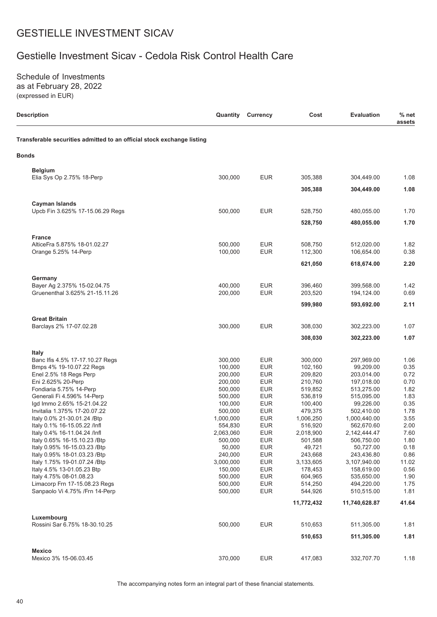# Gestielle Investment Sicav - Cedola Risk Control Health Care

Schedule of Investments as at February 28, 2022 (expressed in EUR)

| <b>Description</b>                                                     | Quantity           | <b>Currency</b>          | Cost               | <b>Evaluation</b>       | $%$ net<br>assets |
|------------------------------------------------------------------------|--------------------|--------------------------|--------------------|-------------------------|-------------------|
| Transferable securities admitted to an official stock exchange listing |                    |                          |                    |                         |                   |
| <b>Bonds</b>                                                           |                    |                          |                    |                         |                   |
| <b>Belgium</b>                                                         |                    |                          |                    |                         |                   |
| Elia Sys Op 2.75% 18-Perp                                              | 300,000            | <b>EUR</b>               | 305,388            | 304,449.00              | 1.08              |
|                                                                        |                    |                          | 305,388            | 304,449.00              | 1.08              |
| <b>Cayman Islands</b>                                                  |                    |                          |                    |                         |                   |
| Upcb Fin 3.625% 17-15.06.29 Regs                                       | 500,000            | <b>EUR</b>               | 528,750            | 480,055.00              | 1.70              |
|                                                                        |                    |                          | 528,750            | 480,055.00              | 1.70              |
| <b>France</b>                                                          |                    |                          |                    |                         |                   |
| AlticeFra 5.875% 18-01.02.27                                           | 500,000            | <b>EUR</b>               | 508,750            | 512,020.00              | 1.82              |
| Orange 5.25% 14-Perp                                                   | 100,000            | <b>EUR</b>               | 112,300            | 106,654.00              | 0.38              |
|                                                                        |                    |                          | 621,050            | 618,674.00              | 2.20              |
| Germany                                                                |                    |                          |                    |                         |                   |
| Bayer Ag 2.375% 15-02.04.75                                            | 400,000            | <b>EUR</b>               | 396,460            | 399,568.00              | 1.42              |
| Gruenenthal 3.625% 21-15.11.26                                         | 200,000            | <b>EUR</b>               | 203,520            | 194,124.00              | 0.69              |
|                                                                        |                    |                          | 599,980            | 593,692.00              | 2.11              |
| <b>Great Britain</b>                                                   |                    |                          |                    |                         |                   |
| Barclays 2% 17-07.02.28                                                | 300,000            | <b>EUR</b>               | 308,030            | 302,223.00              | 1.07              |
|                                                                        |                    |                          | 308,030            | 302,223.00              | 1.07              |
| Italy                                                                  |                    |                          |                    |                         |                   |
| Banc Ifis 4.5% 17-17.10.27 Regs                                        | 300,000            | <b>EUR</b>               | 300,000            | 297,969.00              | 1.06              |
| Bmps 4% 19-10.07.22 Regs                                               | 100,000            | <b>EUR</b>               | 102,160            | 99,209.00               | 0.35              |
| Enel 2.5% 18 Regs Perp                                                 | 200,000            | <b>EUR</b>               | 209,820            | 203,014.00              | 0.72              |
| Eni 2.625% 20-Perp                                                     | 200,000            | <b>EUR</b>               | 210,760            | 197,018.00              | 0.70              |
| Fondiaria 5.75% 14-Perp                                                | 500,000<br>500.000 | <b>EUR</b>               | 519,852            | 513,275.00              | 1.82              |
| Generali Fi 4.596% 14-Perp<br>lgd Immo 2.65% 15-21.04.22               | 100,000            | <b>EUR</b><br><b>EUR</b> | 536,819<br>100,400 | 515,095.00<br>99,226.00 | 1.83<br>0.35      |
| Invitalia 1.375% 17-20.07.22                                           | 500,000            | <b>EUR</b>               | 479,375            | 502,410.00              | 1.78              |
| Italy 0.0% 21-30.01.24 / Btp                                           | 1,000,000          | <b>EUR</b>               | 1,006,250          | 1,000,440.00            | 3.55              |
| Italy 0.1% 16-15.05.22 /Infl                                           | 554,830            | <b>EUR</b>               | 516,920            | 562,670.60              | 2.00              |
| Italy 0.4% 16-11.04.24 /Infl                                           | 2,063,060          | <b>EUR</b>               | 2,018,900          | 2,142,444.47            | 7.60              |
| ltaly 0.65% 16-15.10.23 /Btp                                           | 500,000            | EUR                      | 501,588            | 506,750.00              | 1.80              |
| Italy 0.95% 16-15.03.23 / Btp                                          | 50,000             | <b>EUR</b>               | 49,721             | 50,727.00               | 0.18              |
| Italy 0.95% 18-01.03.23 / Btp                                          | 240,000            | <b>EUR</b>               | 243,668            | 243,436.80              | 0.86              |
| Italy 1.75% 19-01.07.24 / Btp                                          | 3,000,000          | <b>EUR</b>               | 3,133,605          | 3,107,940.00            | 11.02             |
| Italy 4.5% 13-01.05.23 Btp                                             | 150,000            | <b>EUR</b>               | 178,453            | 158,619.00              | 0.56              |
| Italy 4.75% 08-01.08.23                                                | 500,000            | <b>EUR</b>               | 604,965            | 535,650.00              | 1.90              |
| Limacorp Frn 17-15.08.23 Regs                                          | 500,000            | <b>EUR</b>               | 514,250            | 494,220.00              | 1.75              |
| Sanpaolo Vi 4.75% / Frn 14-Perp                                        | 500,000            | <b>EUR</b>               | 544,926            | 510,515.00              | 1.81              |
|                                                                        |                    |                          | 11,772,432         | 11,740,628.87           | 41.64             |
| Luxembourg                                                             |                    |                          |                    |                         |                   |
| Rossini Sar 6.75% 18-30.10.25                                          | 500,000            | <b>EUR</b>               | 510,653            | 511,305.00              | 1.81              |
|                                                                        |                    |                          | 510,653            | 511,305.00              | 1.81              |
| <b>Mexico</b>                                                          |                    |                          |                    |                         |                   |
| Mexico 3% 15-06.03.45                                                  | 370,000            | <b>EUR</b>               | 417,083            | 332,707.70              | 1.18              |

The accompanying notes form an integral part of these financial statements.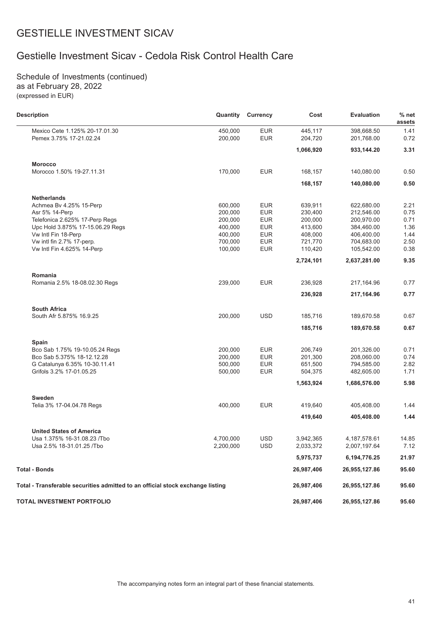# Gestielle Investment Sicav - Cedola Risk Control Health Care

Schedule of Investments (continued) as at February 28, 2022 (expressed in EUR)

| <b>Description</b>                                                             | Quantity  | Currency   | Cost       | <b>Evaluation</b> | $%$ net<br>assets |
|--------------------------------------------------------------------------------|-----------|------------|------------|-------------------|-------------------|
| Mexico Cete 1.125% 20-17.01.30                                                 | 450,000   | <b>EUR</b> | 445,117    | 398,668.50        | 1.41              |
| Pemex 3.75% 17-21.02.24                                                        | 200,000   | <b>EUR</b> | 204,720    | 201,768.00        | 0.72              |
|                                                                                |           |            | 1,066,920  | 933,144.20        | 3.31              |
| <b>Morocco</b>                                                                 |           |            |            |                   |                   |
| Morocco 1.50% 19-27.11.31                                                      | 170,000   | <b>EUR</b> | 168,157    | 140,080.00        | 0.50              |
|                                                                                |           |            | 168,157    | 140,080.00        | 0.50              |
| <b>Netherlands</b>                                                             |           |            |            |                   |                   |
| Achmea Bv 4.25% 15-Perp                                                        | 600.000   | <b>EUR</b> | 639,911    | 622,680.00        | 2.21              |
| Asr 5% 14-Perp                                                                 | 200,000   | <b>EUR</b> | 230,400    | 212,546.00        | 0.75              |
| Telefonica 2.625% 17-Perp Regs                                                 | 200,000   | <b>EUR</b> | 200,000    | 200,970.00        | 0.71              |
| Upc Hold 3.875% 17-15.06.29 Regs                                               | 400,000   | <b>EUR</b> | 413,600    | 384,460.00        | 1.36              |
| Vw Intl Fin 18-Perp                                                            | 400,000   | <b>EUR</b> | 408,000    | 406,400.00        | 1.44              |
| Vw intl fin 2.7% 17-perp.                                                      | 700,000   | <b>EUR</b> | 721,770    | 704,683.00        | 2.50              |
| Vw Intl Fin 4.625% 14-Perp                                                     | 100,000   | <b>EUR</b> | 110,420    | 105,542.00        | 0.38              |
|                                                                                |           |            | 2,724,101  | 2,637,281.00      | 9.35              |
| Romania                                                                        |           |            |            |                   |                   |
| Romania 2.5% 18-08.02.30 Regs                                                  | 239,000   | <b>EUR</b> | 236.928    | 217,164.96        | 0.77              |
|                                                                                |           |            | 236,928    | 217,164.96        | 0.77              |
| <b>South Africa</b>                                                            |           |            |            |                   |                   |
| South Afr 5.875% 16.9.25                                                       | 200,000   | <b>USD</b> | 185,716    | 189,670.58        | 0.67              |
|                                                                                |           |            | 185,716    | 189,670.58        | 0.67              |
| Spain                                                                          |           |            |            |                   |                   |
| Bco Sab 1.75% 19-10.05.24 Regs                                                 | 200,000   | <b>EUR</b> | 206,749    | 201,326.00        | 0.71              |
| Bco Sab 5.375% 18-12.12.28                                                     | 200,000   | <b>EUR</b> | 201,300    | 208,060.00        | 0.74              |
| G Catalunya 6.35% 10-30.11.41                                                  | 500,000   | <b>EUR</b> | 651,500    | 794,585.00        | 2.82              |
| Grifols 3.2% 17-01.05.25                                                       | 500,000   | <b>EUR</b> | 504,375    | 482,605.00        | 1.71              |
|                                                                                |           |            | 1,563,924  | 1,686,576.00      | 5.98              |
| Sweden                                                                         |           |            |            |                   |                   |
| Telia 3% 17-04.04.78 Regs                                                      | 400,000   | <b>EUR</b> | 419,640    | 405,408.00        | 1.44              |
|                                                                                |           |            | 419,640    | 405,408.00        | 1.44              |
| <b>United States of America</b>                                                |           |            |            |                   |                   |
| Usa 1.375% 16-31.08.23 /Tbo                                                    | 4,700,000 | <b>USD</b> | 3,942,365  | 4, 187, 578.61    | 14.85             |
| Usa 2.5% 18-31.01.25 / Tbo                                                     | 2,200,000 | <b>USD</b> | 2,033,372  | 2,007,197.64      | 7.12              |
|                                                                                |           |            | 5,975,737  | 6,194,776.25      | 21.97             |
| <b>Total - Bonds</b>                                                           |           |            | 26,987,406 | 26,955,127.86     | 95.60             |
| Total - Transferable securities admitted to an official stock exchange listing |           |            | 26,987,406 | 26,955,127.86     | 95.60             |
| TOTAL INVESTMENT PORTFOLIO                                                     |           |            | 26,987,406 | 26,955,127.86     | 95.60             |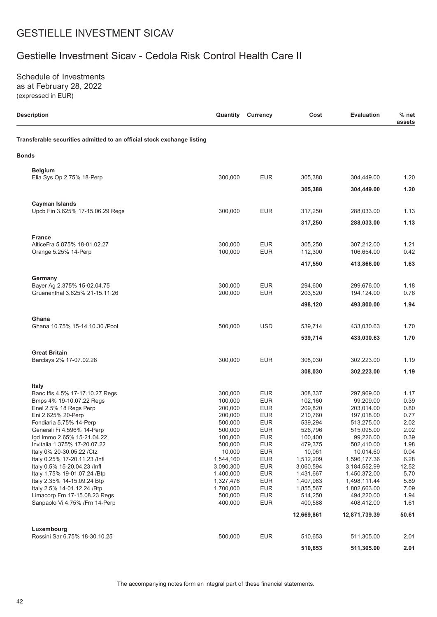# Gestielle Investment Sicav - Cedola Risk Control Health Care II

Schedule of Investments as at February 28, 2022 (expressed in EUR)

| <b>Description</b>                                                     | Quantity           | <b>Currency</b>          | Cost               | <b>Evaluation</b>        | $%$ net<br>assets |
|------------------------------------------------------------------------|--------------------|--------------------------|--------------------|--------------------------|-------------------|
| Transferable securities admitted to an official stock exchange listing |                    |                          |                    |                          |                   |
| <b>Bonds</b>                                                           |                    |                          |                    |                          |                   |
| <b>Belgium</b>                                                         |                    |                          |                    |                          |                   |
| Elia Sys Op 2.75% 18-Perp                                              | 300,000            | <b>EUR</b>               | 305,388            | 304,449.00               | 1.20              |
|                                                                        |                    |                          | 305,388            | 304,449.00               | 1.20              |
| <b>Cayman Islands</b><br>Upcb Fin 3.625% 17-15.06.29 Regs              | 300,000            | <b>EUR</b>               | 317,250            | 288,033.00               | 1.13              |
|                                                                        |                    |                          |                    |                          |                   |
|                                                                        |                    |                          | 317,250            | 288,033.00               | 1.13              |
| <b>France</b><br>AlticeFra 5.875% 18-01.02.27                          | 300,000            | <b>EUR</b>               | 305,250            | 307,212.00               | 1.21              |
| Orange 5.25% 14-Perp                                                   | 100,000            | <b>EUR</b>               | 112,300            | 106,654.00               | 0.42              |
|                                                                        |                    |                          | 417,550            | 413,866.00               | 1.63              |
|                                                                        |                    |                          |                    |                          |                   |
| Germany                                                                |                    |                          |                    |                          |                   |
| Bayer Ag 2.375% 15-02.04.75<br>Gruenenthal 3.625% 21-15.11.26          | 300,000<br>200,000 | <b>EUR</b><br><b>EUR</b> | 294,600<br>203,520 | 299,676.00               | 1.18<br>0.76      |
|                                                                        |                    |                          |                    | 194,124.00               | 1.94              |
|                                                                        |                    |                          | 498,120            | 493,800.00               |                   |
| Ghana                                                                  |                    |                          |                    |                          |                   |
| Ghana 10.75% 15-14.10.30 / Pool                                        | 500,000            | <b>USD</b>               | 539,714            | 433,030.63               | 1.70              |
|                                                                        |                    |                          | 539,714            | 433,030.63               | 1.70              |
| <b>Great Britain</b>                                                   |                    |                          |                    |                          |                   |
| Barclays 2% 17-07.02.28                                                | 300,000            | <b>EUR</b>               | 308,030            | 302,223.00               | 1.19              |
|                                                                        |                    |                          | 308,030            | 302,223.00               | 1.19              |
| <b>Italy</b>                                                           |                    |                          |                    |                          |                   |
| Banc Ifis 4.5% 17-17.10.27 Regs                                        | 300,000            | <b>EUR</b>               | 308,337            | 297,969.00               | 1.17              |
| Bmps 4% 19-10.07.22 Regs                                               | 100,000            | <b>EUR</b>               | 102,160            | 99,209.00                | 0.39              |
| Enel 2.5% 18 Regs Perp                                                 | 200,000            | <b>EUR</b>               | 209,820            | 203,014.00               | 0.80              |
| Eni 2.625% 20-Perp<br>Fondiaria 5.75% 14-Perp                          | 200,000            | <b>EUR</b>               | 210,760            | 197,018.00               | 0.77              |
| Generali Fi 4.596% 14-Perp                                             | 500,000<br>500,000 | <b>EUR</b><br><b>EUR</b> | 539,294<br>526,796 | 513,275.00<br>515,095.00 | 2.02<br>2.02      |
| Igd Immo 2.65% 15-21.04.22                                             | 100,000            | <b>EUR</b>               | 100,400            | 99,226.00                | 0.39              |
| Invitalia 1.375% 17-20.07.22                                           | 500,000            | <b>EUR</b>               | 479,375            | 502,410.00               | 1.98              |
| Italy 0% 20-30.05.22 / Ctz                                             | 10,000             | <b>EUR</b>               | 10,061             | 10,014.60                | 0.04              |
| Italy 0.25% 17-20.11.23 /Infl                                          | 1,544,160          | <b>EUR</b>               | 1,512,209          | 1,596,177.36             | 6.28              |
| Italy 0.5% 15-20.04.23 /Infl                                           | 3,090,300          | <b>EUR</b>               | 3,060,594          | 3, 184, 552. 99          | 12.52             |
| Italy 1.75% 19-01.07.24 /Btp                                           | 1,400,000          | <b>EUR</b>               | 1,431,667          | 1,450,372.00             | 5.70              |
| Italy 2.35% 14-15.09.24 Btp                                            | 1,327,476          | <b>EUR</b>               | 1,407,983          | 1,498,111.44             | 5.89              |
| Italy 2.5% 14-01.12.24 / Btp                                           | 1,700,000          | <b>EUR</b>               | 1,855,567          | 1,802,663.00             | 7.09              |
| Limacorp Frn 17-15.08.23 Regs<br>Sanpaolo Vi 4.75% / Frn 14-Perp       | 500,000<br>400,000 | <b>EUR</b><br><b>EUR</b> | 514,250<br>400,588 | 494,220.00<br>408,412.00 | 1.94<br>1.61      |
|                                                                        |                    |                          | 12,669,861         | 12,871,739.39            | 50.61             |
|                                                                        |                    |                          |                    |                          |                   |
| Luxembourg<br>Rossini Sar 6.75% 18-30.10.25                            | 500,000            | <b>EUR</b>               | 510,653            | 511,305.00               | 2.01              |
|                                                                        |                    |                          | 510,653            | 511,305.00               | 2.01              |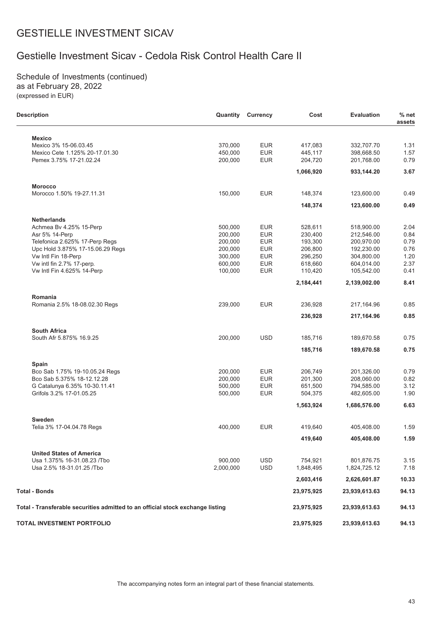# Gestielle Investment Sicav - Cedola Risk Control Health Care II

Schedule of Investments (continued) as at February 28, 2022 (expressed in EUR)

L.

| <b>Description</b>                                                             | Quantity  | <b>Currency</b> | Cost       | <b>Evaluation</b> | $%$ net<br>assets |
|--------------------------------------------------------------------------------|-----------|-----------------|------------|-------------------|-------------------|
| <b>Mexico</b>                                                                  |           |                 |            |                   |                   |
| Mexico 3% 15-06.03.45                                                          | 370,000   | <b>EUR</b>      | 417,083    | 332,707.70        | 1.31              |
| Mexico Cete 1.125% 20-17.01.30                                                 | 450,000   | <b>EUR</b>      | 445,117    | 398.668.50        | 1.57              |
| Pemex 3.75% 17-21.02.24                                                        | 200,000   | <b>EUR</b>      | 204,720    | 201,768.00        | 0.79              |
|                                                                                |           |                 | 1,066,920  | 933,144.20        | 3.67              |
| <b>Morocco</b>                                                                 |           |                 |            |                   |                   |
| Morocco 1.50% 19-27.11.31                                                      | 150,000   | <b>EUR</b>      | 148,374    | 123,600.00        | 0.49              |
|                                                                                |           |                 | 148,374    | 123,600.00        | 0.49              |
| <b>Netherlands</b>                                                             |           |                 |            |                   |                   |
| Achmea Bv 4.25% 15-Perp                                                        | 500,000   | <b>EUR</b>      | 528,611    | 518,900.00        | 2.04              |
| Asr 5% 14-Perp                                                                 | 200,000   | <b>EUR</b>      | 230,400    | 212,546.00        | 0.84              |
| Telefonica 2.625% 17-Perp Regs                                                 | 200,000   | <b>EUR</b>      | 193,300    | 200,970.00        | 0.79              |
| Upc Hold 3.875% 17-15.06.29 Regs                                               | 200,000   | <b>EUR</b>      | 206,800    | 192,230.00        | 0.76              |
| Vw Intl Fin 18-Perp                                                            | 300,000   | <b>EUR</b>      | 296,250    | 304,800.00        | 1.20              |
| Vw intl fin 2.7% 17-perp.                                                      | 600,000   | <b>EUR</b>      | 618,660    | 604,014.00        | 2.37              |
| Vw Intl Fin 4.625% 14-Perp                                                     | 100,000   | <b>EUR</b>      | 110,420    | 105,542.00        | 0.41              |
|                                                                                |           |                 |            |                   |                   |
|                                                                                |           |                 | 2,184,441  | 2,139,002.00      | 8.41              |
| Romania                                                                        |           |                 |            |                   |                   |
| Romania 2.5% 18-08.02.30 Regs                                                  | 239,000   | <b>EUR</b>      | 236,928    | 217,164.96        | 0.85              |
|                                                                                |           |                 | 236,928    | 217,164.96        | 0.85              |
| <b>South Africa</b>                                                            |           |                 |            |                   |                   |
| South Afr 5.875% 16.9.25                                                       | 200,000   | <b>USD</b>      | 185,716    | 189,670.58        | 0.75              |
|                                                                                |           |                 | 185,716    | 189,670.58        | 0.75              |
|                                                                                |           |                 |            |                   |                   |
| Spain<br>Bco Sab 1.75% 19-10.05.24 Regs                                        | 200,000   | <b>EUR</b>      | 206,749    | 201,326.00        | 0.79              |
| Bco Sab 5.375% 18-12.12.28                                                     | 200,000   | <b>EUR</b>      | 201,300    | 208,060.00        | 0.82              |
|                                                                                |           | <b>EUR</b>      |            |                   | 3.12              |
| G Catalunya 6.35% 10-30.11.41                                                  | 500,000   |                 | 651,500    | 794,585.00        |                   |
| Grifols 3.2% 17-01.05.25                                                       | 500,000   | <b>EUR</b>      | 504,375    | 482,605.00        | 1.90              |
|                                                                                |           |                 | 1,563,924  | 1,686,576.00      | 6.63              |
| Sweden                                                                         |           |                 |            |                   |                   |
| Telia 3% 17-04.04.78 Regs                                                      | 400,000   | <b>EUR</b>      | 419,640    | 405,408.00        | 1.59              |
|                                                                                |           |                 | 419,640    | 405,408.00        | 1.59              |
| <b>United States of America</b>                                                |           |                 |            |                   |                   |
| Usa 1.375% 16-31.08.23 / Tbo                                                   | 900,000   | <b>USD</b>      | 754,921    | 801,876.75        | 3.15              |
| Usa 2.5% 18-31.01.25 / Tbo                                                     | 2,000,000 | <b>USD</b>      | 1,848,495  | 1,824,725.12      | 7.18              |
|                                                                                |           |                 |            |                   |                   |
|                                                                                |           |                 | 2,603,416  | 2,626,601.87      | 10.33             |
| Total - Bonds                                                                  |           |                 | 23,975,925 | 23,939,613.63     | 94.13             |
| Total - Transferable securities admitted to an official stock exchange listing |           |                 | 23,975,925 | 23,939,613.63     | 94.13             |
| TOTAL INVESTMENT PORTFOLIO                                                     |           |                 | 23,975,925 | 23,939,613.63     | 94.13             |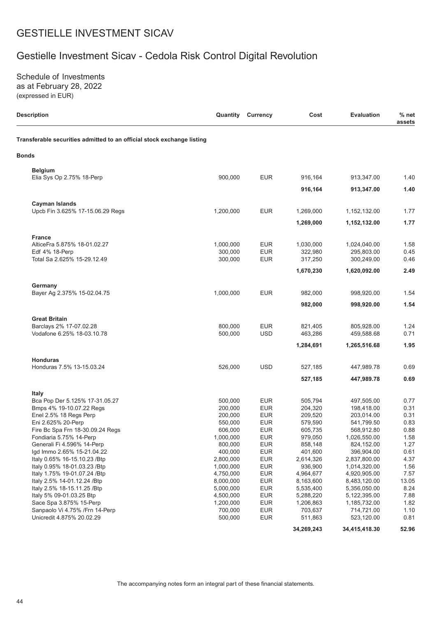# Gestielle Investment Sicav - Cedola Risk Control Digital Revolution

Schedule of Investments as at February 28, 2022 (expressed in EUR)

| <b>Description</b>                                                     | Quantity               | Currency                 | Cost                 | <b>Evaluation</b>            | $%$ net<br>assets |
|------------------------------------------------------------------------|------------------------|--------------------------|----------------------|------------------------------|-------------------|
| Transferable securities admitted to an official stock exchange listing |                        |                          |                      |                              |                   |
| <b>Bonds</b>                                                           |                        |                          |                      |                              |                   |
| <b>Belgium</b>                                                         |                        |                          |                      |                              |                   |
| Elia Sys Op 2.75% 18-Perp                                              | 900,000                | <b>EUR</b>               | 916,164              | 913,347.00                   | 1.40              |
|                                                                        |                        |                          | 916,164              | 913,347.00                   | 1.40              |
| <b>Cayman Islands</b>                                                  |                        |                          |                      |                              |                   |
| Upcb Fin 3.625% 17-15.06.29 Regs                                       | 1,200,000              | <b>EUR</b>               | 1,269,000            | 1,152,132.00                 | 1.77              |
|                                                                        |                        |                          | 1,269,000            | 1,152,132.00                 | 1.77              |
| <b>France</b>                                                          |                        |                          |                      |                              |                   |
| AlticeFra 5.875% 18-01.02.27                                           | 1,000,000              | <b>EUR</b>               | 1,030,000            | 1,024,040.00                 | 1.58              |
| Edf 4% 18-Perp                                                         | 300,000                | <b>EUR</b>               | 322,980              | 295,803.00                   | 0.45              |
| Total Sa 2.625% 15-29.12.49                                            | 300,000                | <b>EUR</b>               | 317,250              | 300,249.00                   | 0.46              |
|                                                                        |                        |                          | 1,670,230            | 1,620,092.00                 | 2.49              |
| Germany                                                                |                        |                          |                      |                              |                   |
| Bayer Ag 2.375% 15-02.04.75                                            | 1,000,000              | <b>EUR</b>               | 982,000              | 998,920.00                   | 1.54              |
|                                                                        |                        |                          | 982,000              | 998,920.00                   | 1.54              |
| <b>Great Britain</b>                                                   |                        |                          |                      |                              |                   |
| Barclays 2% 17-07.02.28                                                | 800,000                | <b>EUR</b>               | 821,405              | 805,928.00                   | 1.24              |
| Vodafone 6.25% 18-03.10.78                                             | 500,000                | <b>USD</b>               | 463,286              | 459,588.68                   | 0.71              |
|                                                                        |                        |                          | 1,284,691            | 1,265,516.68                 | 1.95              |
| <b>Honduras</b>                                                        |                        |                          |                      |                              |                   |
| Honduras 7.5% 13-15.03.24                                              | 526,000                | <b>USD</b>               | 527,185              | 447,989.78                   | 0.69              |
|                                                                        |                        |                          | 527,185              | 447,989.78                   | 0.69              |
| Italy                                                                  |                        |                          |                      |                              |                   |
| Bca Pop Der 5.125% 17-31.05.27                                         | 500,000                | <b>EUR</b>               | 505,794              | 497,505.00                   | 0.77              |
| Bmps 4% 19-10.07.22 Regs                                               | 200,000                | <b>EUR</b>               | 204,320              | 198,418.00                   | 0.31              |
| Enel 2.5% 18 Regs Perp                                                 | 200,000                | <b>EUR</b>               | 209,520              | 203,014.00                   | 0.31              |
| Eni 2.625% 20-Perp                                                     | 550,000                | <b>EUR</b>               | 579,590              | 541,799.50                   | 0.83              |
| Fire Bc Spa Frn 18-30.09.24 Regs                                       | 606,000                | <b>EUR</b>               | 605,735              | 568,912.80                   | 0.88              |
| Fondiaria 5.75% 14-Perp                                                | 1,000,000              | <b>EUR</b>               | 979,050              | 1,026,550.00                 | 1.58              |
| Generali Fi 4.596% 14-Perp                                             | 800,000                | <b>EUR</b>               | 858,148              | 824,152.00                   | 1.27              |
| lgd Immo 2.65% 15-21.04.22<br>Italy 0.65% 16-15.10.23 / Btp            | 400,000                | <b>EUR</b>               | 401,600              | 396,904.00                   | 0.61              |
| Italy 0.95% 18-01.03.23 / Btp                                          | 2,800,000<br>1,000,000 | <b>EUR</b><br><b>EUR</b> | 2,614,326<br>936,900 | 2,837,800.00<br>1,014,320.00 | 4.37<br>1.56      |
| Italy 1.75% 19-01.07.24 / Btp                                          | 4,750,000              | <b>EUR</b>               | 4,964,677            | 4,920,905.00                 | 7.57              |
| Italy 2.5% 14-01.12.24 /Btp                                            | 8,000,000              | <b>EUR</b>               | 8,163,600            | 8,483,120.00                 | 13.05             |
| Italy 2.5% 18-15.11.25 / Btp                                           | 5,000,000              | <b>EUR</b>               | 5,535,400            | 5,356,050.00                 | 8.24              |
| Italy 5% 09-01.03.25 Btp                                               | 4,500,000              | <b>EUR</b>               | 5,288,220            | 5,122,395.00                 | 7.88              |
| Sace Spa 3.875% 15-Perp                                                | 1,200,000              | <b>EUR</b>               | 1,206,863            | 1,185,732.00                 | 1.82              |
| Sanpaolo Vi 4.75% / Frn 14-Perp                                        | 700,000                | <b>EUR</b>               | 703,637              | 714,721.00                   | 1.10              |
| Unicredit 4.875% 20.02.29                                              | 500,000                | <b>EUR</b>               | 511,863              | 523,120.00                   | 0.81              |
|                                                                        |                        |                          | 34,269,243           | 34,415,418.30                | 52.96             |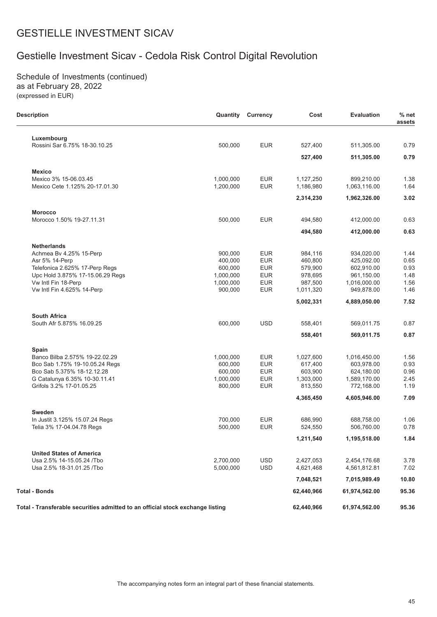# Gestielle Investment Sicav - Cedola Risk Control Digital Revolution

Schedule of Investments (continued) as at February 28, 2022 (expressed in EUR)

| <b>Description</b>                                                             | Quantity             | <b>Currency</b>          | Cost               | <b>Evaluation</b>        | $%$ net<br>assets |
|--------------------------------------------------------------------------------|----------------------|--------------------------|--------------------|--------------------------|-------------------|
| Luxembourg                                                                     |                      |                          |                    |                          |                   |
| Rossini Sar 6.75% 18-30.10.25                                                  | 500,000              | <b>EUR</b>               | 527,400            | 511,305.00               | 0.79              |
|                                                                                |                      |                          | 527,400            | 511,305.00               | 0.79              |
| <b>Mexico</b>                                                                  |                      |                          |                    |                          |                   |
| Mexico 3% 15-06.03.45                                                          | 1,000,000            | <b>EUR</b>               | 1,127,250          | 899,210.00               | 1.38              |
| Mexico Cete 1.125% 20-17.01.30                                                 | 1,200,000            | <b>EUR</b>               | 1,186,980          | 1,063,116.00             | 1.64              |
|                                                                                |                      |                          | 2,314,230          | 1,962,326.00             | 3.02              |
| <b>Morocco</b>                                                                 |                      |                          |                    |                          |                   |
| Morocco 1.50% 19-27.11.31                                                      | 500,000              | <b>EUR</b>               | 494,580            | 412,000.00               | 0.63              |
|                                                                                |                      |                          | 494,580            | 412,000.00               | 0.63              |
| <b>Netherlands</b>                                                             |                      |                          |                    |                          |                   |
| Achmea Bv 4.25% 15-Perp                                                        | 900,000              | <b>EUR</b>               | 984,116            | 934.020.00               | 1.44              |
| Asr 5% 14-Perp                                                                 | 400,000              | <b>EUR</b>               | 460,800            | 425.092.00               | 0.65              |
| Telefonica 2.625% 17-Perp Regs<br>Upc Hold 3.875% 17-15.06.29 Regs             | 600,000<br>1,000,000 | <b>EUR</b><br><b>EUR</b> | 579,900<br>978,695 | 602,910.00<br>961,150.00 | 0.93<br>1.48      |
| Vw Intl Fin 18-Perp                                                            | 1,000,000            | <b>EUR</b>               | 987,500            | 1,016,000.00             | 1.56              |
| Vw Intl Fin 4.625% 14-Perp                                                     | 900,000              | <b>EUR</b>               | 1,011,320          | 949,878.00               | 1.46              |
|                                                                                |                      |                          | 5,002,331          | 4,889,050.00             | 7.52              |
| <b>South Africa</b>                                                            |                      |                          |                    |                          |                   |
| South Afr 5.875% 16.09.25                                                      | 600,000              | <b>USD</b>               | 558,401            | 569,011.75               | 0.87              |
|                                                                                |                      |                          | 558,401            | 569,011.75               | 0.87              |
| Spain                                                                          |                      |                          |                    |                          |                   |
| Banco Bilba 2.575% 19-22.02.29                                                 | 1,000,000            | <b>EUR</b>               | 1,027,600          | 1,016,450.00             | 1.56              |
| Bco Sab 1.75% 19-10.05.24 Regs                                                 | 600,000              | <b>EUR</b>               | 617,400            | 603,978.00               | 0.93              |
| Bco Sab 5.375% 18-12.12.28                                                     | 600,000              | <b>EUR</b>               | 603,900            | 624,180.00               | 0.96              |
| G Catalunya 6.35% 10-30.11.41                                                  | 1,000,000            | <b>EUR</b>               | 1,303,000          | 1,589,170.00             | 2.45              |
| Grifols 3.2% 17-01.05.25                                                       | 800,000              | <b>EUR</b>               | 813,550            | 772,168.00               | 1.19              |
|                                                                                |                      |                          | 4,365,450          | 4,605,946.00             | 7.09              |
| Sweden                                                                         |                      |                          |                    |                          |                   |
| In Justit 3.125% 15.07.24 Regs                                                 | 700.000              | <b>EUR</b>               | 686.990            | 688,758.00               | 1.06              |
| Telia 3% 17-04.04.78 Regs                                                      | 500,000              | <b>EUR</b>               | 524,550            | 506,760.00               | 0.78              |
|                                                                                |                      |                          | 1,211,540          | 1,195,518.00             | 1.84              |
| <b>United States of America</b>                                                |                      |                          |                    |                          |                   |
| Usa 2.5% 14-15.05.24 /Tbo                                                      | 2,700,000            | <b>USD</b>               | 2,427,053          | 2,454,176.68             | 3.78              |
| Usa 2.5% 18-31.01.25 / Tbo                                                     | 5,000,000            | <b>USD</b>               | 4,621,468          | 4,561,812.81             | 7.02              |
|                                                                                |                      |                          | 7,048,521          | 7,015,989.49             | 10.80             |
| <b>Total - Bonds</b>                                                           |                      |                          | 62,440,966         | 61,974,562.00            | 95.36             |
| Total - Transferable securities admitted to an official stock exchange listing |                      |                          | 62,440,966         | 61,974,562.00            | 95.36             |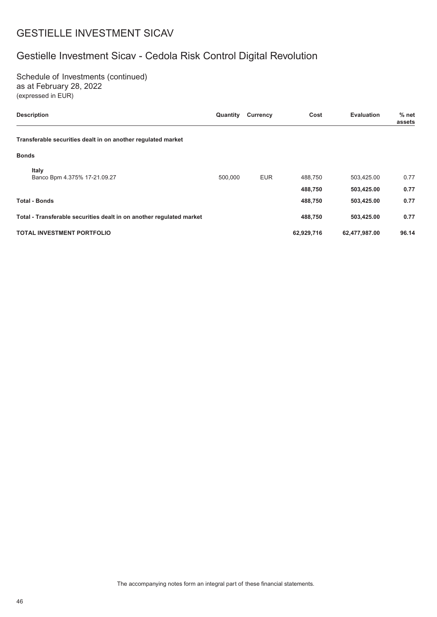# Gestielle Investment Sicav - Cedola Risk Control Digital Revolution

Schedule of Investments (continued) as at February 28, 2022 (expressed in EUR)

| <b>Description</b>                                                   | Quantity | <b>Currency</b> | Cost               | <b>Evaluation</b>        | $%$ net<br>assets |
|----------------------------------------------------------------------|----------|-----------------|--------------------|--------------------------|-------------------|
| Transferable securities dealt in on another regulated market         |          |                 |                    |                          |                   |
| <b>Bonds</b>                                                         |          |                 |                    |                          |                   |
| Italy<br>Banco Bpm 4.375% 17-21.09.27                                | 500,000  | <b>EUR</b>      | 488,750            | 503,425.00               | 0.77              |
| <b>Total - Bonds</b>                                                 |          |                 | 488,750<br>488,750 | 503,425.00<br>503,425.00 | 0.77<br>0.77      |
| Total - Transferable securities dealt in on another regulated market |          |                 | 488,750            | 503,425.00               | 0.77              |
| <b>TOTAL INVESTMENT PORTFOLIO</b>                                    |          |                 | 62,929,716         | 62,477,987.00            | 96.14             |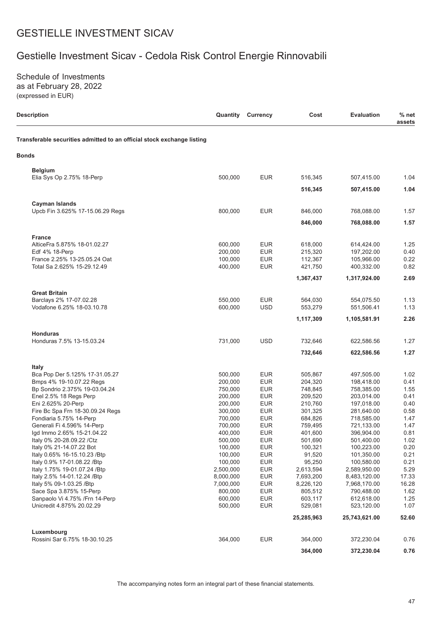# Gestielle Investment Sicav - Cedola Risk Control Energie Rinnovabili

Schedule of Investments as at February 28, 2022 (expressed in EUR)

| <b>Description</b>                                                     | Quantity           | <b>Currency</b>          | Cost               | <b>Evaluation</b>        | $%$ net<br>assets |
|------------------------------------------------------------------------|--------------------|--------------------------|--------------------|--------------------------|-------------------|
| Transferable securities admitted to an official stock exchange listing |                    |                          |                    |                          |                   |
| <b>Bonds</b>                                                           |                    |                          |                    |                          |                   |
| <b>Belgium</b>                                                         |                    |                          |                    |                          |                   |
| Elia Sys Op 2.75% 18-Perp                                              | 500,000            | <b>EUR</b>               | 516,345            | 507,415.00               | 1.04              |
|                                                                        |                    |                          | 516,345            | 507,415.00               | 1.04              |
| <b>Cayman Islands</b>                                                  |                    |                          |                    |                          |                   |
| Upcb Fin 3.625% 17-15.06.29 Regs                                       | 800,000            | <b>EUR</b>               | 846,000            | 768,088.00               | 1.57              |
|                                                                        |                    |                          | 846,000            | 768,088.00               | 1.57              |
| <b>France</b>                                                          |                    |                          |                    |                          |                   |
| AlticeFra 5.875% 18-01.02.27                                           | 600,000            | <b>EUR</b>               | 618,000            | 614,424.00               | 1.25              |
| Edf 4% 18-Perp                                                         | 200,000            | <b>EUR</b>               | 215,320            | 197,202.00               | 0.40              |
| France 2.25% 13-25.05.24 Oat                                           | 100,000            | <b>EUR</b>               | 112,367            | 105,966.00               | 0.22              |
| Total Sa 2.625% 15-29.12.49                                            | 400,000            | <b>EUR</b>               | 421,750            | 400,332.00               | 0.82              |
|                                                                        |                    |                          | 1,367,437          | 1,317,924.00             | 2.69              |
| <b>Great Britain</b>                                                   |                    |                          |                    |                          |                   |
| Barclays 2% 17-07.02.28<br>Vodafone 6.25% 18-03.10.78                  | 550,000<br>600,000 | <b>EUR</b><br><b>USD</b> | 564,030<br>553,279 | 554,075.50<br>551,506.41 | 1.13<br>1.13      |
|                                                                        |                    |                          | 1,117,309          | 1,105,581.91             | 2.26              |
|                                                                        |                    |                          |                    |                          |                   |
| <b>Honduras</b><br>Honduras 7.5% 13-15.03.24                           | 731,000            | <b>USD</b>               | 732,646            | 622,586.56               | 1.27              |
|                                                                        |                    |                          | 732,646            | 622,586.56               | 1.27              |
|                                                                        |                    |                          |                    |                          |                   |
| <b>Italy</b><br>Bca Pop Der 5.125% 17-31.05.27                         | 500,000            | <b>EUR</b>               | 505,867            | 497,505.00               | 1.02              |
| Bmps 4% 19-10.07.22 Regs                                               | 200,000            | <b>EUR</b>               | 204,320            | 198,418.00               | 0.41              |
| Bp Sondrio 2.375% 19-03.04.24                                          | 750,000            | <b>EUR</b>               | 748,845            | 758,385.00               | 1.55              |
| Enel 2.5% 18 Regs Perp                                                 | 200,000            | <b>EUR</b>               | 209,520            | 203.014.00               | 0.41              |
| Eni 2.625% 20-Perp                                                     | 200,000            | <b>EUR</b>               | 210,760            | 197,018.00               | 0.40              |
| Fire Bc Spa Frn 18-30.09.24 Regs                                       | 300,000            | <b>EUR</b>               | 301,325            | 281,640.00               | 0.58              |
| Fondiaria 5.75% 14-Perp                                                | 700,000            | <b>EUR</b>               | 684,826            | 718,585.00               | 1.47              |
| Generali Fi 4.596% 14-Perp                                             | 700,000            | <b>EUR</b><br><b>EUR</b> | 759,495            | 721,133.00               | 1.47              |
| lgd Immo 2.65% 15-21.04.22                                             | 400,000<br>500,000 |                          | 401,600            | 396,904.00               | 0.81              |
| ltaly 0% 20-28.09.22 /Ctz<br>Italy 0% 21-14.07.22 Bot                  | 100,000            | EUR<br><b>EUR</b>        | 501,690<br>100,321 | 501,400.00<br>100,223.00 | 1.02<br>0.20      |
| Italy 0.65% 16-15.10.23 / Btp                                          | 100,000            | <b>EUR</b>               | 91,520             | 101,350.00               | 0.21              |
| Italy 0.9% 17-01.08.22 / Btp                                           | 100,000            | <b>EUR</b>               | 95,250             | 100,580.00               | 0.21              |
| Italy 1.75% 19-01.07.24 /Btp                                           | 2,500,000          | <b>EUR</b>               | 2,613,594          | 2,589,950.00             | 5.29              |
| Italy 2.5% 14-01.12.24 /Btp                                            | 8,000,000          | <b>EUR</b>               | 7,693,200          | 8,483,120.00             | 17.33             |
| Italy 5% 09-1.03.25 /Btp                                               | 7,000,000          | <b>EUR</b>               | 8,226,120          | 7,968,170.00             | 16.28             |
| Sace Spa 3.875% 15-Perp                                                | 800,000            | <b>EUR</b>               | 805,512            | 790,488.00               | 1.62              |
| Sanpaolo Vi 4.75% / Frn 14-Perp                                        | 600,000            | <b>EUR</b>               | 603,117            | 612,618.00               | 1.25              |
| Unicredit 4.875% 20.02.29                                              | 500,000            | <b>EUR</b>               | 529,081            | 523,120.00               | 1.07              |
|                                                                        |                    |                          | 25,285,963         | 25,743,621.00            | 52.60             |
| Luxembourg                                                             |                    |                          |                    |                          |                   |
| Rossini Sar 6.75% 18-30.10.25                                          | 364,000            | <b>EUR</b>               | 364,000            | 372,230.04               | 0.76              |
|                                                                        |                    |                          | 364,000            | 372,230.04               | 0.76              |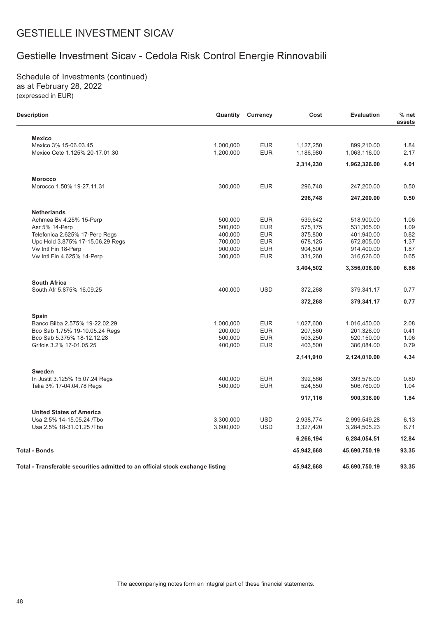# Gestielle Investment Sicav - Cedola Risk Control Energie Rinnovabili

Schedule of Investments (continued) as at February 28, 2022 (expressed in EUR)

 $\overline{\phantom{0}}$ 

| Description                                                                    | Quantity  | <b>Currency</b> | Cost       | <b>Evaluation</b> | $%$ net<br>assets |
|--------------------------------------------------------------------------------|-----------|-----------------|------------|-------------------|-------------------|
| <b>Mexico</b>                                                                  |           |                 |            |                   |                   |
| Mexico 3% 15-06.03.45                                                          | 1,000,000 | <b>EUR</b>      | 1,127,250  | 899,210.00        | 1.84              |
| Mexico Cete 1.125% 20-17.01.30                                                 | 1,200,000 | <b>EUR</b>      | 1,186,980  | 1,063,116.00      | 2.17              |
|                                                                                |           |                 | 2,314,230  | 1,962,326.00      | 4.01              |
| <b>Morocco</b>                                                                 |           |                 |            |                   |                   |
| Morocco 1.50% 19-27.11.31                                                      | 300,000   | <b>EUR</b>      | 296,748    | 247,200.00        | 0.50              |
|                                                                                |           |                 | 296,748    | 247,200.00        | 0.50              |
| <b>Netherlands</b>                                                             |           |                 |            |                   |                   |
| Achmea By 4.25% 15-Perp                                                        | 500,000   | <b>EUR</b>      | 539,642    | 518,900.00        | 1.06              |
| Asr 5% 14-Perp                                                                 | 500,000   | <b>EUR</b>      | 575,175    | 531,365.00        | 1.09              |
| Telefonica 2.625% 17-Perp Regs                                                 | 400,000   | <b>EUR</b>      | 375,800    | 401,940.00        | 0.82              |
| Upc Hold 3.875% 17-15.06.29 Regs                                               | 700,000   | <b>EUR</b>      | 678,125    | 672,805.00        | 1.37              |
| Vw Intl Fin 18-Perp                                                            | 900,000   | <b>EUR</b>      | 904,500    | 914,400.00        | 1.87              |
| Vw Intl Fin 4.625% 14-Perp                                                     | 300,000   | <b>EUR</b>      | 331,260    | 316,626.00        | 0.65              |
|                                                                                |           |                 | 3,404,502  | 3,356,036.00      | 6.86              |
| <b>South Africa</b>                                                            |           |                 |            |                   |                   |
| South Afr 5.875% 16.09.25                                                      | 400,000   | <b>USD</b>      | 372,268    | 379,341.17        | 0.77              |
|                                                                                |           |                 | 372,268    | 379,341.17        | 0.77              |
| Spain                                                                          |           |                 |            |                   |                   |
| Banco Bilba 2.575% 19-22.02.29                                                 | 1,000,000 | <b>EUR</b>      | 1,027,600  | 1,016,450.00      | 2.08              |
| Bco Sab 1.75% 19-10.05.24 Regs                                                 | 200,000   | <b>EUR</b>      | 207,560    | 201,326.00        | 0.41              |
| Bco Sab 5.375% 18-12.12.28                                                     | 500,000   | <b>EUR</b>      | 503,250    | 520,150.00        | 1.06              |
| Grifols 3.2% 17-01.05.25                                                       | 400,000   | <b>EUR</b>      | 403,500    | 386,084.00        | 0.79              |
|                                                                                |           |                 | 2,141,910  | 2,124,010.00      | 4.34              |
| <b>Sweden</b>                                                                  |           |                 |            |                   |                   |
| In Justit 3.125% 15.07.24 Regs                                                 | 400,000   | <b>EUR</b>      | 392,566    | 393,576.00        | 0.80              |
| Telia 3% 17-04.04.78 Regs                                                      | 500,000   | <b>EUR</b>      | 524,550    | 506,760.00        | 1.04              |
|                                                                                |           |                 | 917,116    | 900,336.00        | 1.84              |
| <b>United States of America</b>                                                |           |                 |            |                   |                   |
| Usa 2.5% 14-15.05.24 /Tbo                                                      | 3,300,000 | <b>USD</b>      | 2,938,774  | 2,999,549.28      | 6.13              |
| Usa 2.5% 18-31.01.25 / Tbo                                                     | 3,600,000 | <b>USD</b>      | 3,327,420  | 3,284,505.23      | 6.71              |
|                                                                                |           |                 | 6,266,194  | 6,284,054.51      | 12.84             |
| Total - Bonds                                                                  |           |                 | 45,942,668 | 45,690,750.19     | 93.35             |
| Total - Transferable securities admitted to an official stock exchange listing |           |                 | 45,942,668 | 45,690,750.19     | 93.35             |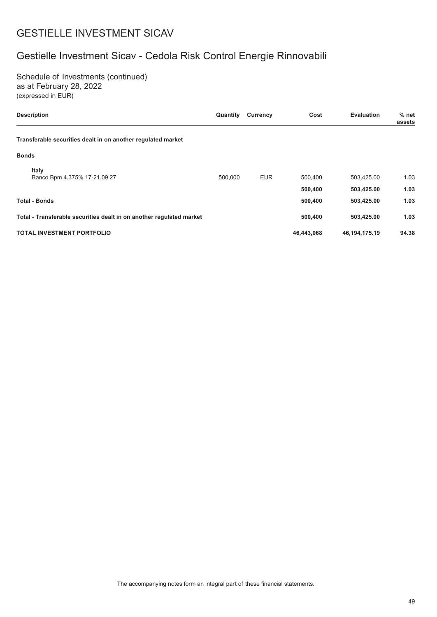# Gestielle Investment Sicav - Cedola Risk Control Energie Rinnovabili

Schedule of Investments (continued) as at February 28, 2022 (expressed in EUR)

| <b>Description</b>                                                   | Quantity | <b>Currency</b> | Cost               | <b>Evaluation</b>        | $%$ net<br>assets |
|----------------------------------------------------------------------|----------|-----------------|--------------------|--------------------------|-------------------|
| Transferable securities dealt in on another regulated market         |          |                 |                    |                          |                   |
| <b>Bonds</b>                                                         |          |                 |                    |                          |                   |
| Italy<br>Banco Bpm 4.375% 17-21.09.27                                | 500.000  | <b>EUR</b>      | 500,400            | 503,425.00               | 1.03              |
| <b>Total - Bonds</b>                                                 |          |                 | 500,400<br>500,400 | 503,425.00<br>503,425.00 | 1.03<br>1.03      |
| Total - Transferable securities dealt in on another regulated market |          |                 | 500,400            | 503,425.00               | 1.03              |
| <b>TOTAL INVESTMENT PORTFOLIO</b>                                    |          |                 | 46,443,068         | 46,194,175.19            | 94.38             |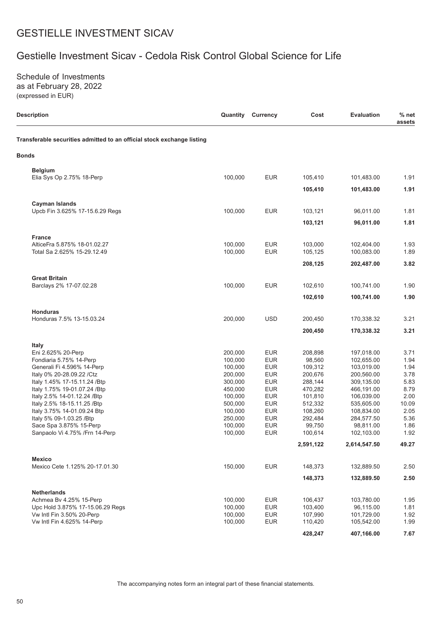# Gestielle Investment Sicav - Cedola Risk Control Global Science for Life

Schedule of Investments as at February 28, 2022 (expressed in EUR)

| <b>Description</b>                                                     | Quantity | <b>Currency</b> | Cost      | <b>Evaluation</b> | $%$ net<br>assets |
|------------------------------------------------------------------------|----------|-----------------|-----------|-------------------|-------------------|
| Transferable securities admitted to an official stock exchange listing |          |                 |           |                   |                   |
| <b>Bonds</b>                                                           |          |                 |           |                   |                   |
| <b>Belgium</b>                                                         |          |                 |           |                   |                   |
| Elia Sys Op 2.75% 18-Perp                                              | 100,000  | <b>EUR</b>      | 105,410   | 101,483.00        | 1.91              |
|                                                                        |          |                 | 105,410   | 101,483.00        | 1.91              |
| <b>Cayman Islands</b>                                                  |          |                 |           |                   |                   |
| Upcb Fin 3.625% 17-15.6.29 Regs                                        | 100,000  | <b>EUR</b>      | 103,121   | 96,011.00         | 1.81              |
|                                                                        |          |                 | 103,121   | 96,011.00         | 1.81              |
| <b>France</b>                                                          |          |                 |           |                   |                   |
| AlticeFra 5.875% 18-01.02.27                                           | 100,000  | <b>EUR</b>      | 103,000   | 102,404.00        | 1.93              |
| Total Sa 2.625% 15-29.12.49                                            | 100,000  | <b>EUR</b>      | 105,125   | 100,083.00        | 1.89              |
|                                                                        |          |                 | 208,125   | 202,487.00        | 3.82              |
| <b>Great Britain</b>                                                   |          |                 |           |                   |                   |
| Barclays 2% 17-07.02.28                                                | 100,000  | <b>EUR</b>      | 102,610   | 100,741.00        | 1.90              |
|                                                                        |          |                 | 102,610   | 100,741.00        | 1.90              |
| <b>Honduras</b>                                                        |          |                 |           |                   |                   |
| Honduras 7.5% 13-15.03.24                                              | 200,000  | <b>USD</b>      | 200,450   | 170,338.32        | 3.21              |
|                                                                        |          |                 | 200,450   | 170,338.32        | 3.21              |
| <b>Italy</b>                                                           |          |                 |           |                   |                   |
| Eni 2.625% 20-Perp                                                     | 200,000  | <b>EUR</b>      | 208,898   | 197,018.00        | 3.71              |
| Fondiaria 5.75% 14-Perp                                                | 100,000  | <b>EUR</b>      | 98,560    | 102,655.00        | 1.94              |
| Generali Fi 4.596% 14-Perp                                             | 100,000  | <b>EUR</b>      | 109,312   | 103,019.00        | 1.94              |
| Italy 0% 20-28.09.22 / Ctz                                             | 200,000  | <b>EUR</b>      | 200,676   | 200,560.00        | 3.78              |
| Italy 1.45% 17-15.11.24 / Btp                                          | 300,000  | <b>EUR</b>      | 288,144   | 309,135.00        | 5.83              |
| Italy 1.75% 19-01.07.24 / Btp                                          | 450,000  | <b>EUR</b>      | 470,282   | 466,191.00        | 8.79              |
| Italy 2.5% 14-01.12.24 /Btp                                            | 100,000  | <b>EUR</b>      | 101,810   | 106,039.00        | 2.00              |
| Italy 2.5% 18-15.11.25 /Btp                                            | 500,000  | <b>EUR</b>      | 512,332   | 535,605.00        | 10.09             |
| Italy 3.75% 14-01.09.24 Btp                                            | 100,000  | <b>EUR</b>      | 108,260   | 108,834.00        | 2.05              |
| Italy 5% 09-1.03.25 /Btp                                               | 250,000  | <b>EUR</b>      | 292,484   | 284,577.50        | 5.36              |
| Sace Spa 3.875% 15-Perp                                                | 100,000  | <b>EUR</b>      | 99,750    | 98,811.00         | 1.86              |
| Sanpaolo Vi 4.75% / Frn 14-Perp                                        | 100,000  | <b>EUR</b>      | 100,614   | 102,103.00        | 1.92              |
|                                                                        |          |                 | 2,591,122 | 2,614,547.50      | 49.27             |
| <b>Mexico</b>                                                          |          |                 |           |                   |                   |
| Mexico Cete 1.125% 20-17.01.30                                         | 150,000  | <b>EUR</b>      | 148,373   | 132,889.50        | 2.50              |
|                                                                        |          |                 | 148,373   | 132,889.50        | 2.50              |
| <b>Netherlands</b>                                                     |          |                 |           |                   |                   |
| Achmea Bv 4.25% 15-Perp                                                | 100,000  | <b>EUR</b>      | 106,437   | 103,780.00        | 1.95              |
| Upc Hold 3.875% 17-15.06.29 Regs                                       | 100,000  | <b>EUR</b>      | 103,400   | 96,115.00         | 1.81              |
| Vw Intl Fin 3.50% 20-Perp                                              | 100,000  | <b>EUR</b>      | 107,990   | 101,729.00        | 1.92              |
| Vw Intl Fin 4.625% 14-Perp                                             | 100,000  | <b>EUR</b>      | 110,420   | 105,542.00        | 1.99              |
|                                                                        |          |                 | 428,247   | 407,166.00        | 7.67              |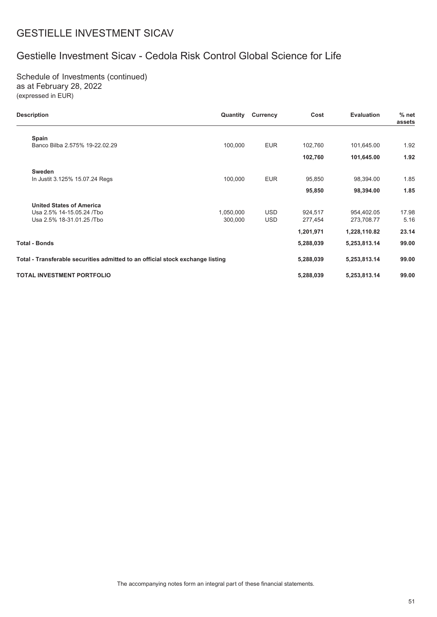# Gestielle Investment Sicav - Cedola Risk Control Global Science for Life

Schedule of Investments (continued) as at February 28, 2022 (expressed in EUR)

| <b>Description</b>                                                             | Quantity  | Currency   | Cost      | <b>Evaluation</b> | $%$ net<br>assets |
|--------------------------------------------------------------------------------|-----------|------------|-----------|-------------------|-------------------|
| Spain                                                                          |           |            |           |                   |                   |
| Banco Bilba 2.575% 19-22.02.29                                                 | 100,000   | <b>EUR</b> | 102,760   | 101,645.00        | 1.92              |
|                                                                                |           |            | 102,760   | 101,645.00        | 1.92              |
| <b>Sweden</b>                                                                  |           |            |           |                   |                   |
| In Justit 3.125% 15.07.24 Regs                                                 | 100,000   | <b>EUR</b> | 95,850    | 98,394.00         | 1.85              |
|                                                                                |           |            | 95,850    | 98,394.00         | 1.85              |
| <b>United States of America</b>                                                |           |            |           |                   |                   |
| Usa 2.5% 14-15.05.24 /Tbo                                                      | 1,050,000 | <b>USD</b> | 924.517   | 954.402.05        | 17.98             |
| Usa 2.5% 18-31.01.25 / Tbo                                                     | 300,000   | <b>USD</b> | 277,454   | 273,708.77        | 5.16              |
|                                                                                |           |            | 1,201,971 | 1,228,110.82      | 23.14             |
| Total - Bonds                                                                  |           |            | 5,288,039 | 5,253,813.14      | 99.00             |
| Total - Transferable securities admitted to an official stock exchange listing |           |            | 5,288,039 | 5,253,813.14      | 99.00             |
| <b>TOTAL INVESTMENT PORTFOLIO</b>                                              |           |            | 5,288,039 | 5,253,813.14      | 99.00             |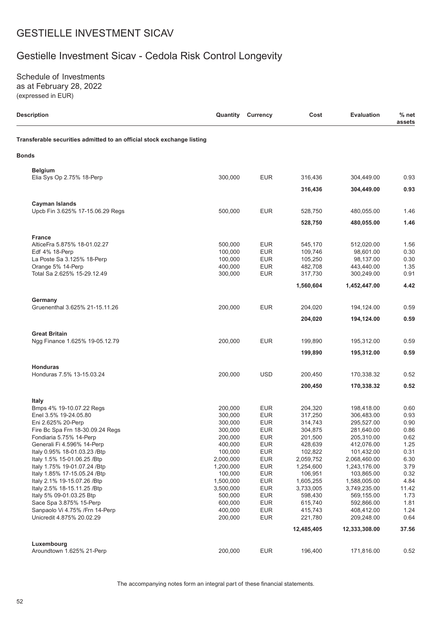# Gestielle Investment Sicav - Cedola Risk Control Longevity

Schedule of Investments as at February 28, 2022 (expressed in EUR)

| <b>Description</b>                                                     | Quantity           | <b>Currency</b>          | Cost               | <b>Evaluation</b>        | $%$ net<br>assets |
|------------------------------------------------------------------------|--------------------|--------------------------|--------------------|--------------------------|-------------------|
| Transferable securities admitted to an official stock exchange listing |                    |                          |                    |                          |                   |
| <b>Bonds</b>                                                           |                    |                          |                    |                          |                   |
| <b>Belgium</b><br>Elia Sys Op 2.75% 18-Perp                            | 300,000            | <b>EUR</b>               | 316,436            | 304,449.00               | 0.93              |
|                                                                        |                    |                          |                    |                          |                   |
|                                                                        |                    |                          | 316,436            | 304,449.00               | 0.93              |
| <b>Cayman Islands</b>                                                  | 500,000            | <b>EUR</b>               |                    | 480,055.00               | 1.46              |
| Upcb Fin 3.625% 17-15.06.29 Regs                                       |                    |                          | 528,750            |                          |                   |
|                                                                        |                    |                          | 528,750            | 480,055.00               | 1.46              |
| <b>France</b>                                                          |                    |                          |                    |                          |                   |
| AlticeFra 5.875% 18-01.02.27                                           | 500,000            | <b>EUR</b>               | 545,170            | 512,020.00               | 1.56              |
| Edf 4% 18-Perp                                                         | 100,000            | <b>EUR</b>               | 109,746            | 98,601.00<br>98,137.00   | 0.30              |
| La Poste Sa 3.125% 18-Perp<br>Orange 5% 14-Perp                        | 100,000<br>400,000 | <b>EUR</b><br><b>EUR</b> | 105,250<br>482,708 | 443,440.00               | 0.30<br>1.35      |
| Total Sa 2.625% 15-29.12.49                                            | 300,000            | <b>EUR</b>               | 317,730            | 300,249.00               | 0.91              |
|                                                                        |                    |                          | 1,560,604          | 1,452,447.00             | 4.42              |
|                                                                        |                    |                          |                    |                          |                   |
| Germany<br>Gruenenthal 3.625% 21-15.11.26                              | 200,000            | <b>EUR</b>               | 204,020            | 194,124.00               | 0.59              |
|                                                                        |                    |                          | 204,020            | 194,124.00               | 0.59              |
|                                                                        |                    |                          |                    |                          |                   |
| <b>Great Britain</b><br>Ngg Finance 1.625% 19-05.12.79                 | 200,000            | <b>EUR</b>               | 199,890            | 195,312.00               | 0.59              |
|                                                                        |                    |                          | 199,890            | 195,312.00               | 0.59              |
|                                                                        |                    |                          |                    |                          |                   |
| <b>Honduras</b><br>Honduras 7.5% 13-15.03.24                           | 200,000            | <b>USD</b>               | 200,450            | 170,338.32               | 0.52              |
|                                                                        |                    |                          | 200,450            | 170,338.32               | 0.52              |
|                                                                        |                    |                          |                    |                          |                   |
| <b>Italy</b><br>Bmps 4% 19-10.07.22 Regs                               | 200,000            | <b>EUR</b>               | 204,320            | 198,418.00               | 0.60              |
| Enel 3.5% 19-24.05.80                                                  | 300,000            | <b>EUR</b>               | 317,250            | 306,483.00               | 0.93              |
| Eni 2.625% 20-Perp                                                     | 300,000            | <b>EUR</b>               | 314,743            | 295,527.00               | 0.90              |
| Fire Bc Spa Frn 18-30.09.24 Regs                                       | 300,000            | <b>EUR</b>               | 304,875            | 281,640.00               | 0.86              |
| Fondiaria 5.75% 14-Perp                                                | 200,000            | <b>EUR</b>               | 201,500            | 205,310.00               | 0.62              |
| Generali Fi 4.596% 14-Perp                                             | 400,000            | <b>EUR</b>               | 428,639            | 412,076.00               | 1.25              |
| Italy 0.95% 18-01.03.23 / Btp                                          | 100,000            | <b>EUR</b>               | 102,822            | 101,432.00               | 0.31              |
| Italy 1.5% 15-01.06.25 /Btp                                            | 2,000,000          | <b>EUR</b>               | 2,059,752          | 2,068,460.00             | 6.30              |
| Italy 1.75% 19-01.07.24 / Btp                                          | 1,200,000          | <b>EUR</b>               | 1,254,600          | 1,243,176.00             | 3.79              |
| Italy 1.85% 17-15.05.24 / Btp                                          | 100,000            | <b>EUR</b>               | 106,951            | 103,865.00               | 0.32              |
| Italy 2.1% 19-15.07.26 / Btp                                           | 1,500,000          | <b>EUR</b>               | 1,605,255          | 1,588,005.00             | 4.84              |
| Italy 2.5% 18-15.11.25 / Btp                                           | 3,500,000          | <b>EUR</b>               | 3,733,005          | 3,749,235.00             | 11.42             |
| Italy 5% 09-01.03.25 Btp<br>Sace Spa 3.875% 15-Perp                    | 500,000<br>600,000 | <b>EUR</b><br><b>EUR</b> | 598,430<br>615,740 | 569,155.00<br>592,866.00 | 1.73<br>1.81      |
|                                                                        | 400,000            | <b>EUR</b>               | 415,743            | 408,412.00               | 1.24              |
| Sanpaolo Vi 4.75% / Frn 14-Perp<br>Unicredit 4.875% 20.02.29           | 200,000            | <b>EUR</b>               | 221,780            | 209,248.00               | 0.64              |
|                                                                        |                    |                          | 12,485,405         | 12,333,308.00            | 37.56             |
| Luxembourg                                                             |                    |                          |                    |                          |                   |
| Aroundtown 1.625% 21-Perp                                              | 200,000            | <b>EUR</b>               | 196,400            | 171,816.00               | 0.52              |
|                                                                        |                    |                          |                    |                          |                   |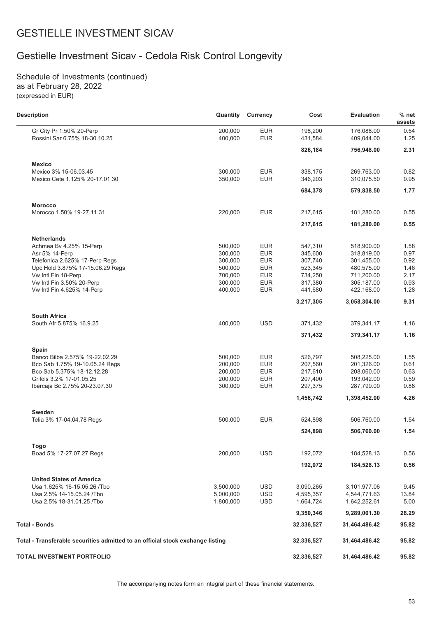# Gestielle Investment Sicav - Cedola Risk Control Longevity

Schedule of Investments (continued) as at February 28, 2022 (expressed in EUR)

| <b>Description</b>                                                             | Quantity  | <b>Currency</b> | Cost       | <b>Evaluation</b> | $%$ net<br>assets |
|--------------------------------------------------------------------------------|-----------|-----------------|------------|-------------------|-------------------|
| Gr City Pr 1.50% 20-Perp                                                       | 200,000   | <b>EUR</b>      | 198,200    | 176.088.00        | 0.54              |
| Rossini Sar 6.75% 18-30.10.25                                                  | 400,000   | <b>EUR</b>      | 431,584    | 409,044.00        | 1.25              |
|                                                                                |           |                 | 826,184    | 756,948.00        | 2.31              |
| <b>Mexico</b>                                                                  |           |                 |            |                   |                   |
| Mexico 3% 15-06.03.45                                                          | 300,000   | <b>EUR</b>      | 338,175    | 269,763.00        | 0.82              |
| Mexico Cete 1.125% 20-17.01.30                                                 | 350,000   | <b>EUR</b>      | 346,203    | 310,075.50        | 0.95              |
|                                                                                |           |                 | 684,378    | 579,838.50        | 1.77              |
| <b>Morocco</b>                                                                 |           |                 |            |                   |                   |
| Morocco 1.50% 19-27.11.31                                                      | 220,000   | <b>EUR</b>      | 217,615    | 181,280.00        | 0.55              |
|                                                                                |           |                 | 217,615    | 181,280.00        | 0.55              |
| <b>Netherlands</b>                                                             |           |                 |            |                   |                   |
| Achmea Bv 4.25% 15-Perp                                                        | 500,000   | <b>EUR</b>      | 547,310    | 518,900.00        | 1.58              |
| Asr 5% 14-Perp                                                                 | 300,000   | <b>EUR</b>      | 345,600    | 318,819.00        | 0.97              |
| Telefonica 2.625% 17-Perp Regs                                                 | 300,000   | <b>EUR</b>      | 307,740    | 301,455.00        | 0.92              |
| Upc Hold 3.875% 17-15.06.29 Regs                                               | 500,000   | <b>EUR</b>      | 523,345    | 480,575.00        | 1.46              |
| Vw Intl Fin 18-Perp                                                            | 700,000   | <b>EUR</b>      | 734,250    | 711,200.00        | 2.17              |
| Vw Intl Fin 3.50% 20-Perp                                                      | 300,000   | <b>EUR</b>      | 317.380    | 305,187.00        | 0.93              |
| Vw Intl Fin 4.625% 14-Perp                                                     | 400,000   | <b>EUR</b>      | 441,680    | 422,168.00        | 1.28              |
|                                                                                |           |                 | 3,217,305  | 3,058,304.00      | 9.31              |
| <b>South Africa</b>                                                            |           |                 |            |                   |                   |
| South Afr 5.875% 16.9.25                                                       | 400,000   | <b>USD</b>      | 371,432    | 379,341.17        | 1.16              |
|                                                                                |           |                 | 371,432    | 379,341.17        | 1.16              |
| <b>Spain</b>                                                                   |           |                 |            |                   |                   |
| Banco Bilba 2.575% 19-22.02.29                                                 | 500,000   | <b>EUR</b>      | 526,797    | 508,225.00        | 1.55              |
| Bco Sab 1.75% 19-10.05.24 Regs                                                 | 200,000   | <b>EUR</b>      | 207,560    | 201,326.00        | 0.61              |
| Bco Sab 5.375% 18-12.12.28                                                     | 200,000   | <b>EUR</b>      | 217,610    | 208,060.00        | 0.63              |
| Grifols 3.2% 17-01.05.25                                                       | 200,000   | <b>EUR</b>      | 207,400    | 193,042.00        | 0.59              |
| Ibercaja Bc 2.75% 20-23.07.30                                                  | 300,000   | <b>EUR</b>      | 297,375    | 287,799.00        | 0.88              |
|                                                                                |           |                 | 1,456,742  | 1,398,452.00      | 4.26              |
| Sweden                                                                         |           |                 |            |                   |                   |
| Telia 3% 17-04.04.78 Regs                                                      | 500,000   | <b>EUR</b>      | 524,898    | 506,760.00        | 1.54              |
|                                                                                |           |                 | 524,898    | 506,760.00        | 1.54              |
| Togo                                                                           |           |                 |            |                   |                   |
| Boad 5% 17-27.07.27 Regs                                                       | 200,000   | <b>USD</b>      | 192,072    | 184,528.13        | 0.56              |
|                                                                                |           |                 | 192,072    | 184,528.13        | 0.56              |
| <b>United States of America</b>                                                |           |                 |            |                   |                   |
| Usa 1.625% 16-15.05.26 /Tbo                                                    | 3,500,000 | <b>USD</b>      | 3,090,265  | 3,101,977.06      | 9.45              |
| Usa 2.5% 14-15.05.24 /Tbo                                                      | 5,000,000 | <b>USD</b>      | 4,595,357  | 4,544,771.63      | 13.84             |
| Usa 2.5% 18-31.01.25 / Tbo                                                     | 1,800,000 | <b>USD</b>      | 1,664,724  | 1,642,252.61      | 5.00              |
|                                                                                |           |                 | 9,350,346  | 9,289,001.30      | 28.29             |
| <b>Total - Bonds</b>                                                           |           |                 | 32,336,527 | 31,464,486.42     | 95.82             |
| Total - Transferable securities admitted to an official stock exchange listing |           |                 | 32,336,527 | 31,464,486.42     | 95.82             |
| TOTAL INVESTMENT PORTFOLIO                                                     |           |                 | 32,336,527 | 31,464,486.42     | 95.82             |
|                                                                                |           |                 |            |                   |                   |

The accompanying notes form an integral part of these financial statements.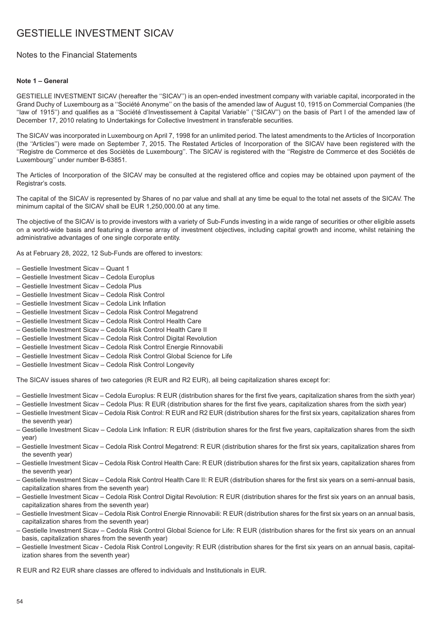## Notes to the Financial Statements

### **Note 1 – General**

GESTIELLE INVESTMENT SICAV (hereafter the ''SICAV'') is an open-ended investment company with variable capital, incorporated in the Grand Duchy of Luxembourg as a ''Société Anonyme'' on the basis of the amended law of August 10, 1915 on Commercial Companies (the ''law of 1915'') and qualifies as a ''Société d'Investissement à Capital Variable'' (''SICAV'') on the basis of Part I of the amended law of December 17, 2010 relating to Undertakings for Collective Investment in transferable securities.

The SICAV was incorporated in Luxembourg on April 7, 1998 for an unlimited period. The latest amendments to the Articles of Incorporation (the ''Articles'') were made on September 7, 2015. The Restated Articles of Incorporation of the SICAV have been registered with the ''Registre de Commerce et des Sociètès de Luxembourg''. The SICAV is registered with the ''Registre de Commerce et des Sociétés de Luxembourg'' under number B-63851.

The Articles of Incorporation of the SICAV may be consulted at the registered office and copies may be obtained upon payment of the Registrar's costs.

The capital of the SICAV is represented by Shares of no par value and shall at any time be equal to the total net assets of the SICAV. The minimum capital of the SICAV shall be EUR 1,250,000.00 at any time.

The objective of the SICAV is to provide investors with a variety of Sub-Funds investing in a wide range of securities or other eligible assets on a world-wide basis and featuring a diverse array of investment objectives, including capital growth and income, whilst retaining the administrative advantages of one single corporate entity.

As at February 28, 2022, 12 Sub-Funds are offered to investors:

- Gestielle Investment Sicav Quant 1
- Gestielle Investment Sicav Cedola Europlus
- Gestielle Investment Sicav Cedola Plus
- Gestielle Investment Sicav Cedola Risk Control
- Gestielle Investment Sicav Cedola Link Inflation
- Gestielle Investment Sicav Cedola Risk Control Megatrend
- Gestielle Investment Sicav Cedola Risk Control Health Care
- Gestielle Investment Sicav Cedola Risk Control Health Care II
- Gestielle Investment Sicav Cedola Risk Control Digital Revolution
- Gestielle Investment Sicav Cedola Risk Control Energie Rinnovabili
- Gestielle Investment Sicav Cedola Risk Control Global Science for Life
- Gestielle Investment Sicav Cedola Risk Control Longevity

The SICAV issues shares of two categories (R EUR and R2 EUR), all being capitalization shares except for:

- Gestielle Investment Sicav Cedola Europlus: R EUR (distribution shares for the first five years, capitalization shares from the sixth year)
- Gestielle Investment Sicav Cedola Plus: R EUR (distribution shares for the first five years, capitalization shares from the sixth year)
- Gestielle Investment Sicav Cedola Risk Control: R EUR and R2 EUR (distribution shares for the first six years, capitalization shares from the seventh year)
- Gestielle Investment Sicav Cedola Link Inflation: R EUR (distribution shares for the first five years, capitalization shares from the sixth year)
- Gestielle Investment Sicav Cedola Risk Control Megatrend: R EUR (distribution shares for the first six years, capitalization shares from the seventh year)
- Gestielle Investment Sicav Cedola Risk Control Health Care: R EUR (distribution shares for the first six years, capitalization shares from the seventh year)
- Gestielle Investment Sicav Cedola Risk Control Health Care II: R EUR (distribution shares for the first six years on a semi-annual basis, capitalization shares from the seventh year)
- Gestielle Investment Sicav Cedola Risk Control Digital Revolution: R EUR (distribution shares for the first six years on an annual basis, capitalization shares from the seventh year)
- Gestielle Investment Sicav Cedola Risk Control Energie Rinnovabili: R EUR (distribution shares for the first six years on an annual basis, capitalization shares from the seventh year)
- Gestielle Investment Sicav Cedola Risk Control Global Science for Life: R EUR (distribution shares for the first six years on an annual basis, capitalization shares from the seventh year)
- Gestielle Investment Sicav Cedola Risk Control Longevity: R EUR (distribution shares for the first six years on an annual basis, capitalization shares from the seventh year)

R EUR and R2 EUR share classes are offered to individuals and Institutionals in EUR.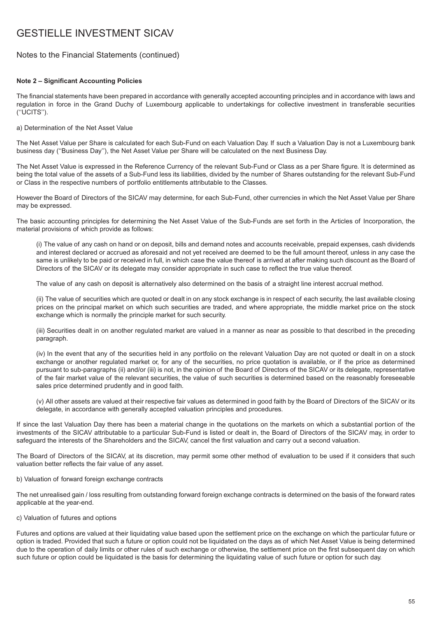## Notes to the Financial Statements (continued)

### **Note 2 – Significant Accounting Policies**

The financial statements have been prepared in accordance with generally accepted accounting principles and in accordance with laws and regulation in force in the Grand Duchy of Luxembourg applicable to undertakings for collective investment in transferable securities (''UCITS'').

a) Determination of the Net Asset Value

The Net Asset Value per Share is calculated for each Sub-Fund on each Valuation Day. If such a Valuation Day is not a Luxembourg bank business day (''Business Day''), the Net Asset Value per Share will be calculated on the next Business Day.

The Net Asset Value is expressed in the Reference Currency of the relevant Sub-Fund or Class as a per Share figure. It is determined as being the total value of the assets of a Sub-Fund less its liabilities, divided by the number of Shares outstanding for the relevant Sub-Fund or Class in the respective numbers of portfolio entitlements attributable to the Classes.

However the Board of Directors of the SICAV may determine, for each Sub-Fund, other currencies in which the Net Asset Value per Share may be expressed.

The basic accounting principles for determining the Net Asset Value of the Sub-Funds are set forth in the Articles of Incorporation, the material provisions of which provide as follows:

(i) The value of any cash on hand or on deposit, bills and demand notes and accounts receivable, prepaid expenses, cash dividends and interest declared or accrued as aforesaid and not yet received are deemed to be the full amount thereof, unless in any case the same is unlikely to be paid or received in full, in which case the value thereof is arrived at after making such discount as the Board of Directors of the SICAV or its delegate may consider appropriate in such case to reflect the true value thereof.

The value of any cash on deposit is alternatively also determined on the basis of a straight line interest accrual method.

(ii) The value of securities which are quoted or dealt in on any stock exchange is in respect of each security, the last available closing prices on the principal market on which such securities are traded, and where appropriate, the middle market price on the stock exchange which is normally the principle market for such security.

(iii) Securities dealt in on another regulated market are valued in a manner as near as possible to that described in the preceding paragraph.

(iv) In the event that any of the securities held in any portfolio on the relevant Valuation Day are not quoted or dealt in on a stock exchange or another regulated market or, for any of the securities, no price quotation is available, or if the price as determined pursuant to sub-paragraphs (ii) and/or (iii) is not, in the opinion of the Board of Directors of the SICAV or its delegate, representative of the fair market value of the relevant securities, the value of such securities is determined based on the reasonably foreseeable sales price determined prudently and in good faith.

(v) All other assets are valued at their respective fair values as determined in good faith by the Board of Directors of the SICAV or its delegate, in accordance with generally accepted valuation principles and procedures.

If since the last Valuation Day there has been a material change in the quotations on the markets on which a substantial portion of the investments of the SICAV attributable to a particular Sub-Fund is listed or dealt in, the Board of Directors of the SICAV may, in order to safeguard the interests of the Shareholders and the SICAV, cancel the first valuation and carry out a second valuation.

The Board of Directors of the SICAV, at its discretion, may permit some other method of evaluation to be used if it considers that such valuation better reflects the fair value of any asset.

b) Valuation of forward foreign exchange contracts

The net unrealised gain / loss resulting from outstanding forward foreign exchange contracts is determined on the basis of the forward rates applicable at the year-end.

### c) Valuation of futures and options

Futures and options are valued at their liquidating value based upon the settlement price on the exchange on which the particular future or option is traded. Provided that such a future or option could not be liquidated on the days as of which Net Asset Value is being determined due to the operation of daily limits or other rules of such exchange or otherwise, the settlement price on the first subsequent day on which such future or option could be liquidated is the basis for determining the liquidating value of such future or option for such day.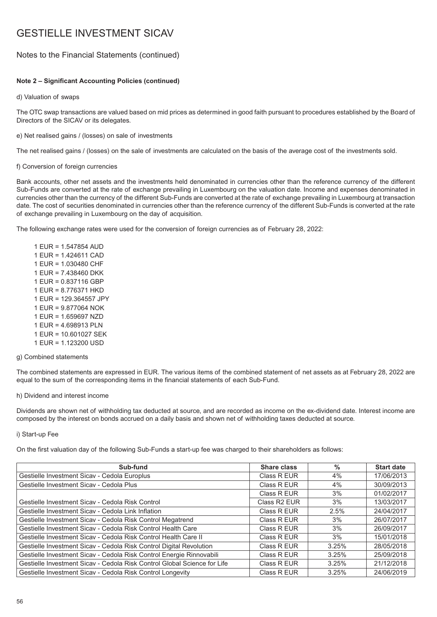## Notes to the Financial Statements (continued)

### **Note 2 – Significant Accounting Policies (continued)**

d) Valuation of swaps

The OTC swap transactions are valued based on mid prices as determined in good faith pursuant to procedures established by the Board of Directors of the SICAV or its delegates.

### e) Net realised gains / (losses) on sale of investments

The net realised gains / (losses) on the sale of investments are calculated on the basis of the average cost of the investments sold.

### f) Conversion of foreign currencies

Bank accounts, other net assets and the investments held denominated in currencies other than the reference currency of the different Sub-Funds are converted at the rate of exchange prevailing in Luxembourg on the valuation date. Income and expenses denominated in currencies other than the currency of the different Sub-Funds are converted at the rate of exchange prevailing in Luxembourg at transaction date. The cost of securities denominated in currencies other than the reference currency of the different Sub-Funds is converted at the rate of exchange prevailing in Luxembourg on the day of acquisition.

The following exchange rates were used for the conversion of foreign currencies as of February 28, 2022:

1 EUR = 1.547854 AUD 1 EUR = 1.424611 CAD 1 EUR = 1.030480 CHF 1 EUR = 7.438460 DKK 1 EUR = 0.837116 GBP 1 EUR = 8.776371 HKD 1 EUR = 129.364557 JPY 1 EUR = 9.877064 NOK 1 EUR = 1.659697 NZD 1 EUR = 4.698913 PLN 1 EUR = 10.601027 SEK 1 EUR = 1.123200 USD

g) Combined statements

The combined statements are expressed in EUR. The various items of the combined statement of net assets as at February 28, 2022 are equal to the sum of the corresponding items in the financial statements of each Sub-Fund.

### h) Dividend and interest income

Dividends are shown net of withholding tax deducted at source, and are recorded as income on the ex-dividend date. Interest income are composed by the interest on bonds accrued on a daily basis and shown net of withholding taxes deducted at source.

### i) Start-up Fee

On the first valuation day of the following Sub-Funds a start-up fee was charged to their shareholders as follows:

| Sub-fund                                                                 | Share class              | $\%$  | <b>Start date</b> |
|--------------------------------------------------------------------------|--------------------------|-------|-------------------|
| Gestielle Investment Sicav - Cedola Europlus                             | Class R EUR              | 4%    | 17/06/2013        |
| Gestielle Investment Sicay - Cedola Plus                                 | Class R EUR              | 4%    | 30/09/2013        |
|                                                                          | Class R EUR              | 3%    | 01/02/2017        |
| Gestielle Investment Sicav - Cedola Risk Control                         | Class R <sub>2</sub> EUR | 3%    | 13/03/2017        |
| Gestielle Investment Sicay - Cedola Link Inflation                       | Class R EUR              | 2.5%  | 24/04/2017        |
| Gestielle Investment Sicav - Cedola Risk Control Megatrend               | Class R EUR              | 3%    | 26/07/2017        |
| Gestielle Investment Sicav - Cedola Risk Control Health Care             | Class R EUR              | 3%    | 26/09/2017        |
| Gestielle Investment Sicay - Cedola Risk Control Health Care II          | Class R EUR              | 3%    | 15/01/2018        |
| Gestielle Investment Sicav - Cedola Risk Control Digital Revolution      | Class R EUR              | 3.25% | 28/05/2018        |
| Gestielle Investment Sicav - Cedola Risk Control Energie Rinnovabili     | Class R EUR              | 3.25% | 25/09/2018        |
| Gestielle Investment Sicay - Cedola Risk Control Global Science for Life | Class R EUR              | 3.25% | 21/12/2018        |
| Gestielle Investment Sicav - Cedola Risk Control Longevity               | Class R EUR              | 3.25% | 24/06/2019        |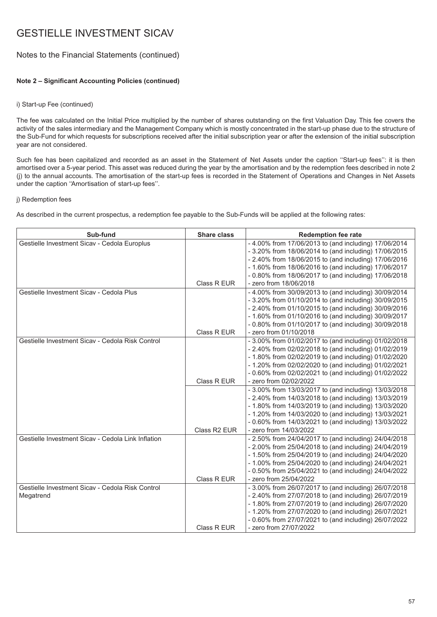## Notes to the Financial Statements (continued)

### **Note 2 – Significant Accounting Policies (continued)**

### i) Start-up Fee (continued)

The fee was calculated on the Initial Price multiplied by the number of shares outstanding on the first Valuation Day. This fee covers the activity of the sales intermediary and the Management Company which is mostly concentrated in the start-up phase due to the structure of the Sub-Fund for which requests for subscriptions received after the initial subscription year or after the extension of the initial subscription year are not considered.

Such fee has been capitalized and recorded as an asset in the Statement of Net Assets under the caption ''Start-up fees'': it is then amortised over a 5-year period. This asset was reduced during the year by the amortisation and by the redemption fees described in note 2 (j) to the annual accounts. The amortisation of the start-up fees is recorded in the Statement of Operations and Changes in Net Assets under the caption ''Amortisation of start-up fees''.

### j) Redemption fees

As described in the current prospectus, a redemption fee payable to the Sub-Funds will be applied at the following rates:

| Sub-fund                                           | <b>Share class</b> | <b>Redemption fee rate</b>                            |
|----------------------------------------------------|--------------------|-------------------------------------------------------|
| Gestielle Investment Sicav - Cedola Europlus       |                    | - 4.00% from 17/06/2013 to (and including) 17/06/2014 |
|                                                    |                    | - 3.20% from 18/06/2014 to (and including) 17/06/2015 |
|                                                    |                    | - 2.40% from 18/06/2015 to (and including) 17/06/2016 |
|                                                    |                    | - 1.60% from 18/06/2016 to (and including) 17/06/2017 |
|                                                    |                    | - 0.80% from 18/06/2017 to (and including) 17/06/2018 |
|                                                    | Class R EUR        | - zero from 18/06/2018                                |
| Gestielle Investment Sicay - Cedola Plus           |                    | - 4.00% from 30/09/2013 to (and including) 30/09/2014 |
|                                                    |                    | - 3.20% from 01/10/2014 to (and including) 30/09/2015 |
|                                                    |                    | - 2.40% from 01/10/2015 to (and including) 30/09/2016 |
|                                                    |                    | - 1.60% from 01/10/2016 to (and including) 30/09/2017 |
|                                                    |                    | - 0.80% from 01/10/2017 to (and including) 30/09/2018 |
|                                                    | Class R EUR        | - zero from 01/10/2018                                |
| Gestielle Investment Sicav - Cedola Risk Control   |                    | - 3.00% from 01/02/2017 to (and including) 01/02/2018 |
|                                                    |                    | - 2.40% from 02/02/2018 to (and including) 01/02/2019 |
|                                                    |                    | - 1.80% from 02/02/2019 to (and including) 01/02/2020 |
|                                                    |                    | - 1.20% from 02/02/2020 to (and including) 01/02/2021 |
|                                                    |                    | - 0.60% from 02/02/2021 to (and including) 01/02/2022 |
|                                                    | Class R EUR        | - zero from 02/02/2022                                |
|                                                    |                    | - 3.00% from 13/03/2017 to (and including) 13/03/2018 |
|                                                    |                    | - 2.40% from 14/03/2018 to (and including) 13/03/2019 |
|                                                    |                    | - 1.80% from 14/03/2019 to (and including) 13/03/2020 |
|                                                    |                    | - 1.20% from 14/03/2020 to (and including) 13/03/2021 |
|                                                    |                    | - 0.60% from 14/03/2021 to (and including) 13/03/2022 |
|                                                    | Class R2 EUR       | - zero from 14/03/2022                                |
| Gestielle Investment Sicav - Cedola Link Inflation |                    | - 2.50% from 24/04/2017 to (and including) 24/04/2018 |
|                                                    |                    | - 2.00% from 25/04/2018 to (and including) 24/04/2019 |
|                                                    |                    | - 1.50% from 25/04/2019 to (and including) 24/04/2020 |
|                                                    |                    | - 1.00% from 25/04/2020 to (and including) 24/04/2021 |
|                                                    |                    | - 0.50% from 25/04/2021 to (and including) 24/04/2022 |
|                                                    | Class R EUR        | - zero from 25/04/2022                                |
| Gestielle Investment Sicav - Cedola Risk Control   |                    | - 3.00% from 26/07/2017 to (and including) 26/07/2018 |
| Megatrend                                          |                    | - 2.40% from 27/07/2018 to (and including) 26/07/2019 |
|                                                    |                    | - 1.80% from 27/07/2019 to (and including) 26/07/2020 |
|                                                    |                    | - 1.20% from 27/07/2020 to (and including) 26/07/2021 |
|                                                    |                    | - 0.60% from 27/07/2021 to (and including) 26/07/2022 |
|                                                    | Class R EUR        | - zero from 27/07/2022                                |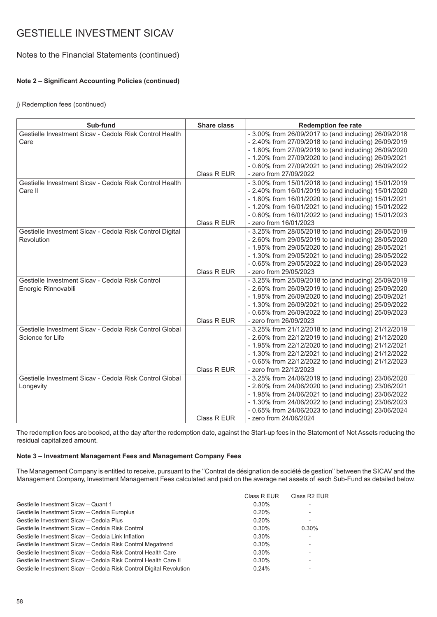## Notes to the Financial Statements (continued)

### **Note 2 – Significant Accounting Policies (continued)**

j) Redemption fees (continued)

| Sub-fund                                                 | <b>Share class</b> | <b>Redemption fee rate</b>                            |
|----------------------------------------------------------|--------------------|-------------------------------------------------------|
| Gestielle Investment Sicay - Cedola Risk Control Health  |                    | - 3.00% from 26/09/2017 to (and including) 26/09/2018 |
| Care                                                     |                    | - 2.40% from 27/09/2018 to (and including) 26/09/2019 |
|                                                          |                    | - 1.80% from 27/09/2019 to (and including) 26/09/2020 |
|                                                          |                    | - 1.20% from 27/09/2020 to (and including) 26/09/2021 |
|                                                          |                    | - 0.60% from 27/09/2021 to (and including) 26/09/2022 |
|                                                          | Class R EUR        | - zero from 27/09/2022                                |
| Gestielle Investment Sicav - Cedola Risk Control Health  |                    | - 3.00% from 15/01/2018 to (and including) 15/01/2019 |
| Care II                                                  |                    | - 2.40% from 16/01/2019 to (and including) 15/01/2020 |
|                                                          |                    | - 1.80% from 16/01/2020 to (and including) 15/01/2021 |
|                                                          |                    | - 1.20% from 16/01/2021 to (and including) 15/01/2022 |
|                                                          |                    | - 0.60% from 16/01/2022 to (and including) 15/01/2023 |
|                                                          | Class R EUR        | - zero from 16/01/2023                                |
| Gestielle Investment Sicav - Cedola Risk Control Digital |                    | - 3.25% from 28/05/2018 to (and including) 28/05/2019 |
| Revolution                                               |                    | - 2.60% from 29/05/2019 to (and including) 28/05/2020 |
|                                                          |                    | - 1.95% from 29/05/2020 to (and including) 28/05/2021 |
|                                                          |                    | - 1.30% from 29/05/2021 to (and including) 28/05/2022 |
|                                                          |                    | - 0.65% from 29/05/2022 to (and including) 28/05/2023 |
|                                                          | Class R EUR        | - zero from 29/05/2023                                |
| Gestielle Investment Sicay - Cedola Risk Control         |                    | - 3.25% from 25/09/2018 to (and including) 25/09/2019 |
| Energie Rinnovabili                                      |                    | - 2.60% from 26/09/2019 to (and including) 25/09/2020 |
|                                                          |                    | - 1.95% from 26/09/2020 to (and including) 25/09/2021 |
|                                                          |                    | - 1.30% from 26/09/2021 to (and including) 25/09/2022 |
|                                                          |                    | - 0.65% from 26/09/2022 to (and including) 25/09/2023 |
|                                                          | Class R EUR        | - zero from 26/09/2023                                |
| Gestielle Investment Sicay - Cedola Risk Control Global  |                    | - 3.25% from 21/12/2018 to (and including) 21/12/2019 |
| Science for Life                                         |                    | - 2.60% from 22/12/2019 to (and including) 21/12/2020 |
|                                                          |                    | - 1.95% from 22/12/2020 to (and including) 21/12/2021 |
|                                                          |                    | - 1.30% from 22/12/2021 to (and including) 21/12/2022 |
|                                                          |                    | - 0.65% from 22/12/2022 to (and including) 21/12/2023 |
|                                                          | Class R EUR        | - zero from 22/12/2023                                |
| Gestielle Investment Sicay - Cedola Risk Control Global  |                    | - 3.25% from 24/06/2019 to (and including) 23/06/2020 |
| Longevity                                                |                    | - 2.60% from 24/06/2020 to (and including) 23/06/2021 |
|                                                          |                    | - 1.95% from 24/06/2021 to (and including) 23/06/2022 |
|                                                          |                    | - 1.30% from 24/06/2022 to (and including) 23/06/2023 |
|                                                          |                    | - 0.65% from 24/06/2023 to (and including) 23/06/2024 |
|                                                          | Class R EUR        | - zero from 24/06/2024                                |

The redemption fees are booked, at the day after the redemption date, against the Start-up fees in the Statement of Net Assets reducing the residual capitalized amount.

### **Note 3 – Investment Management Fees and Management Company Fees**

The Management Company is entitled to receive, pursuant to the ''Contrat de désignation de société de gestion'' between the SICAV and the Management Company, Investment Management Fees calculated and paid on the average net assets of each Sub-Fund as detailed below.

|                                                                     | Class R EUR | Class R <sub>2</sub> EUR |
|---------------------------------------------------------------------|-------------|--------------------------|
| Gestielle Investment Sicay - Quant 1                                | 0.30%       |                          |
| Gestielle Investment Sicav - Cedola Europlus                        | 0.20%       | -                        |
| Gestielle Investment Sicav - Cedola Plus                            | 0.20%       | -                        |
| Gestielle Investment Sicav - Cedola Risk Control                    | 0.30%       | 0.30%                    |
| Gestielle Investment Sicav - Cedola Link Inflation                  | 0.30%       |                          |
| Gestielle Investment Sicav - Cedola Risk Control Megatrend          | 0.30%       |                          |
| Gestielle Investment Sicav - Cedola Risk Control Health Care        | 0.30%       | -                        |
| Gestielle Investment Sicay – Cedola Risk Control Health Care II     | 0.30%       | $\overline{\phantom{0}}$ |
| Gestielle Investment Sicav - Cedola Risk Control Digital Revolution | 0.24%       | -                        |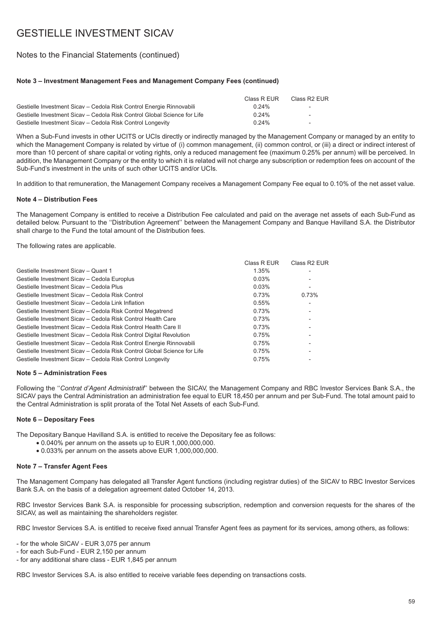## Notes to the Financial Statements (continued)

### **Note 3 – Investment Management Fees and Management Company Fees (continued)**

|                                                                          | Class R EUR | Class R <sub>2</sub> EUR |
|--------------------------------------------------------------------------|-------------|--------------------------|
| Gestielle Investment Sicav – Cedola Risk Control Energie Rinnovabili     | $0.24\%$    | $\overline{\phantom{0}}$ |
| Gestielle Investment Sicav – Cedola Risk Control Global Science for Life | $0.24\%$    | $\overline{\phantom{0}}$ |
| Gestielle Investment Sicav – Cedola Risk Control Longevity               | $0.24\%$    | $\overline{\phantom{0}}$ |

When a Sub-Fund invests in other UCITS or UCIs directly or indirectly managed by the Management Company or managed by an entity to which the Management Company is related by virtue of (i) common management, (ii) common control, or (iii) a direct or indirect interest of more than 10 percent of share capital or voting rights, only a reduced management fee (maximum 0.25% per annum) will be perceived. In addition, the Management Company or the entity to which it is related will not charge any subscription or redemption fees on account of the Sub-Fund's investment in the units of such other UCITS and/or UCIs.

In addition to that remuneration, the Management Company receives a Management Company Fee equal to 0.10% of the net asset value.

### **Note 4 – Distribution Fees**

The Management Company is entitled to receive a Distribution Fee calculated and paid on the average net assets of each Sub-Fund as detailed below. Pursuant to the ''Distribution Agreement'' between the Management Company and Banque Havilland S.A. the Distributor shall charge to the Fund the total amount of the Distribution fees.

The following rates are applicable.

|                                                                          | Class R EUR | Class R <sub>2</sub> EUR |
|--------------------------------------------------------------------------|-------------|--------------------------|
| Gestielle Investment Sicay - Quant 1                                     | 1.35%       |                          |
| Gestielle Investment Sicav - Cedola Europlus                             | 0.03%       |                          |
| Gestielle Investment Sicav - Cedola Plus                                 | 0.03%       | $\overline{\phantom{a}}$ |
| Gestielle Investment Sicav - Cedola Risk Control                         | 0.73%       | 0.73%                    |
| Gestielle Investment Sicav - Cedola Link Inflation                       | 0.55%       |                          |
| Gestielle Investment Sicav - Cedola Risk Control Megatrend               | 0.73%       |                          |
| Gestielle Investment Sicav - Cedola Risk Control Health Care             | 0.73%       |                          |
| Gestielle Investment Sicay – Cedola Risk Control Health Care II          | 0.73%       |                          |
| Gestielle Investment Sicav - Cedola Risk Control Digital Revolution      | 0.75%       |                          |
| Gestielle Investment Sicav - Cedola Risk Control Energie Rinnovabili     | 0.75%       |                          |
| Gestielle Investment Sicav – Cedola Risk Control Global Science for Life | 0.75%       |                          |
| Gestielle Investment Sicav - Cedola Risk Control Longevity               | 0.75%       |                          |

### **Note 5 – Administration Fees**

Following the ''*Contrat d'Agent Administratif*'' between the SICAV, the Management Company and RBC Investor Services Bank S.A., the SICAV pays the Central Administration an administration fee equal to EUR 18,450 per annum and per Sub-Fund. The total amount paid to the Central Administration is split prorata of the Total Net Assets of each Sub-Fund.

### **Note 6 – Depositary Fees**

The Depositary Banque Havilland S.A. is entitled to receive the Depositary fee as follows:

- 0.040% per annum on the assets up to EUR 1,000,000,000.
- 0.033% per annum on the assets above EUR 1,000,000,000.

## **Note 7 – Transfer Agent Fees**

The Management Company has delegated all Transfer Agent functions (including registrar duties) of the SICAV to RBC Investor Services Bank S.A. on the basis of a delegation agreement dated October 14, 2013.

RBC Investor Services Bank S.A. is responsible for processing subscription, redemption and conversion requests for the shares of the SICAV, as well as maintaining the shareholders register.

RBC Investor Services S.A. is entitled to receive fixed annual Transfer Agent fees as payment for its services, among others, as follows:

- for the whole SICAV - EUR 3,075 per annum

- for each Sub-Fund - EUR 2,150 per annum

- for any additional share class - EUR 1,845 per annum

RBC Investor Services S.A. is also entitled to receive variable fees depending on transactions costs.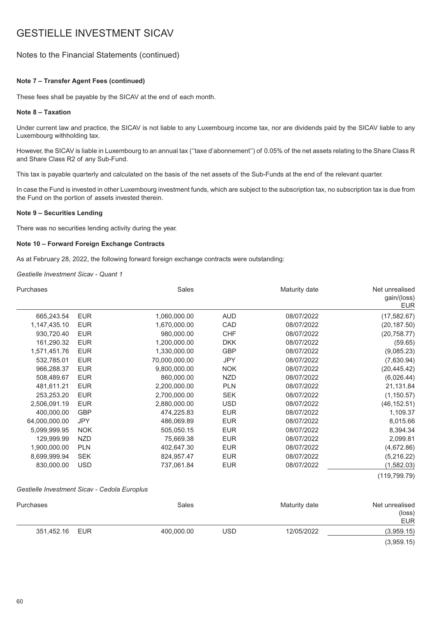## Notes to the Financial Statements (continued)

### **Note 7 – Transfer Agent Fees (continued)**

These fees shall be payable by the SICAV at the end of each month.

### **Note 8 – Taxation**

Under current law and practice, the SICAV is not liable to any Luxembourg income tax, nor are dividends paid by the SICAV liable to any Luxembourg withholding tax.

However, the SICAV is liable in Luxembourg to an annual tax (''taxe d'abonnement'') of 0.05% of the net assets relating to the Share Class R and Share Class R2 of any Sub-Fund.

This tax is payable quarterly and calculated on the basis of the net assets of the Sub-Funds at the end of the relevant quarter.

In case the Fund is invested in other Luxembourg investment funds, which are subject to the subscription tax, no subscription tax is due from the Fund on the portion of assets invested therein.

### **Note 9 – Securities Lending**

There was no securities lending activity during the year.

### **Note 10 – Forward Foreign Exchange Contracts**

As at February 28, 2022, the following forward foreign exchange contracts were outstanding:

*Gestielle Investment Sicav - Quant 1*

| Purchases     |            | <b>Sales</b>  |            | Maturity date | Net unrealised<br>gain/(loss)<br><b>EUR</b> |
|---------------|------------|---------------|------------|---------------|---------------------------------------------|
| 665,243.54    | <b>EUR</b> | 1,060,000.00  | <b>AUD</b> | 08/07/2022    | (17, 582.67)                                |
| 1,147,435.10  | <b>EUR</b> | 1,670,000.00  | CAD        | 08/07/2022    | (20, 187.50)                                |
| 930,720.40    | <b>EUR</b> | 980,000.00    | <b>CHF</b> | 08/07/2022    | (20, 758.77)                                |
| 161,290.32    | <b>EUR</b> | 1,200,000.00  | <b>DKK</b> | 08/07/2022    | (59.65)                                     |
| 1,571,451.76  | <b>EUR</b> | 1,330,000.00  | <b>GBP</b> | 08/07/2022    | (9,085.23)                                  |
| 532,785.01    | <b>EUR</b> | 70,000,000.00 | <b>JPY</b> | 08/07/2022    | (7,630.94)                                  |
| 966,288.37    | <b>EUR</b> | 9,800,000.00  | <b>NOK</b> | 08/07/2022    | (20, 445.42)                                |
| 508,489.67    | <b>EUR</b> | 860,000.00    | <b>NZD</b> | 08/07/2022    | (6,026.44)                                  |
| 481,611.21    | <b>EUR</b> | 2,200,000.00  | <b>PLN</b> | 08/07/2022    | 21,131.84                                   |
| 253,253.20    | <b>EUR</b> | 2,700,000.00  | <b>SEK</b> | 08/07/2022    | (1, 150.57)                                 |
| 2,506,091.19  | <b>EUR</b> | 2,880,000.00  | USD        | 08/07/2022    | (46, 152.51)                                |
| 400,000.00    | <b>GBP</b> | 474,225.83    | <b>EUR</b> | 08/07/2022    | 1,109.37                                    |
| 64,000,000.00 | <b>JPY</b> | 486,069.89    | <b>EUR</b> | 08/07/2022    | 8,015.66                                    |
| 5,099,999.95  | <b>NOK</b> | 505,050.15    | <b>EUR</b> | 08/07/2022    | 8,394.34                                    |
| 129,999.99    | NZD        | 75,669.38     | <b>EUR</b> | 08/07/2022    | 2,099.81                                    |
| 1,900,000.00  | <b>PLN</b> | 402,647.30    | <b>EUR</b> | 08/07/2022    | (4,672.86)                                  |
| 8,699,999.94  | <b>SEK</b> | 824,957.47    | <b>EUR</b> | 08/07/2022    | (5,216.22)                                  |
| 830,000.00    | <b>USD</b> | 737,061.84    | <b>EUR</b> | 08/07/2022    | (1,582.03)                                  |
|               |            |               |            |               | (119, 799.79)                               |

#### *Gestielle Investment Sicav - Cedola Europlus*

| Purchases      | Sales      |     | Maturity date | Net unrealised<br>(loss)<br><b>EUR</b> |
|----------------|------------|-----|---------------|----------------------------------------|
| 351,452.16 EUR | 400,000.00 | USD | 12/05/2022    | (3,959.15)                             |
|                |            |     |               | (3,959.15)                             |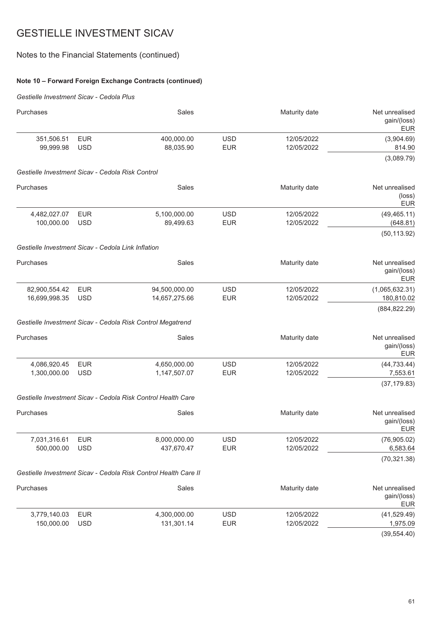## Notes to the Financial Statements (continued)

## **Note 10 – Forward Foreign Exchange Contracts (continued)**

## *Gestielle Investment Sicav - Cedola Plus*

| Purchases                                          |                          | Sales                                                           |                          | Maturity date            | Net unrealised<br>gain/(loss)<br><b>EUR</b>     |
|----------------------------------------------------|--------------------------|-----------------------------------------------------------------|--------------------------|--------------------------|-------------------------------------------------|
| 351,506.51<br>99,999.98                            | <b>EUR</b><br><b>USD</b> | 400,000.00<br>88,035.90                                         | <b>USD</b><br><b>EUR</b> | 12/05/2022<br>12/05/2022 | (3,904.69)<br>814.90                            |
|                                                    |                          |                                                                 |                          |                          | (3,089.79)                                      |
| Gestielle Investment Sicav - Cedola Risk Control   |                          |                                                                 |                          |                          |                                                 |
| Purchases                                          |                          | Sales                                                           |                          | Maturity date            | Net unrealised<br>$(\text{loss})$<br><b>EUR</b> |
| 4,482,027.07<br>100,000.00                         | <b>EUR</b><br><b>USD</b> | 5,100,000.00<br>89,499.63                                       | <b>USD</b><br><b>EUR</b> | 12/05/2022<br>12/05/2022 | (49, 465.11)<br>(648.81)                        |
| Gestielle Investment Sicav - Cedola Link Inflation |                          |                                                                 |                          |                          | (50, 113.92)                                    |
| Purchases                                          |                          | Sales                                                           |                          | Maturity date            | Net unrealised<br>gain/(loss)<br><b>EUR</b>     |
| 82,900,554.42<br>16,699,998.35                     | <b>EUR</b><br><b>USD</b> | 94,500,000.00<br>14,657,275.66                                  | <b>USD</b><br><b>EUR</b> | 12/05/2022<br>12/05/2022 | (1,065,632.31)<br>180,810.02                    |
|                                                    |                          |                                                                 |                          |                          | (884, 822.29)                                   |
|                                                    |                          | Gestielle Investment Sicav - Cedola Risk Control Megatrend      |                          |                          |                                                 |
| Purchases                                          |                          | Sales                                                           |                          | Maturity date            | Net unrealised<br>gain/(loss)<br><b>EUR</b>     |
| 4,086,920.45<br>1,300,000.00                       | <b>EUR</b><br><b>USD</b> | 4,650,000.00<br>1,147,507.07                                    | <b>USD</b><br><b>EUR</b> | 12/05/2022<br>12/05/2022 | (44, 733.44)<br>7,553.61<br>(37, 179.83)        |
|                                                    |                          | Gestielle Investment Sicav - Cedola Risk Control Health Care    |                          |                          |                                                 |
| Purchases                                          |                          | Sales                                                           |                          | Maturity date            | Net unrealised<br>gain/(loss)<br><b>EUR</b>     |
| 7,031,316.61<br>500,000.00                         | <b>EUR</b><br><b>USD</b> | 8,000,000.00<br>437,670.47                                      | <b>USD</b><br><b>EUR</b> | 12/05/2022<br>12/05/2022 | (76,905.02)<br>6,583.64                         |
|                                                    |                          | Gestielle Investment Sicav - Cedola Risk Control Health Care II |                          |                          | (70, 321.38)                                    |
|                                                    |                          |                                                                 |                          |                          |                                                 |
| Purchases                                          |                          | Sales                                                           |                          | Maturity date            | Net unrealised<br>gain/(loss)<br><b>EUR</b>     |
| 3,779,140.03<br>150,000.00                         | <b>EUR</b><br><b>USD</b> | 4,300,000.00<br>131,301.14                                      | <b>USD</b><br><b>EUR</b> | 12/05/2022<br>12/05/2022 | (41, 529.49)<br>1,975.09                        |

(39,554.40)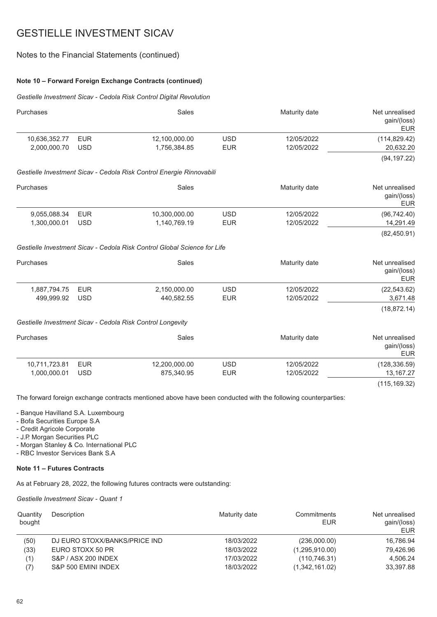## Notes to the Financial Statements (continued)

### **Note 10 – Forward Foreign Exchange Contracts (continued)**

*Gestielle Investment Sicav - Cedola Risk Control Digital Revolution*

| Purchases     |            | Sales                                                                    |            | Maturity date | Net unrealised<br>gain/(loss)<br><b>EUR</b> |
|---------------|------------|--------------------------------------------------------------------------|------------|---------------|---------------------------------------------|
| 10,636,352.77 | <b>EUR</b> | 12,100,000.00                                                            | <b>USD</b> | 12/05/2022    | (114, 829.42)                               |
| 2,000,000.70  | <b>USD</b> | 1,756,384.85                                                             | <b>EUR</b> | 12/05/2022    | 20,632.20                                   |
|               |            |                                                                          |            |               | (94, 197.22)                                |
|               |            | Gestielle Investment Sicav - Cedola Risk Control Energie Rinnovabili     |            |               |                                             |
| Purchases     |            | <b>Sales</b>                                                             |            | Maturity date | Net unrealised<br>gain/(loss)<br><b>EUR</b> |
| 9,055,088.34  | <b>EUR</b> | 10,300,000.00                                                            | <b>USD</b> | 12/05/2022    | (96, 742.40)                                |
| 1,300,000.01  | <b>USD</b> | 1,140,769.19                                                             | <b>EUR</b> | 12/05/2022    | 14,291.49                                   |
|               |            |                                                                          |            |               | (82, 450.91)                                |
|               |            | Gestielle Investment Sicav - Cedola Risk Control Global Science for Life |            |               |                                             |
| Purchases     |            | Sales                                                                    |            | Maturity date | Net unrealised<br>gain/(loss)<br><b>EUR</b> |
| 1,887,794.75  | <b>EUR</b> | 2,150,000.00                                                             | <b>USD</b> | 12/05/2022    | (22, 543.62)                                |
| 499,999.92    | <b>USD</b> | 440,582.55                                                               | <b>EUR</b> | 12/05/2022    | 3,671.48                                    |
|               |            |                                                                          |            |               | (18, 872.14)                                |
|               |            | Gestielle Investment Sicav - Cedola Risk Control Longevity               |            |               |                                             |
| Purchases     |            | Sales                                                                    |            | Maturity date | Net unrealised<br>gain/(loss)<br><b>EUR</b> |
| 10,711,723.81 | <b>EUR</b> | 12,200,000.00                                                            | <b>USD</b> | 12/05/2022    | (128, 336.59)                               |
| 1,000,000.01  | <b>USD</b> | 875,340.95                                                               | <b>EUR</b> | 12/05/2022    | 13, 167. 27                                 |
|               |            |                                                                          |            |               | (115, 169.32)                               |

The forward foreign exchange contracts mentioned above have been conducted with the following counterparties:

- Banque Havilland S.A. Luxembourg

- Bofa Securities Europe S.A
- Credit Agricole Corporate
- J.P. Morgan Securities PLC
- Morgan Stanley & Co. International PLC
- RBC Investor Services Bank S.A

### **Note 11 – Futures Contracts**

As at February 28, 2022, the following futures contracts were outstanding:

*Gestielle Investment Sicav - Quant 1*

| Quantity<br>bought | Description                   | Maturity date | Commitments<br>EUR | Net unrealised<br>gain/(loss)<br><b>EUR</b> |
|--------------------|-------------------------------|---------------|--------------------|---------------------------------------------|
| (50)               | DJ EURO STOXX/BANKS/PRICE IND | 18/03/2022    | (236,000.00)       | 16,786.94                                   |
| (33)               | EURO STOXX 50 PR              | 18/03/2022    | (1,295,910.00)     | 79.426.96                                   |
| (1)                | S&P / ASX 200 INDEX           | 17/03/2022    | (110, 746.31)      | 4.506.24                                    |
| (7)                | S&P 500 EMINI INDEX           | 18/03/2022    | (1,342,161.02)     | 33,397.88                                   |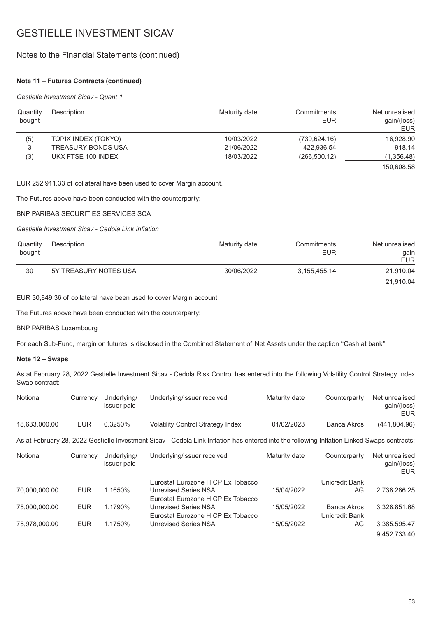## Notes to the Financial Statements (continued)

### **Note 11 – Futures Contracts (continued)**

### *Gestielle Investment Sicav - Quant 1*

| Quantity<br>bought | Description         | Maturity date | Commitments<br>EUR | Net unrealised<br>gain/(loss)<br>EUR |
|--------------------|---------------------|---------------|--------------------|--------------------------------------|
| (5)                | TOPIX INDEX (TOKYO) | 10/03/2022    | (739, 624.16)      | 16,928.90                            |
| 3                  | TREASURY BONDS USA  | 21/06/2022    | 422.936.54         | 918.14                               |
| (3)                | UKX FTSE 100 INDEX  | 18/03/2022    | (266, 500.12)      | (1,356.48)                           |
|                    |                     |               |                    | 150.608.58                           |

EUR 252,911.33 of collateral have been used to cover Margin account.

The Futures above have been conducted with the counterparty:

BNP PARIBAS SECURITIES SERVICES SCA

*Gestielle Investment Sicav - Cedola Link Inflation*

| Quantity<br>bought | Description           | Maturity date | Commitments<br>EUR | Net unrealised<br>qain<br><b>EUR</b> |
|--------------------|-----------------------|---------------|--------------------|--------------------------------------|
| 30                 | 5Y TREASURY NOTES USA | 30/06/2022    | 3.155.455.14       | 21,910.04                            |
|                    |                       |               |                    | 21,910.04                            |

EUR 30,849.36 of collateral have been used to cover Margin account.

The Futures above have been conducted with the counterparty:

BNP PARIBAS Luxembourg

For each Sub-Fund, margin on futures is disclosed in the Combined Statement of Net Assets under the caption ''Cash at bank''

### **Note 12 – Swaps**

As at February 28, 2022 Gestielle Investment Sicav - Cedola Risk Control has entered into the following Volatility Control Strategy Index Swap contract:

| Notional      | Currency   | Underlying/<br>issuer paid | Underlying/issuer received                                                                                                                  | Maturity date | Counterparty   | Net unrealised<br>gain/(loss)<br>EUR |
|---------------|------------|----------------------------|---------------------------------------------------------------------------------------------------------------------------------------------|---------------|----------------|--------------------------------------|
| 18,633,000.00 | <b>EUR</b> | 0.3250%                    | <b>Volatility Control Strategy Index</b>                                                                                                    | 01/02/2023    | Banca Akros    | (441, 804.96)                        |
|               |            |                            | As at February 28, 2022 Gestielle Investment Sicav - Cedola Link Inflation has entered into the following Inflation Linked Swaps contracts: |               |                |                                      |
| Notional      | Currency   | Underlying/<br>issuer paid | Underlying/issuer received                                                                                                                  | Maturity date | Counterparty   | Net unrealised<br>gain/(loss)<br>EUR |
|               |            |                            | Eurostat Eurozone HICP Ex Tobacco                                                                                                           |               | Unicredit Bank |                                      |
| 70.000.000.00 | <b>EUR</b> | 1.1650%                    | Unrevised Series NSA                                                                                                                        | 15/04/2022    | AG             | 2,738,286.25                         |
|               |            |                            | Eurostat Eurozone HICP Ex Tobacco                                                                                                           |               |                |                                      |
| 75,000,000.00 | <b>EUR</b> | 1.1790%                    | Unrevised Series NSA                                                                                                                        | 15/05/2022    | Banca Akros    | 3,328,851.68                         |
|               |            |                            | Eurostat Eurozone HICP Ex Tobacco                                                                                                           |               | Unicredit Bank |                                      |
| 75,978,000.00 | <b>EUR</b> | 1.1750%                    | Unrevised Series NSA                                                                                                                        | 15/05/2022    | AG             | 3,385,595.47                         |
|               |            |                            |                                                                                                                                             |               |                | 9.452.733.40                         |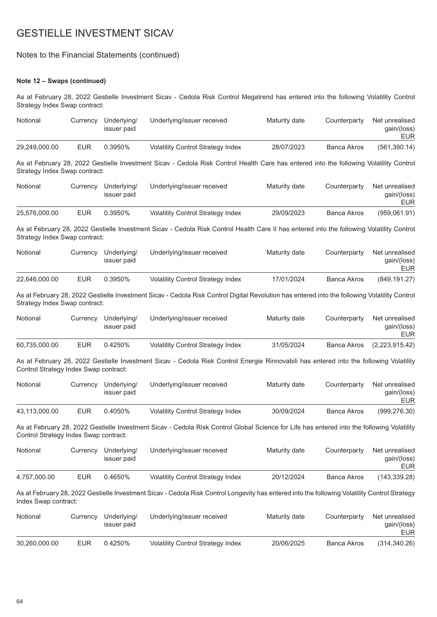## Notes to the Financial Statements (continued)

## **Note 12 – Swaps (continued)**

As at February 28, 2022 Gestielle Investment Sicav - Cedola Risk Control Megatrend has entered into the following Volatility Control Strategy Index Swap contract:

| Notional                              | Currency   | Underlying/<br>issuer paid | Underlying/issuer received                                                                                                                    | Maturity date | Counterparty       | Net unrealised<br>gain/(loss)<br><b>EUR</b> |
|---------------------------------------|------------|----------------------------|-----------------------------------------------------------------------------------------------------------------------------------------------|---------------|--------------------|---------------------------------------------|
| 29,249,000.00                         | <b>EUR</b> | 0.3950%                    | <b>Volatility Control Strategy Index</b>                                                                                                      | 28/07/2023    | <b>Banca Akros</b> | (561, 390.14)                               |
| Strategy Index Swap contract:         |            |                            | As at February 28, 2022 Gestielle Investment Sicav - Cedola Risk Control Health Care has entered into the following Volatility Control        |               |                    |                                             |
| Notional                              | Currency   | Underlying/<br>issuer paid | Underlying/issuer received                                                                                                                    | Maturity date | Counterparty       | Net unrealised<br>gain/(loss)<br><b>EUR</b> |
| 25,576,000.00                         | <b>EUR</b> | 0.3950%                    | <b>Volatility Control Strategy Index</b>                                                                                                      | 29/09/2023    | <b>Banca Akros</b> | (959,061.91)                                |
| Strategy Index Swap contract:         |            |                            | As at February 28, 2022 Gestielle Investment Sicav - Cedola Risk Control Health Care II has entered into the following Volatility Control     |               |                    |                                             |
| Notional                              | Currency   | Underlying/<br>issuer paid | Underlying/issuer received                                                                                                                    | Maturity date | Counterparty       | Net unrealised<br>gain/(loss)<br><b>EUR</b> |
| 22,646,000.00                         | <b>EUR</b> | 0.3950%                    | <b>Volatility Control Strategy Index</b>                                                                                                      | 17/01/2024    | <b>Banca Akros</b> | (849, 191.27)                               |
| Strategy Index Swap contract:         |            |                            | As at February 28, 2022 Gestielle Investment Sicav - Cedola Risk Control Digital Revolution has entered into the following Volatility Control |               |                    |                                             |
| Notional                              | Currency   | Underlying/<br>issuer paid | Underlying/issuer received                                                                                                                    | Maturity date | Counterparty       | Net unrealised<br>gain/(loss)<br><b>EUR</b> |
| 60,735,000.00                         | <b>EUR</b> | 0.4250%                    | <b>Volatility Control Strategy Index</b>                                                                                                      | 31/05/2024    | <b>Banca Akros</b> | (2,223,915.42)                              |
| Control Strategy Index Swap contract: |            |                            | As at February 28, 2022 Gestielle Investment Sicav - Cedola Risk Control Energie Rinnovabili has entered into the following Volatility        |               |                    |                                             |
| Notional                              | Currency   | Underlying/<br>issuer paid | Underlying/issuer received                                                                                                                    | Maturity date | Counterparty       | Net unrealised<br>gain/(loss)<br><b>EUR</b> |
| 43,113,000.00                         | <b>EUR</b> | 0.4050%                    | Volatility Control Strategy Index                                                                                                             | 30/09/2024    | <b>Banca Akros</b> | (999, 276.30)                               |
| Control Strategy Index Swap contract: |            |                            | As at February 28, 2022 Gestielle Investment Sicav - Cedola Risk Control Global Science for Life has entered into the following Volatility    |               |                    |                                             |
| Notional                              | Currency   | Underlying/<br>issuer paid | Underlying/issuer received                                                                                                                    | Maturity date | Counterparty       | Net unrealised<br>gain/(loss)<br><b>EUR</b> |
| 4,757,000.00                          | <b>EUR</b> | 0.4650%                    | <b>Volatility Control Strategy Index</b>                                                                                                      | 20/12/2024    | <b>Banca Akros</b> | (143, 339.28)                               |
| Index Swap contract:                  |            |                            | As at February 28, 2022 Gestielle Investment Sicav - Cedola Risk Control Longevity has entered into the following Volatility Control Strategy |               |                    |                                             |
| Notional                              | Currency   | Underlying/<br>issuer paid | Underlying/issuer received                                                                                                                    | Maturity date | Counterparty       | Net unrealised<br>gain/(loss)<br><b>EUR</b> |
| 30,260,000.00                         | <b>EUR</b> | 0.4250%                    | Volatility Control Strategy Index                                                                                                             | 20/06/2025    | <b>Banca Akros</b> | (314, 340.26)                               |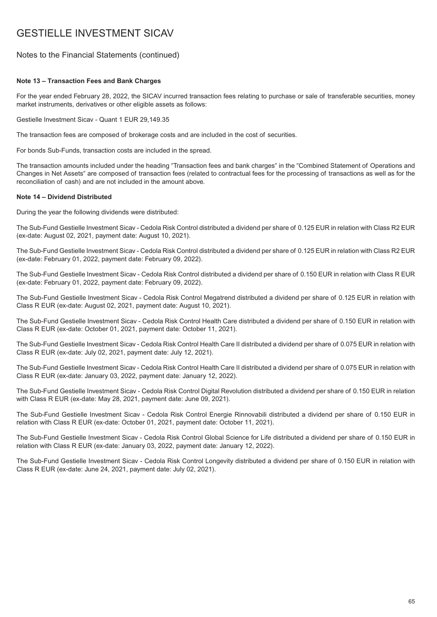## Notes to the Financial Statements (continued)

### **Note 13 – Transaction Fees and Bank Charges**

For the year ended February 28, 2022, the SICAV incurred transaction fees relating to purchase or sale of transferable securities, money market instruments, derivatives or other eligible assets as follows:

Gestielle Investment Sicav - Quant 1 EUR 29,149.35

The transaction fees are composed of brokerage costs and are included in the cost of securities.

For bonds Sub-Funds, transaction costs are included in the spread.

The transaction amounts included under the heading "Transaction fees and bank charges" in the "Combined Statement of Operations and Changes in Net Assets″ are composed of transaction fees (related to contractual fees for the processing of transactions as well as for the reconciliation of cash) and are not included in the amount above.

### **Note 14 – Dividend Distributed**

During the year the following dividends were distributed:

The Sub-Fund Gestielle Investment Sicav - Cedola Risk Control distributed a dividend per share of 0.125 EUR in relation with Class R2 EUR (ex-date: August 02, 2021, payment date: August 10, 2021).

The Sub-Fund Gestielle Investment Sicav - Cedola Risk Control distributed a dividend per share of 0.125 EUR in relation with Class R2 EUR (ex-date: February 01, 2022, payment date: February 09, 2022).

The Sub-Fund Gestielle Investment Sicav - Cedola Risk Control distributed a dividend per share of 0.150 EUR in relation with Class R EUR (ex-date: February 01, 2022, payment date: February 09, 2022).

The Sub-Fund Gestielle Investment Sicav - Cedola Risk Control Megatrend distributed a dividend per share of 0.125 EUR in relation with Class R EUR (ex-date: August 02, 2021, payment date: August 10, 2021).

The Sub-Fund Gestielle Investment Sicav - Cedola Risk Control Health Care distributed a dividend per share of 0.150 EUR in relation with Class R EUR (ex-date: October 01, 2021, payment date: October 11, 2021).

The Sub-Fund Gestielle Investment Sicav - Cedola Risk Control Health Care II distributed a dividend per share of 0.075 EUR in relation with Class R EUR (ex-date: July 02, 2021, payment date: July 12, 2021).

The Sub-Fund Gestielle Investment Sicav - Cedola Risk Control Health Care II distributed a dividend per share of 0.075 EUR in relation with Class R EUR (ex-date: January 03, 2022, payment date: January 12, 2022).

The Sub-Fund Gestielle Investment Sicav - Cedola Risk Control Digital Revolution distributed a dividend per share of 0.150 EUR in relation with Class R EUR (ex-date: May 28, 2021, payment date: June 09, 2021).

The Sub-Fund Gestielle Investment Sicav - Cedola Risk Control Energie Rinnovabili distributed a dividend per share of 0.150 EUR in relation with Class R EUR (ex-date: October 01, 2021, payment date: October 11, 2021).

The Sub-Fund Gestielle Investment Sicav - Cedola Risk Control Global Science for Life distributed a dividend per share of 0.150 EUR in relation with Class R EUR (ex-date: January 03, 2022, payment date: January 12, 2022).

The Sub-Fund Gestielle Investment Sicav - Cedola Risk Control Longevity distributed a dividend per share of 0.150 EUR in relation with Class R EUR (ex-date: June 24, 2021, payment date: July 02, 2021).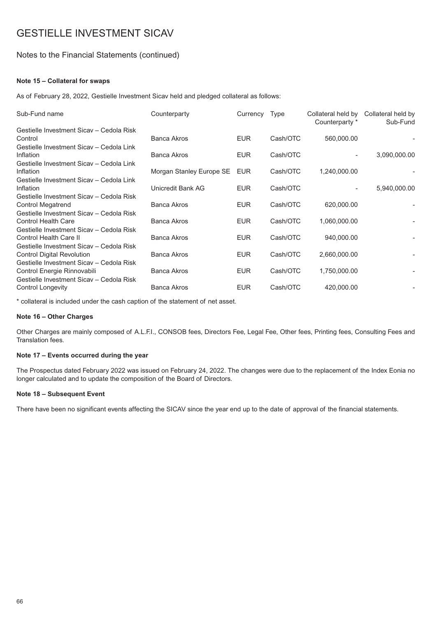## Notes to the Financial Statements (continued)

### **Note 15 – Collateral for swaps**

As of February 28, 2022, Gestielle Investment Sicav held and pledged collateral as follows:

| Sub-Fund name                                                                                                    | Counterparty             | Currency Type |          | Collateral held by<br>Counterparty * | Collateral held by<br>Sub-Fund |
|------------------------------------------------------------------------------------------------------------------|--------------------------|---------------|----------|--------------------------------------|--------------------------------|
| Gestielle Investment Sicav - Cedola Risk<br>Control                                                              | <b>Banca Akros</b>       | <b>EUR</b>    | Cash/OTC | 560,000.00                           |                                |
| Gestielle Investment Sicav - Cedola Link<br>Inflation                                                            | Banca Akros              | <b>EUR</b>    | Cash/OTC |                                      | 3,090,000.00                   |
| Gestielle Investment Sicav - Cedola Link<br>Inflation                                                            | Morgan Stanley Europe SE | EUR           | Cash/OTC | 1,240,000.00                         |                                |
| Gestielle Investment Sicav - Cedola Link<br>Inflation                                                            | Unicredit Bank AG        | <b>EUR</b>    | Cash/OTC |                                      | 5,940,000.00                   |
| Gestielle Investment Sicav - Cedola Risk<br><b>Control Megatrend</b><br>Gestielle Investment Sicav - Cedola Risk | <b>Banca Akros</b>       | <b>EUR</b>    | Cash/OTC | 620,000.00                           |                                |
| <b>Control Health Care</b><br>Gestielle Investment Sicav - Cedola Risk                                           | <b>Banca Akros</b>       | <b>EUR</b>    | Cash/OTC | 1,060,000.00                         |                                |
| <b>Control Health Care II</b><br>Gestielle Investment Sicav - Cedola Risk                                        | <b>Banca Akros</b>       | <b>EUR</b>    | Cash/OTC | 940,000.00                           |                                |
| <b>Control Digital Revolution</b><br>Gestielle Investment Sicav - Cedola Risk                                    | <b>Banca Akros</b>       | <b>EUR</b>    | Cash/OTC | 2,660,000.00                         |                                |
| Control Energie Rinnovabili<br>Gestielle Investment Sicav - Cedola Risk                                          | <b>Banca Akros</b>       | <b>EUR</b>    | Cash/OTC | 1,750,000.00                         |                                |
| <b>Control Longevity</b>                                                                                         | <b>Banca Akros</b>       | <b>EUR</b>    | Cash/OTC | 420,000.00                           |                                |

\* collateral is included under the cash caption of the statement of net asset.

### **Note 16 – Other Charges**

Other Charges are mainly composed of A.L.F.I., CONSOB fees, Directors Fee, Legal Fee, Other fees, Printing fees, Consulting Fees and Translation fees.

### **Note 17 – Events occurred during the year**

The Prospectus dated February 2022 was issued on February 24, 2022. The changes were due to the replacement of the Index Eonia no longer calculated and to update the composition of the Board of Directors.

### **Note 18 – Subsequent Event**

There have been no significant events affecting the SICAV since the year end up to the date of approval of the financial statements.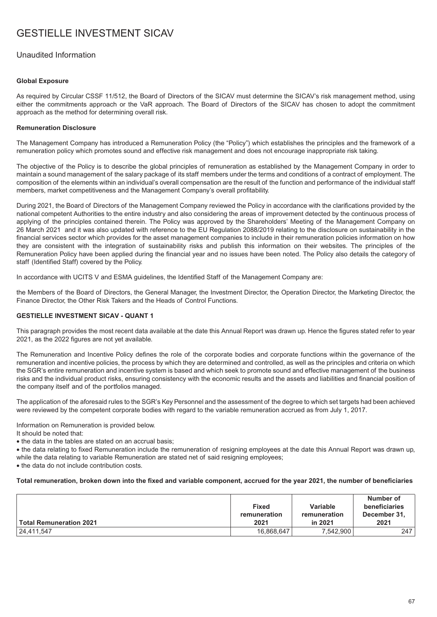## Unaudited Information

### **Global Exposure**

As required by Circular CSSF 11/512, the Board of Directors of the SICAV must determine the SICAV's risk management method, using either the commitments approach or the VaR approach. The Board of Directors of the SICAV has chosen to adopt the commitment approach as the method for determining overall risk.

### **Remuneration Disclosure**

The Management Company has introduced a Remuneration Policy (the "Policy") which establishes the principles and the framework of a remuneration policy which promotes sound and effective risk management and does not encourage inappropriate risk taking.

The objective of the Policy is to describe the global principles of remuneration as established by the Management Company in order to maintain a sound management of the salary package of its staff members under the terms and conditions of a contract of employment. The composition of the elements within an individual's overall compensation are the result of the function and performance of the individual staff members, market competitiveness and the Management Company's overall profitability.

During 2021, the Board of Directors of the Management Company reviewed the Policy in accordance with the clarifications provided by the national competent Authorities to the entire industry and also considering the areas of improvement detected by the continuous process of applying of the principles contained therein. The Policy was approved by the Shareholders' Meeting of the Management Company on 26 March 2021 and it was also updated with reference to the EU Regulation 2088/2019 relating to the disclosure on sustainability in the financial services sector which provides for the asset management companies to include in their remuneration policies information on how they are consistent with the integration of sustainability risks and publish this information on their websites. The principles of the Remuneration Policy have been applied during the financial year and no issues have been noted. The Policy also details the category of staff (Identified Staff) covered by the Policy.

In accordance with UCITS V and ESMA guidelines, the Identified Staff of the Management Company are:

the Members of the Board of Directors, the General Manager, the Investment Director, the Operation Director, the Marketing Director, the Finance Director, the Other Risk Takers and the Heads of Control Functions.

### **GESTIELLE INVESTMENT SICAV - QUANT 1**

This paragraph provides the most recent data available at the date this Annual Report was drawn up. Hence the figures stated refer to year 2021, as the 2022 figures are not yet available.

The Remuneration and Incentive Policy defines the role of the corporate bodies and corporate functions within the governance of the remuneration and incentive policies, the process by which they are determined and controlled, as well as the principles and criteria on which the SGR's entire remuneration and incentive system is based and which seek to promote sound and effective management of the business risks and the individual product risks, ensuring consistency with the economic results and the assets and liabilities and financial position of the company itself and of the portfolios managed.

The application of the aforesaid rules to the SGR's Key Personnel and the assessment of the degree to which set targets had been achieved were reviewed by the competent corporate bodies with regard to the variable remuneration accrued as from July 1, 2017.

Information on Remuneration is provided below.

It should be noted that:

• the data in the tables are stated on an accrual basis;

• the data relating to fixed Remuneration include the remuneration of resigning employees at the date this Annual Report was drawn up, while the data relating to variable Remuneration are stated net of said resigning employees;

• the data do not include contribution costs.

### **Total remuneration, broken down into the fixed and variable component, accrued for the year 2021, the number of beneficiaries**

| <b>Total Remuneration 2021</b> | <b>Fixed</b><br>remuneration<br>2021 | Variable<br>remuneration<br>in 2021 | Number of<br>beneficiaries<br>December 31,<br>2021 |
|--------------------------------|--------------------------------------|-------------------------------------|----------------------------------------------------|
| 24,411,547                     | 16,868,647                           | 7.542.900                           | 247                                                |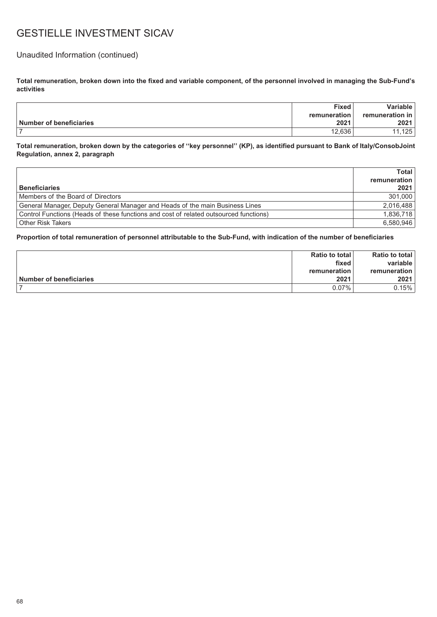## Unaudited Information (continued)

**Total remuneration, broken down into the fixed and variable component, of the personnel involved in managing the Sub-Fund's activities**

|                         | <b>Fixed</b> | Variable        |
|-------------------------|--------------|-----------------|
|                         | remuneration | remuneration in |
| Number of beneficiaries | 2021         | 2021            |
|                         | 12.636       | 125             |

**Total remuneration, broken down by the categories of ''key personnel'' (KP), as identified pursuant to Bank of Italy/ConsobJoint Regulation, annex 2, paragraph**

|                                                                                       | Total        |
|---------------------------------------------------------------------------------------|--------------|
|                                                                                       | remuneration |
| <b>Beneficiaries</b>                                                                  | 2021         |
| Members of the Board of Directors                                                     | 301.000      |
| General Manager, Deputy General Manager and Heads of the main Business Lines          | 2.016.488    |
| Control Functions (Heads of these functions and cost of related outsourced functions) | 1.836.718    |
| <b>Other Risk Takers</b>                                                              | 6,580,946    |

|                         | Ratio to total | <b>Ratio to total</b> |
|-------------------------|----------------|-----------------------|
|                         | fixed          | variable              |
|                         | remuneration   | remuneration          |
| Number of beneficiaries | 2021           | 2021                  |
|                         | $0.07\%$       | $0.15\%$              |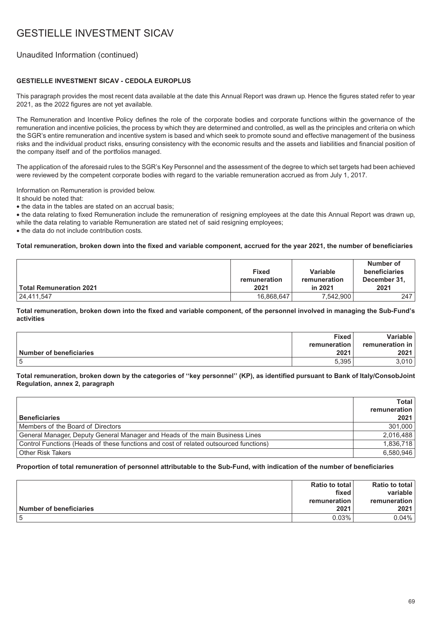## Unaudited Information (continued)

### **GESTIELLE INVESTMENT SICAV - CEDOLA EUROPLUS**

This paragraph provides the most recent data available at the date this Annual Report was drawn up. Hence the figures stated refer to year 2021, as the 2022 figures are not yet available.

The Remuneration and Incentive Policy defines the role of the corporate bodies and corporate functions within the governance of the remuneration and incentive policies, the process by which they are determined and controlled, as well as the principles and criteria on which the SGR's entire remuneration and incentive system is based and which seek to promote sound and effective management of the business risks and the individual product risks, ensuring consistency with the economic results and the assets and liabilities and financial position of the company itself and of the portfolios managed.

The application of the aforesaid rules to the SGR's Key Personnel and the assessment of the degree to which set targets had been achieved were reviewed by the competent corporate bodies with regard to the variable remuneration accrued as from July 1, 2017.

Information on Remuneration is provided below.

It should be noted that:

• the data in the tables are stated on an accrual basis;

• the data relating to fixed Remuneration include the remuneration of resigning employees at the date this Annual Report was drawn up, while the data relating to variable Remuneration are stated net of said resigning employees;

• the data do not include contribution costs.

### **Total remuneration, broken down into the fixed and variable component, accrued for the year 2021, the number of beneficiaries**

| ∣ Total Remuneration 2021 | <b>Fixed</b><br>remuneration<br>2021 | Variable<br>remuneration<br>in 2021 | Number of<br>beneficiaries<br>December 31,<br>2021 |
|---------------------------|--------------------------------------|-------------------------------------|----------------------------------------------------|
| 24,411,547                | 16,868,647                           | 7,542,900                           | 247                                                |

**Total remuneration, broken down into the fixed and variable component, of the personnel involved in managing the Sub-Fund's activities**

|                         | <b>Fixed</b> | Variable l             |
|-------------------------|--------------|------------------------|
|                         | remuneration | <b>remuneration</b> in |
| Number of beneficiaries | 2021         | 2021                   |
|                         | 5.395        | .010                   |

### **Total remuneration, broken down by the categories of ''key personnel'' (KP), as identified pursuant to Bank of Italy/ConsobJoint Regulation, annex 2, paragraph**

|                                                                                       | Total        |
|---------------------------------------------------------------------------------------|--------------|
|                                                                                       | remuneration |
| <b>Beneficiaries</b>                                                                  | 2021         |
| Members of the Board of Directors                                                     | 301,000      |
| General Manager, Deputy General Manager and Heads of the main Business Lines          | 2,016,488    |
| Control Functions (Heads of these functions and cost of related outsourced functions) | 1,836,718    |
| <b>Other Risk Takers</b>                                                              | 6,580,946    |

|                                | Ratio to total | <b>Ratio to total</b> |
|--------------------------------|----------------|-----------------------|
|                                | fixed          | variable              |
|                                | remuneration⊤  | remuneration          |
| <b>Number of beneficiaries</b> | 2021           | 2021                  |
|                                | $0.03\%$       | 0.04%                 |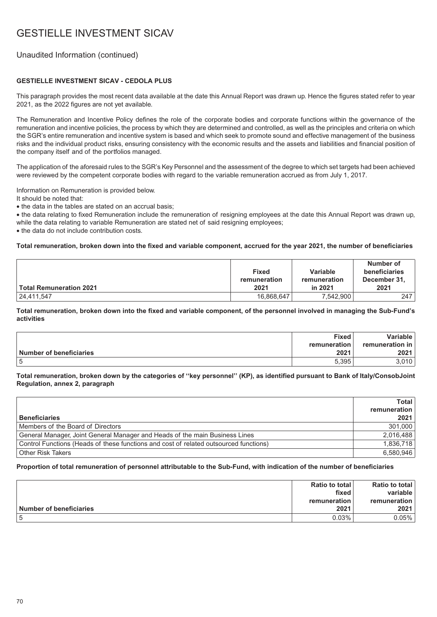## Unaudited Information (continued)

### **GESTIELLE INVESTMENT SICAV - CEDOLA PLUS**

This paragraph provides the most recent data available at the date this Annual Report was drawn up. Hence the figures stated refer to year 2021, as the 2022 figures are not yet available.

The Remuneration and Incentive Policy defines the role of the corporate bodies and corporate functions within the governance of the remuneration and incentive policies, the process by which they are determined and controlled, as well as the principles and criteria on which the SGR's entire remuneration and incentive system is based and which seek to promote sound and effective management of the business risks and the individual product risks, ensuring consistency with the economic results and the assets and liabilities and financial position of the company itself and of the portfolios managed.

The application of the aforesaid rules to the SGR's Key Personnel and the assessment of the degree to which set targets had been achieved were reviewed by the competent corporate bodies with regard to the variable remuneration accrued as from July 1, 2017.

Information on Remuneration is provided below.

It should be noted that:

• the data in the tables are stated on an accrual basis;

• the data relating to fixed Remuneration include the remuneration of resigning employees at the date this Annual Report was drawn up, while the data relating to variable Remuneration are stated net of said resigning employees;

• the data do not include contribution costs.

### **Total remuneration, broken down into the fixed and variable component, accrued for the year 2021, the number of beneficiaries**

| ∣ Total Remuneration 2021 | <b>Fixed</b><br>remuneration<br>2021 | Variable<br>remuneration<br>in 2021 | Number of<br>beneficiaries<br>December 31,<br>2021 |
|---------------------------|--------------------------------------|-------------------------------------|----------------------------------------------------|
| 24,411,547                | 16,868,647                           | 7,542,900                           | 247                                                |

**Total remuneration, broken down into the fixed and variable component, of the personnel involved in managing the Sub-Fund's activities**

|                         | <b>Fixed</b> | Variable l             |
|-------------------------|--------------|------------------------|
|                         | remuneration | <b>remuneration</b> in |
| Number of beneficiaries | 2021         | 2021                   |
|                         | 5.395        | .010                   |

### **Total remuneration, broken down by the categories of ''key personnel'' (KP), as identified pursuant to Bank of Italy/ConsobJoint Regulation, annex 2, paragraph**

|                                                                                       | Total        |
|---------------------------------------------------------------------------------------|--------------|
|                                                                                       | remuneration |
| <b>Beneficiaries</b>                                                                  | 2021         |
| Members of the Board of Directors                                                     | 301,000      |
| General Manager, Joint General Manager and Heads of the main Business Lines           | 2,016,488    |
| Control Functions (Heads of these functions and cost of related outsourced functions) | 1,836,718    |
| <b>Other Risk Takers</b>                                                              | 6,580,946    |

|                         | Ratio to total | <b>Ratio to total</b> |
|-------------------------|----------------|-----------------------|
|                         | fixed          | variable              |
|                         | remuneration ৷ | remuneration          |
| Number of beneficiaries | 2021           | 2021                  |
|                         | $0.03\%$       | 0.05%                 |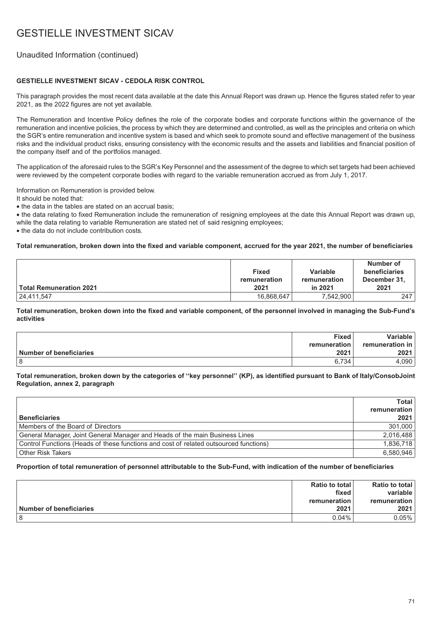## Unaudited Information (continued)

### **GESTIELLE INVESTMENT SICAV - CEDOLA RISK CONTROL**

This paragraph provides the most recent data available at the date this Annual Report was drawn up. Hence the figures stated refer to year 2021, as the 2022 figures are not yet available.

The Remuneration and Incentive Policy defines the role of the corporate bodies and corporate functions within the governance of the remuneration and incentive policies, the process by which they are determined and controlled, as well as the principles and criteria on which the SGR's entire remuneration and incentive system is based and which seek to promote sound and effective management of the business risks and the individual product risks, ensuring consistency with the economic results and the assets and liabilities and financial position of the company itself and of the portfolios managed.

The application of the aforesaid rules to the SGR's Key Personnel and the assessment of the degree to which set targets had been achieved were reviewed by the competent corporate bodies with regard to the variable remuneration accrued as from July 1, 2017.

Information on Remuneration is provided below.

It should be noted that:

• the data in the tables are stated on an accrual basis;

• the data relating to fixed Remuneration include the remuneration of resigning employees at the date this Annual Report was drawn up, while the data relating to variable Remuneration are stated net of said resigning employees;

• the data do not include contribution costs.

### **Total remuneration, broken down into the fixed and variable component, accrued for the year 2021, the number of beneficiaries**

| ∣ Total Remuneration 2021 | <b>Fixed</b><br>remuneration<br>2021 | Variable<br>remuneration<br>in 2021 | Number of<br>beneficiaries<br>December 31,<br>2021 |
|---------------------------|--------------------------------------|-------------------------------------|----------------------------------------------------|
| 24,411,547                | 16,868,647                           | 7,542,900                           | 247                                                |

**Total remuneration, broken down into the fixed and variable component, of the personnel involved in managing the Sub-Fund's activities**

|                         | <b>Fixed</b> | Variable l             |
|-------------------------|--------------|------------------------|
|                         | remuneration | <b>remuneration</b> in |
| Number of beneficiaries | 2021         | 2021                   |
|                         | 6.734        | .090                   |

### **Total remuneration, broken down by the categories of ''key personnel'' (KP), as identified pursuant to Bank of Italy/ConsobJoint Regulation, annex 2, paragraph**

|                                                                                       | Total I      |
|---------------------------------------------------------------------------------------|--------------|
|                                                                                       | remuneration |
| <b>Beneficiaries</b>                                                                  | 2021         |
| Members of the Board of Directors                                                     | 301.000      |
| General Manager, Joint General Manager and Heads of the main Business Lines           | 2,016,488    |
| Control Functions (Heads of these functions and cost of related outsourced functions) | 1,836,718    |
| <b>Other Risk Takers</b>                                                              | 6,580,946    |

|                                | Ratio to total | <b>Ratio to total</b> |
|--------------------------------|----------------|-----------------------|
|                                | fixed          | variable              |
|                                | remuneration⊤  | remuneration          |
| <b>Number of beneficiaries</b> | 2021           | 2021                  |
|                                | $0.04\%$       | 0.05%                 |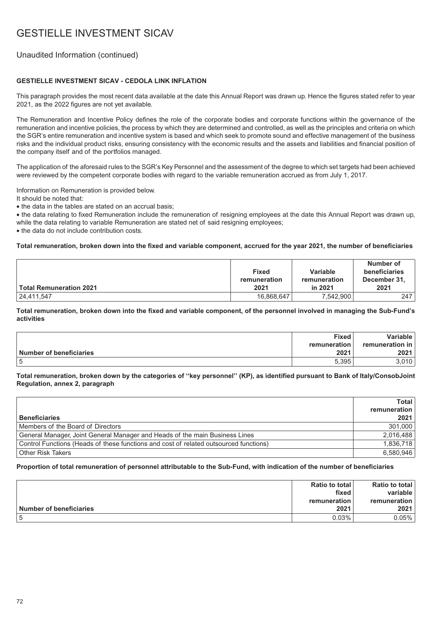## Unaudited Information (continued)

### **GESTIELLE INVESTMENT SICAV - CEDOLA LINK INFLATION**

This paragraph provides the most recent data available at the date this Annual Report was drawn up. Hence the figures stated refer to year 2021, as the 2022 figures are not yet available.

The Remuneration and Incentive Policy defines the role of the corporate bodies and corporate functions within the governance of the remuneration and incentive policies, the process by which they are determined and controlled, as well as the principles and criteria on which the SGR's entire remuneration and incentive system is based and which seek to promote sound and effective management of the business risks and the individual product risks, ensuring consistency with the economic results and the assets and liabilities and financial position of the company itself and of the portfolios managed.

The application of the aforesaid rules to the SGR's Key Personnel and the assessment of the degree to which set targets had been achieved were reviewed by the competent corporate bodies with regard to the variable remuneration accrued as from July 1, 2017.

Information on Remuneration is provided below.

It should be noted that:

• the data in the tables are stated on an accrual basis;

• the data relating to fixed Remuneration include the remuneration of resigning employees at the date this Annual Report was drawn up, while the data relating to variable Remuneration are stated net of said resigning employees;

• the data do not include contribution costs.

### **Total remuneration, broken down into the fixed and variable component, accrued for the year 2021, the number of beneficiaries**

| ∣ Total Remuneration 2021 | <b>Fixed</b><br>remuneration<br>2021 | Variable<br>remuneration<br>in 2021 | Number of<br>beneficiaries<br>December 31,<br>2021 |
|---------------------------|--------------------------------------|-------------------------------------|----------------------------------------------------|
| 24,411,547                | 16,868,647                           | 7,542,900                           | 247                                                |

**Total remuneration, broken down into the fixed and variable component, of the personnel involved in managing the Sub-Fund's activities**

|                         | <b>Fixed</b> | Variable l             |
|-------------------------|--------------|------------------------|
|                         | remuneration | <b>remuneration</b> in |
| Number of beneficiaries | 2021         | 2021                   |
|                         | 5.395        | .010                   |

### **Total remuneration, broken down by the categories of ''key personnel'' (KP), as identified pursuant to Bank of Italy/ConsobJoint Regulation, annex 2, paragraph**

|                                                                                       | Total        |
|---------------------------------------------------------------------------------------|--------------|
|                                                                                       | remuneration |
| <b>Beneficiaries</b>                                                                  | 2021         |
| Members of the Board of Directors                                                     | 301,000      |
| General Manager, Joint General Manager and Heads of the main Business Lines           | 2,016,488    |
| Control Functions (Heads of these functions and cost of related outsourced functions) | 1,836,718    |
| <b>Other Risk Takers</b>                                                              | 6,580,946    |

|                         | Ratio to total | <b>Ratio to total</b> |
|-------------------------|----------------|-----------------------|
|                         | fixed          | variable              |
|                         | remuneration ৷ | remuneration          |
| Number of beneficiaries | 2021           | 2021                  |
|                         | $0.03\%$       | 0.05%                 |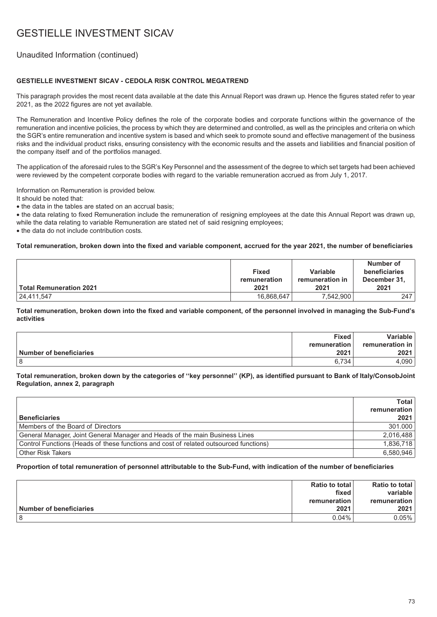## Unaudited Information (continued)

### **GESTIELLE INVESTMENT SICAV - CEDOLA RISK CONTROL MEGATREND**

This paragraph provides the most recent data available at the date this Annual Report was drawn up. Hence the figures stated refer to year 2021, as the 2022 figures are not yet available.

The Remuneration and Incentive Policy defines the role of the corporate bodies and corporate functions within the governance of the remuneration and incentive policies, the process by which they are determined and controlled, as well as the principles and criteria on which the SGR's entire remuneration and incentive system is based and which seek to promote sound and effective management of the business risks and the individual product risks, ensuring consistency with the economic results and the assets and liabilities and financial position of the company itself and of the portfolios managed.

The application of the aforesaid rules to the SGR's Key Personnel and the assessment of the degree to which set targets had been achieved were reviewed by the competent corporate bodies with regard to the variable remuneration accrued as from July 1, 2017.

Information on Remuneration is provided below.

It should be noted that:

• the data in the tables are stated on an accrual basis;

• the data relating to fixed Remuneration include the remuneration of resigning employees at the date this Annual Report was drawn up, while the data relating to variable Remuneration are stated net of said resigning employees;

• the data do not include contribution costs.

#### **Total remuneration, broken down into the fixed and variable component, accrued for the year 2021, the number of beneficiaries**

| ∣ Total Remuneration 2021 | <b>Fixed</b><br>remuneration<br>2021 | Variable<br>remuneration in<br>2021 | Number of<br>beneficiaries<br>December 31,<br>2021 |
|---------------------------|--------------------------------------|-------------------------------------|----------------------------------------------------|
| 24,411,547                | 16,868,647                           | 7,542,900                           | 247                                                |

**Total remuneration, broken down into the fixed and variable component, of the personnel involved in managing the Sub-Fund's activities**

|                         | <b>Fixed</b> | Variable l             |
|-------------------------|--------------|------------------------|
|                         | remuneration | <b>remuneration</b> in |
| Number of beneficiaries | 2021         | 2021                   |
|                         | 6.734        | .090                   |

#### **Total remuneration, broken down by the categories of ''key personnel'' (KP), as identified pursuant to Bank of Italy/ConsobJoint Regulation, annex 2, paragraph**

|                                                                                       | Total I      |
|---------------------------------------------------------------------------------------|--------------|
|                                                                                       | remuneration |
| <b>Beneficiaries</b>                                                                  | 2021         |
| Members of the Board of Directors                                                     | 301.000      |
| General Manager, Joint General Manager and Heads of the main Business Lines           | 2,016,488    |
| Control Functions (Heads of these functions and cost of related outsourced functions) | 1,836,718    |
| <b>Other Risk Takers</b>                                                              | 6,580,946    |

|                                | Ratio to total | <b>Ratio to total</b> |
|--------------------------------|----------------|-----------------------|
|                                | fixed          | variable              |
|                                | remuneration⊤  | remuneration          |
| <b>Number of beneficiaries</b> | 2021           | 2021                  |
|                                | $0.04\%$       | 0.05%                 |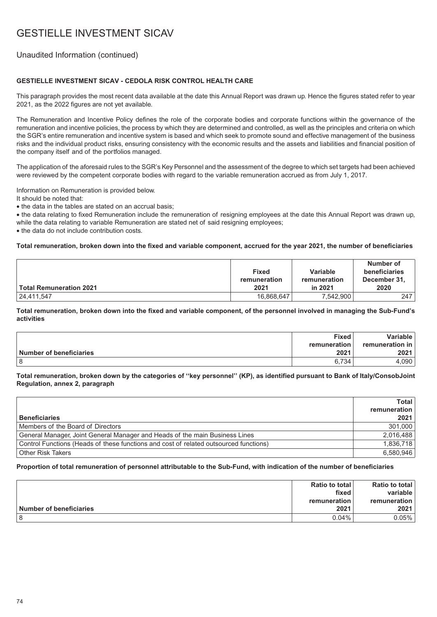## Unaudited Information (continued)

### **GESTIELLE INVESTMENT SICAV - CEDOLA RISK CONTROL HEALTH CARE**

This paragraph provides the most recent data available at the date this Annual Report was drawn up. Hence the figures stated refer to year 2021, as the 2022 figures are not yet available.

The Remuneration and Incentive Policy defines the role of the corporate bodies and corporate functions within the governance of the remuneration and incentive policies, the process by which they are determined and controlled, as well as the principles and criteria on which the SGR's entire remuneration and incentive system is based and which seek to promote sound and effective management of the business risks and the individual product risks, ensuring consistency with the economic results and the assets and liabilities and financial position of the company itself and of the portfolios managed.

The application of the aforesaid rules to the SGR's Key Personnel and the assessment of the degree to which set targets had been achieved were reviewed by the competent corporate bodies with regard to the variable remuneration accrued as from July 1, 2017.

Information on Remuneration is provided below.

It should be noted that:

• the data in the tables are stated on an accrual basis;

• the data relating to fixed Remuneration include the remuneration of resigning employees at the date this Annual Report was drawn up, while the data relating to variable Remuneration are stated net of said resigning employees;

• the data do not include contribution costs.

#### **Total remuneration, broken down into the fixed and variable component, accrued for the year 2021, the number of beneficiaries**

| ∣ Total Remuneration 2021 | <b>Fixed</b><br>remuneration<br>2021 | Variable<br>remuneration<br>in 2021 | Number of<br>beneficiaries<br>December 31,<br>2020 |
|---------------------------|--------------------------------------|-------------------------------------|----------------------------------------------------|
| 24,411,547                | 16,868,647                           | 7,542,900                           | 247                                                |

**Total remuneration, broken down into the fixed and variable component, of the personnel involved in managing the Sub-Fund's activities**

|                         | <b>Fixed</b> | Variable l             |
|-------------------------|--------------|------------------------|
|                         | remuneration | <b>remuneration</b> in |
| Number of beneficiaries | 2021         | 2021                   |
| 8                       | 6.734        | .090                   |

#### **Total remuneration, broken down by the categories of ''key personnel'' (KP), as identified pursuant to Bank of Italy/ConsobJoint Regulation, annex 2, paragraph**

|                                                                                       | Total        |
|---------------------------------------------------------------------------------------|--------------|
|                                                                                       | remuneration |
| <b>Beneficiaries</b>                                                                  | 2021         |
| Members of the Board of Directors                                                     | 301,000      |
| General Manager, Joint General Manager and Heads of the main Business Lines           | 2,016,488    |
| Control Functions (Heads of these functions and cost of related outsourced functions) | 1,836,718    |
| <b>Other Risk Takers</b>                                                              | 6,580,946    |

|                         | Ratio to total | <b>Ratio to total</b> |
|-------------------------|----------------|-----------------------|
|                         | fixed          | variable              |
|                         | remuneration ৷ | remuneration          |
| Number of beneficiaries | 2021           | 2021                  |
|                         | $0.04\%$       | 0.05%                 |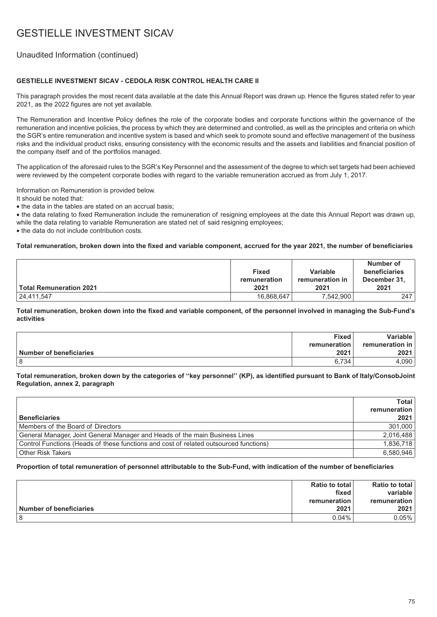## Unaudited Information (continued)

### **GESTIELLE INVESTMENT SICAV - CEDOLA RISK CONTROL HEALTH CARE II**

This paragraph provides the most recent data available at the date this Annual Report was drawn up. Hence the figures stated refer to year 2021, as the 2022 figures are not yet available.

The Remuneration and Incentive Policy defines the role of the corporate bodies and corporate functions within the governance of the remuneration and incentive policies, the process by which they are determined and controlled, as well as the principles and criteria on which the SGR's entire remuneration and incentive system is based and which seek to promote sound and effective management of the business risks and the individual product risks, ensuring consistency with the economic results and the assets and liabilities and financial position of the company itself and of the portfolios managed.

The application of the aforesaid rules to the SGR's Key Personnel and the assessment of the degree to which set targets had been achieved were reviewed by the competent corporate bodies with regard to the variable remuneration accrued as from July 1, 2017.

Information on Remuneration is provided below.

It should be noted that:

• the data in the tables are stated on an accrual basis;

• the data relating to fixed Remuneration include the remuneration of resigning employees at the date this Annual Report was drawn up, while the data relating to variable Remuneration are stated net of said resigning employees;

• the data do not include contribution costs.

#### **Total remuneration, broken down into the fixed and variable component, accrued for the year 2021, the number of beneficiaries**

| ∣ Total Remuneration 2021 | <b>Fixed</b><br>remuneration<br>2021 | Variable<br>remuneration in<br>2021 | Number of<br>beneficiaries<br>December 31,<br>2021 |
|---------------------------|--------------------------------------|-------------------------------------|----------------------------------------------------|
| 24,411,547                | 16,868,647                           | 7,542,900                           | 247                                                |

**Total remuneration, broken down into the fixed and variable component, of the personnel involved in managing the Sub-Fund's activities**

|                         | <b>Fixed</b> | Variable l             |
|-------------------------|--------------|------------------------|
|                         | remuneration | <b>remuneration</b> in |
| Number of beneficiaries | 2021         | 2021                   |
| 8                       | 6.734        | .090                   |

#### **Total remuneration, broken down by the categories of ''key personnel'' (KP), as identified pursuant to Bank of Italy/ConsobJoint Regulation, annex 2, paragraph**

|                                                                                       | Total        |
|---------------------------------------------------------------------------------------|--------------|
|                                                                                       | remuneration |
| <b>Beneficiaries</b>                                                                  | 2021         |
| Members of the Board of Directors                                                     | 301,000      |
| General Manager, Joint General Manager and Heads of the main Business Lines           | 2,016,488    |
| Control Functions (Heads of these functions and cost of related outsourced functions) | 1,836,718    |
| Other Risk Takers                                                                     | 6,580,946    |

|                                | Ratio to total | <b>Ratio to total</b> |
|--------------------------------|----------------|-----------------------|
|                                | fixed          | variable              |
|                                | remuneration⊤  | remuneration          |
| <b>Number of beneficiaries</b> | 2021           | 2021                  |
|                                | $0.04\%$       | 0.05%                 |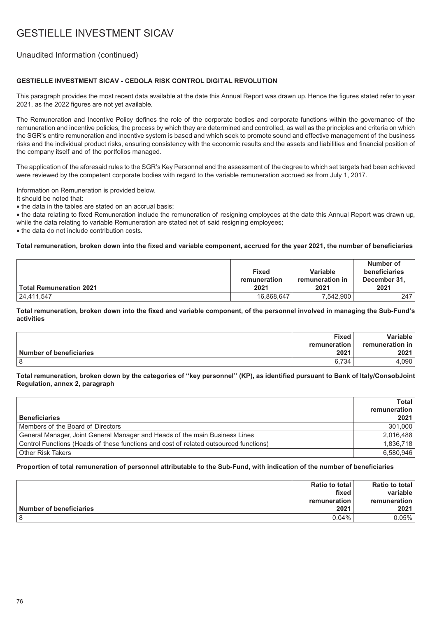## Unaudited Information (continued)

### **GESTIELLE INVESTMENT SICAV - CEDOLA RISK CONTROL DIGITAL REVOLUTION**

This paragraph provides the most recent data available at the date this Annual Report was drawn up. Hence the figures stated refer to year 2021, as the 2022 figures are not yet available.

The Remuneration and Incentive Policy defines the role of the corporate bodies and corporate functions within the governance of the remuneration and incentive policies, the process by which they are determined and controlled, as well as the principles and criteria on which the SGR's entire remuneration and incentive system is based and which seek to promote sound and effective management of the business risks and the individual product risks, ensuring consistency with the economic results and the assets and liabilities and financial position of the company itself and of the portfolios managed.

The application of the aforesaid rules to the SGR's Key Personnel and the assessment of the degree to which set targets had been achieved were reviewed by the competent corporate bodies with regard to the variable remuneration accrued as from July 1, 2017.

Information on Remuneration is provided below.

It should be noted that:

• the data in the tables are stated on an accrual basis;

• the data relating to fixed Remuneration include the remuneration of resigning employees at the date this Annual Report was drawn up, while the data relating to variable Remuneration are stated net of said resigning employees;

• the data do not include contribution costs.

#### **Total remuneration, broken down into the fixed and variable component, accrued for the year 2021, the number of beneficiaries**

| Total Remuneration 2021 | <b>Fixed</b><br>remuneration<br>2021 | Variable<br>remuneration in<br>2021 | Number of<br>beneficiaries<br>December 31,<br>2021 |
|-------------------------|--------------------------------------|-------------------------------------|----------------------------------------------------|
| 24,411,547              | 16,868,647                           | 7,542,900                           | 247                                                |

**Total remuneration, broken down into the fixed and variable component, of the personnel involved in managing the Sub-Fund's activities**

|                         | <b>Fixed</b> | Variable l             |
|-------------------------|--------------|------------------------|
|                         | remuneration | <b>remuneration</b> in |
| Number of beneficiaries | 2021         | 2021                   |
| 8                       | 6.734        | .090                   |

#### **Total remuneration, broken down by the categories of ''key personnel'' (KP), as identified pursuant to Bank of Italy/ConsobJoint Regulation, annex 2, paragraph**

|                                                                                       | Total        |
|---------------------------------------------------------------------------------------|--------------|
|                                                                                       | remuneration |
| <b>Beneficiaries</b>                                                                  | 2021         |
| Members of the Board of Directors                                                     | 301,000      |
| General Manager, Joint General Manager and Heads of the main Business Lines           | 2,016,488    |
| Control Functions (Heads of these functions and cost of related outsourced functions) | 1,836,718    |
| <b>Other Risk Takers</b>                                                              | 6,580,946    |

|                         | Ratio to total | <b>Ratio to total</b> |
|-------------------------|----------------|-----------------------|
|                         | fixed          | variable              |
|                         | remuneration ৷ | remuneration          |
| Number of beneficiaries | 2021           | 2021                  |
|                         | $0.04\%$       | 0.05%                 |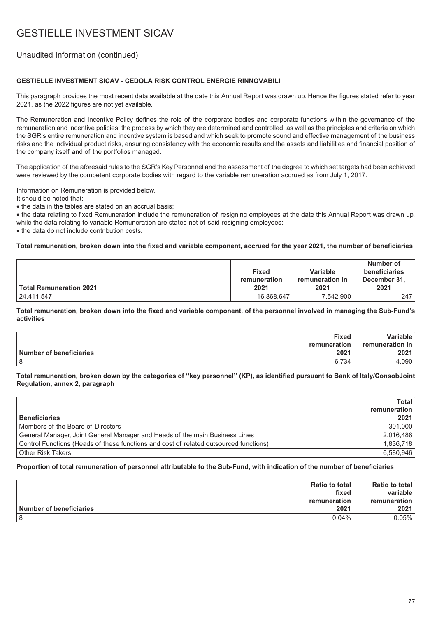## Unaudited Information (continued)

### **GESTIELLE INVESTMENT SICAV - CEDOLA RISK CONTROL ENERGIE RINNOVABILI**

This paragraph provides the most recent data available at the date this Annual Report was drawn up. Hence the figures stated refer to year 2021, as the 2022 figures are not yet available.

The Remuneration and Incentive Policy defines the role of the corporate bodies and corporate functions within the governance of the remuneration and incentive policies, the process by which they are determined and controlled, as well as the principles and criteria on which the SGR's entire remuneration and incentive system is based and which seek to promote sound and effective management of the business risks and the individual product risks, ensuring consistency with the economic results and the assets and liabilities and financial position of the company itself and of the portfolios managed.

The application of the aforesaid rules to the SGR's Key Personnel and the assessment of the degree to which set targets had been achieved were reviewed by the competent corporate bodies with regard to the variable remuneration accrued as from July 1, 2017.

Information on Remuneration is provided below.

It should be noted that:

• the data in the tables are stated on an accrual basis;

• the data relating to fixed Remuneration include the remuneration of resigning employees at the date this Annual Report was drawn up, while the data relating to variable Remuneration are stated net of said resigning employees;

• the data do not include contribution costs.

#### **Total remuneration, broken down into the fixed and variable component, accrued for the year 2021, the number of beneficiaries**

| Total Remuneration 2021 | <b>Fixed</b><br>remuneration<br>2021 | Variable<br>remuneration in<br>2021 | Number of<br>beneficiaries<br>December 31,<br>2021 |
|-------------------------|--------------------------------------|-------------------------------------|----------------------------------------------------|
| 24,411,547              | 16,868,647                           | 7,542,900                           | 247                                                |

**Total remuneration, broken down into the fixed and variable component, of the personnel involved in managing the Sub-Fund's activities**

|                         | <b>Fixed</b> | Variable l             |
|-------------------------|--------------|------------------------|
|                         | remuneration | <b>remuneration</b> in |
| Number of beneficiaries | 2021         | 2021                   |
|                         | 6.734        | .090                   |

#### **Total remuneration, broken down by the categories of ''key personnel'' (KP), as identified pursuant to Bank of Italy/ConsobJoint Regulation, annex 2, paragraph**

|                                                                                       | Total I      |
|---------------------------------------------------------------------------------------|--------------|
|                                                                                       | remuneration |
| <b>Beneficiaries</b>                                                                  | 2021         |
| Members of the Board of Directors                                                     | 301.000      |
| General Manager, Joint General Manager and Heads of the main Business Lines           | 2,016,488    |
| Control Functions (Heads of these functions and cost of related outsourced functions) | 1,836,718    |
| <b>Other Risk Takers</b>                                                              | 6,580,946    |

|                                | Ratio to total | <b>Ratio to total</b> |
|--------------------------------|----------------|-----------------------|
|                                | fixed          | variable              |
|                                | remuneration⊤  | remuneration          |
| <b>Number of beneficiaries</b> | 2021           | 2021                  |
|                                | $0.04\%$       | 0.05%                 |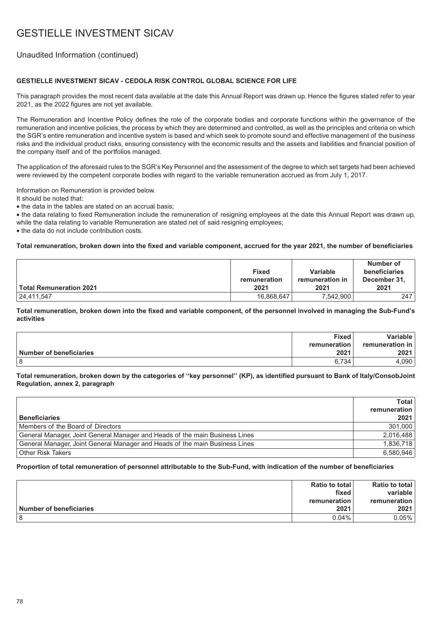## Unaudited Information (continued)

### **GESTIELLE INVESTMENT SICAV - CEDOLA RISK CONTROL GLOBAL SCIENCE FOR LIFE**

This paragraph provides the most recent data available at the date this Annual Report was drawn up. Hence the figures stated refer to year 2021, as the 2022 figures are not yet available.

The Remuneration and Incentive Policy defines the role of the corporate bodies and corporate functions within the governance of the remuneration and incentive policies, the process by which they are determined and controlled, as well as the principles and criteria on which the SGR's entire remuneration and incentive system is based and which seek to promote sound and effective management of the business risks and the individual product risks, ensuring consistency with the economic results and the assets and liabilities and financial position of the company itself and of the portfolios managed.

The application of the aforesaid rules to the SGR's Key Personnel and the assessment of the degree to which set targets had been achieved were reviewed by the competent corporate bodies with regard to the variable remuneration accrued as from July 1, 2017.

Information on Remuneration is provided below.

It should be noted that:

• the data in the tables are stated on an accrual basis;

• the data relating to fixed Remuneration include the remuneration of resigning employees at the date this Annual Report was drawn up, while the data relating to variable Remuneration are stated net of said resigning employees;

• the data do not include contribution costs.

#### **Total remuneration, broken down into the fixed and variable component, accrued for the year 2021, the number of beneficiaries**

| ∣ Total Remuneration 2021 | <b>Fixed</b><br>remuneration<br>2021 | Variable<br>remuneration in<br>2021 | Number of<br>beneficiaries<br>December 31,<br>2021 |
|---------------------------|--------------------------------------|-------------------------------------|----------------------------------------------------|
| 24,411,547                | 16,868,647                           | 7,542,900                           | 247                                                |

**Total remuneration, broken down into the fixed and variable component, of the personnel involved in managing the Sub-Fund's activities**

|                         | <b>Fixed</b> | Variable l             |
|-------------------------|--------------|------------------------|
|                         | remuneration | <b>remuneration</b> in |
| Number of beneficiaries | 2021         | 2021                   |
| 8                       | 6.734        | .090                   |

#### **Total remuneration, broken down by the categories of ''key personnel'' (KP), as identified pursuant to Bank of Italy/ConsobJoint Regulation, annex 2, paragraph**

|                                                                             | <b>Total</b> |
|-----------------------------------------------------------------------------|--------------|
|                                                                             | remuneration |
| <b>Beneficiaries</b>                                                        | 2021         |
| Members of the Board of Directors                                           | 301.000      |
| General Manager, Joint General Manager and Heads of the main Business Lines | 2,016,488    |
| General Manager, Joint General Manager and Heads of the main Business Lines | 1,836,718    |
| <b>Other Risk Takers</b>                                                    | 6.580.946    |

|                         | Ratio to total | <b>Ratio to total</b> |
|-------------------------|----------------|-----------------------|
|                         | fixed          | variable              |
|                         | remuneration ৷ | remuneration          |
| Number of beneficiaries | 2021           | 2021                  |
|                         | $0.04\%$       | 0.05%                 |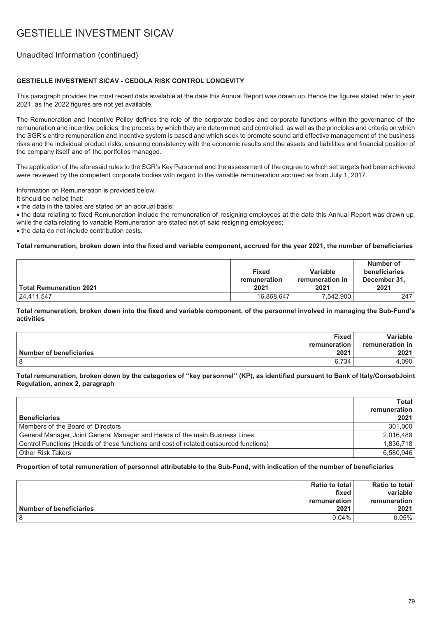## Unaudited Information (continued)

### **GESTIELLE INVESTMENT SICAV - CEDOLA RISK CONTROL LONGEVITY**

This paragraph provides the most recent data available at the date this Annual Report was drawn up. Hence the figures stated refer to year 2021, as the 2022 figures are not yet available.

The Remuneration and Incentive Policy defines the role of the corporate bodies and corporate functions within the governance of the remuneration and incentive policies, the process by which they are determined and controlled, as well as the principles and criteria on which the SGR's entire remuneration and incentive system is based and which seek to promote sound and effective management of the business risks and the individual product risks, ensuring consistency with the economic results and the assets and liabilities and financial position of the company itself and of the portfolios managed.

The application of the aforesaid rules to the SGR's Key Personnel and the assessment of the degree to which set targets had been achieved were reviewed by the competent corporate bodies with regard to the variable remuneration accrued as from July 1, 2017.

Information on Remuneration is provided below.

It should be noted that:

• the data in the tables are stated on an accrual basis;

• the data relating to fixed Remuneration include the remuneration of resigning employees at the date this Annual Report was drawn up, while the data relating to variable Remuneration are stated net of said resigning employees;

• the data do not include contribution costs.

#### **Total remuneration, broken down into the fixed and variable component, accrued for the year 2021, the number of beneficiaries**

| ∣ Total Remuneration 2021 | <b>Fixed</b><br>remuneration<br>2021 | Variable<br>remuneration in<br>2021 | Number of<br>beneficiaries<br>December 31,<br>2021 |
|---------------------------|--------------------------------------|-------------------------------------|----------------------------------------------------|
| 24,411,547                | 16,868,647                           | 7,542,900                           | 247                                                |

**Total remuneration, broken down into the fixed and variable component, of the personnel involved in managing the Sub-Fund's activities**

|                         | <b>Fixed</b> | Variable l             |
|-------------------------|--------------|------------------------|
|                         | remuneration | <b>remuneration</b> in |
| Number of beneficiaries | 2021         | 2021                   |
|                         | 6.734        | .090                   |

#### **Total remuneration, broken down by the categories of ''key personnel'' (KP), as identified pursuant to Bank of Italy/ConsobJoint Regulation, annex 2, paragraph**

|                                                                                       | Total        |
|---------------------------------------------------------------------------------------|--------------|
|                                                                                       | remuneration |
| <b>Beneficiaries</b>                                                                  | 2021         |
| Members of the Board of Directors                                                     | 301,000      |
| General Manager, Joint General Manager and Heads of the main Business Lines           | 2,016,488    |
| Control Functions (Heads of these functions and cost of related outsourced functions) | 1,836,718    |
| <b>Other Risk Takers</b>                                                              | 6.580.946    |

|                                | Ratio to total | <b>Ratio to total</b> |
|--------------------------------|----------------|-----------------------|
|                                | fixed          | variable              |
|                                | remuneration⊤  | remuneration          |
| <b>Number of beneficiaries</b> | 2021           | 2021                  |
|                                | $0.04\%$       | 0.05%                 |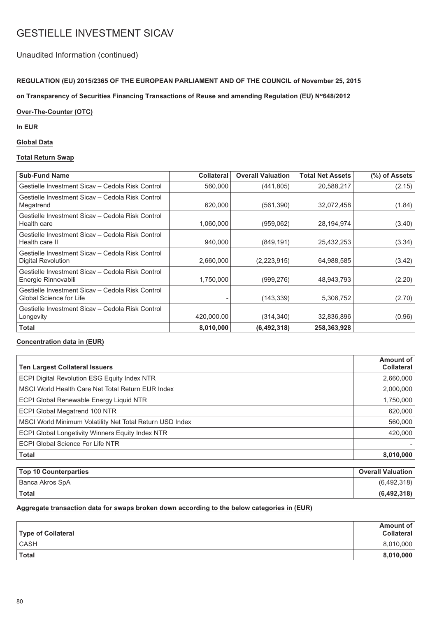## Unaudited Information (continued)

### **REGULATION (EU) 2015/2365 OF THE EUROPEAN PARLIAMENT AND OF THE COUNCIL of November 25, 2015**

on Transparency of Securities Financing Transactions of Reuse and amending Regulation (EU) N°648/2012

### **Over-The-Counter (OTC)**

### **In EUR**

### **Global Data**

### **Total Return Swap**

| <b>Sub-Fund Name</b>                                                               | <b>Collateral</b> | <b>Overall Valuation</b> | <b>Total Net Assets</b> | (%) of Assets |
|------------------------------------------------------------------------------------|-------------------|--------------------------|-------------------------|---------------|
| Gestielle Investment Sicav – Cedola Risk Control                                   | 560,000           | (441, 805)               | 20,588,217              | (2.15)        |
| Gestielle Investment Sicav – Cedola Risk Control<br>Megatrend                      | 620,000           | (561, 390)               | 32,072,458              | (1.84)        |
| Gestielle Investment Sicav - Cedola Risk Control<br>Health care                    | 1,060,000         | (959,062)                | 28,194,974              | (3.40)        |
| Gestielle Investment Sicav – Cedola Risk Control<br>Health care II                 | 940,000           | (849, 191)               | 25,432,253              | (3.34)        |
| Gestielle Investment Sicav – Cedola Risk Control<br>Digital Revolution             | 2,660,000         | (2,223,915)              | 64,988,585              | (3.42)        |
| Gestielle Investment Sicav - Cedola Risk Control<br>Energie Rinnovabili            | 1,750,000         | (999, 276)               | 48,943,793              | (2.20)        |
| Gestielle Investment Sicav – Cedola Risk Control<br><b>Global Science for Life</b> |                   | (143, 339)               | 5,306,752               | (2.70)        |
| Gestielle Investment Sicav – Cedola Risk Control<br>Longevity                      | 420,000.00        | (314, 340)               | 32,836,896              | (0.96)        |
| Total                                                                              | 8,010,000         | (6, 492, 318)            | 258,363,928             |               |

#### **Concentration data in (EUR)**

| <b>Ten Largest Collateral Issuers</b>                    | Amount of<br><b>Collateral</b> |
|----------------------------------------------------------|--------------------------------|
| ECPI Digital Revolution ESG Equity Index NTR             | 2,660,000                      |
| MSCI World Health Care Net Total Return EUR Index        | 2,000,000                      |
| <b>ECPI Global Renewable Energy Liquid NTR</b>           | 1,750,000                      |
| <b>ECPI Global Megatrend 100 NTR</b>                     | 620,000                        |
| MSCI World Minimum Volatility Net Total Return USD Index | 560,000                        |
| <b>ECPI Global Longetivity Winners Equity Index NTR</b>  | 420,000                        |
| ECPI Global Science For Life NTR                         |                                |
| <b>Total</b>                                             | 8,010,000                      |
| <b>Top 10 Counterparties</b>                             | <b>Overall Valuation</b>       |

| Top 10 Counterparties | <b>Overall Valuation</b> |
|-----------------------|--------------------------|
| Banca Akros SpA       | (6,492,318)              |
| Total                 | (6, 492, 318)            |

#### **Aggregate transaction data for swaps broken down according to the below categories in (EUR)**

| Type of Collateral | Amount of<br><b>Collateral</b> |
|--------------------|--------------------------------|
| <b>CASH</b>        | 8,010,000                      |
| Total              | 8,010,000                      |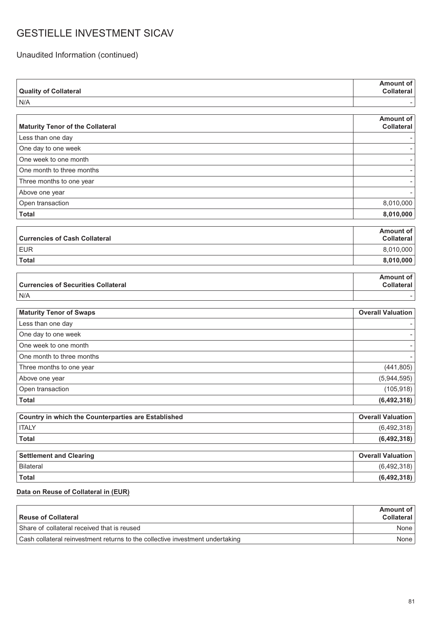Unaudited Information (continued)

| <b>Quality of Collateral</b>                        | <b>Amount of</b><br><b>Collateral</b> |
|-----------------------------------------------------|---------------------------------------|
| N/A                                                 |                                       |
|                                                     |                                       |
| <b>Maturity Tenor of the Collateral</b>             | <b>Amount of</b><br><b>Collateral</b> |
| Less than one day                                   |                                       |
| One day to one week                                 |                                       |
| One week to one month                               |                                       |
| One month to three months                           |                                       |
| Three months to one year                            |                                       |
| Above one year                                      |                                       |
| Open transaction                                    | 8,010,000                             |
| <b>Total</b>                                        | 8,010,000                             |
|                                                     | <b>Amount of</b>                      |
| <b>Currencies of Cash Collateral</b>                | <b>Collateral</b>                     |
| <b>EUR</b>                                          | 8,010,000                             |
| <b>Total</b>                                        | 8,010,000                             |
|                                                     |                                       |
| <b>Currencies of Securities Collateral</b>          | <b>Amount of</b><br><b>Collateral</b> |
| N/A                                                 |                                       |
|                                                     |                                       |
|                                                     |                                       |
| <b>Maturity Tenor of Swaps</b>                      | <b>Overall Valuation</b>              |
| Less than one day                                   |                                       |
| One day to one week                                 |                                       |
| One week to one month                               |                                       |
| One month to three months                           |                                       |
| Three months to one year                            | (441, 805)                            |
| Above one year                                      | (5,944,595)                           |
| Open transaction                                    | (105, 918)                            |
| <b>Total</b>                                        | (6, 492, 318)                         |
| Country in which the Counterparties are Established | <b>Overall Valuation</b>              |
| <b>ITALY</b>                                        | (6,492,318)                           |
| <b>Total</b>                                        |                                       |
| <b>Settlement and Clearing</b>                      | <b>Overall Valuation</b>              |
| <b>Bilateral</b>                                    | (6, 492, 318)                         |
| <b>Total</b>                                        | (6, 492, 318)<br>(6, 492, 318)        |

| Reuse of Collateral                                                           | Amount of<br>Collateral |
|-------------------------------------------------------------------------------|-------------------------|
| Share of collateral received that is reused                                   | None l                  |
| Cash collateral reinvestment returns to the collective investment undertaking | None                    |